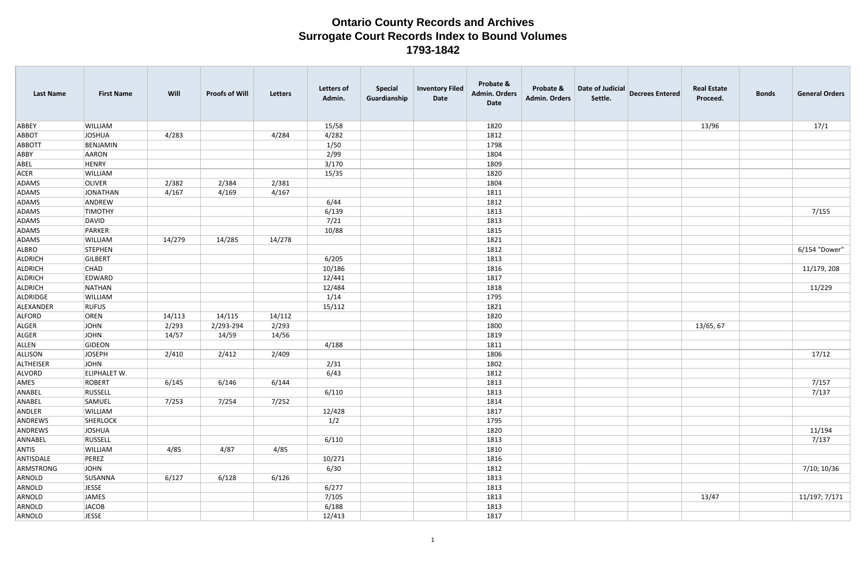| <b>Last Name</b> | <b>First Name</b>   | Will   | <b>Proofs of Will</b> | Letters | <b>Letters of</b><br>Admin. | <b>Special</b><br>Guardianship | <b>Inventory Filed</b><br>Date | Probate &<br><b>Admin. Orders</b><br>Date | Probate &<br><b>Admin. Orders</b> | Date of Judicial<br>Settle. | <b>Decrees Entered</b> | <b>Real Estate</b><br>Proceed. | <b>Bonds</b> | <b>General Orders</b> |
|------------------|---------------------|--------|-----------------------|---------|-----------------------------|--------------------------------|--------------------------------|-------------------------------------------|-----------------------------------|-----------------------------|------------------------|--------------------------------|--------------|-----------------------|
| ABBEY            | <b>WILLIAM</b>      |        |                       |         | 15/58                       |                                |                                | 1820                                      |                                   |                             |                        | 13/96                          |              | 17/1                  |
| ABBOT            | JOSHUA              | 4/283  |                       | 4/284   | 4/282                       |                                |                                | 1812                                      |                                   |                             |                        |                                |              |                       |
| ABBOTT           | BENJAMIN            |        |                       |         | 1/50                        |                                |                                | 1798                                      |                                   |                             |                        |                                |              |                       |
| ABBY             | AARON               |        |                       |         | 2/99                        |                                |                                | 1804                                      |                                   |                             |                        |                                |              |                       |
| ABEL             | HENRY               |        |                       |         | 3/170                       |                                |                                | 1809                                      |                                   |                             |                        |                                |              |                       |
| ACER             | WILLIAM             |        |                       |         | 15/35                       |                                |                                | 1820                                      |                                   |                             |                        |                                |              |                       |
| ADAMS            | <b>OLIVER</b>       | 2/382  | 2/384                 | 2/381   |                             |                                |                                | 1804                                      |                                   |                             |                        |                                |              |                       |
| ADAMS            | JONATHAN            | 4/167  | 4/169                 | 4/167   |                             |                                |                                | 1811                                      |                                   |                             |                        |                                |              |                       |
| ADAMS            | ANDREW              |        |                       |         | 6/44                        |                                |                                | 1812                                      |                                   |                             |                        |                                |              |                       |
| ADAMS            | <b>TIMOTHY</b>      |        |                       |         | 6/139                       |                                |                                | 1813                                      |                                   |                             |                        |                                |              | 7/155                 |
| ADAMS            | DAVID               |        |                       |         | 7/21                        |                                |                                | 1813                                      |                                   |                             |                        |                                |              |                       |
| ADAMS            | PARKER              |        |                       |         | 10/88                       |                                |                                | 1815                                      |                                   |                             |                        |                                |              |                       |
| ADAMS            | WILLIAM             | 14/279 | 14/285                | 14/278  |                             |                                |                                | 1821                                      |                                   |                             |                        |                                |              |                       |
| ALBRO            | STEPHEN             |        |                       |         |                             |                                |                                | 1812                                      |                                   |                             |                        |                                |              | 6/154 "Dower"         |
| ALDRICH          | GILBERT             |        |                       |         | 6/205                       |                                |                                | 1813                                      |                                   |                             |                        |                                |              |                       |
| ALDRICH          | <b>CHAD</b>         |        |                       |         | 10/186                      |                                |                                | 1816                                      |                                   |                             |                        |                                |              | 11/179, 208           |
| ALDRICH          | EDWARD              |        |                       |         | 12/441                      |                                |                                | 1817                                      |                                   |                             |                        |                                |              |                       |
| ALDRICH          | NATHAN              |        |                       |         | 12/484                      |                                |                                | 1818                                      |                                   |                             |                        |                                |              | 11/229                |
| ALDRIDGE         | WILLIAM             |        |                       |         | 1/14                        |                                |                                | 1795                                      |                                   |                             |                        |                                |              |                       |
| ALEXANDER        | <b>RUFUS</b>        |        |                       |         | 15/112                      |                                |                                | 1821                                      |                                   |                             |                        |                                |              |                       |
| ALFORD           | OREN                | 14/113 | 14/115                | 14/112  |                             |                                |                                | 1820                                      |                                   |                             |                        |                                |              |                       |
| ALGER            | JOHN                | 2/293  | 2/293-294             | 2/293   |                             |                                |                                | 1800                                      |                                   |                             |                        | 13/65, 67                      |              |                       |
| ALGER            | JOHN                | 14/57  | 14/59                 | 14/56   |                             |                                |                                | 1819                                      |                                   |                             |                        |                                |              |                       |
| ALLEN            | GIDEON              |        |                       |         | 4/188                       |                                |                                | 1811                                      |                                   |                             |                        |                                |              |                       |
| ALLISON          | JOSEPH              | 2/410  | 2/412                 | 2/409   |                             |                                |                                | 1806                                      |                                   |                             |                        |                                |              | 17/12                 |
| ALTHEISER        | JOHN                |        |                       |         | 2/31                        |                                |                                | 1802                                      |                                   |                             |                        |                                |              |                       |
| ALVORD           | <b>ELIPHALET W.</b> |        |                       |         | 6/43                        |                                |                                | 1812                                      |                                   |                             |                        |                                |              |                       |
| AMES             | ROBERT              | 6/145  | 6/146                 | 6/144   |                             |                                |                                | 1813                                      |                                   |                             |                        |                                |              | 7/157                 |
| ANABEL           | RUSSELL             |        |                       |         | 6/110                       |                                |                                | 1813                                      |                                   |                             |                        |                                |              | 7/137                 |
| ANABEL           | SAMUEL              | 7/253  | 7/254                 | 7/252   |                             |                                |                                | 1814                                      |                                   |                             |                        |                                |              |                       |
| ANDLER           | WILLIAM             |        |                       |         | 12/428                      |                                |                                | 1817                                      |                                   |                             |                        |                                |              |                       |
| ANDREWS          | SHERLOCK            |        |                       |         | 1/2                         |                                |                                | 1795                                      |                                   |                             |                        |                                |              |                       |
| ANDREWS          | JOSHUA              |        |                       |         |                             |                                |                                | 1820                                      |                                   |                             |                        |                                |              | 11/194                |
| ANNABEL          | <b>RUSSELL</b>      |        |                       |         | 6/110                       |                                |                                | 1813                                      |                                   |                             |                        |                                |              | 7/137                 |
| ANTIS            | <b>WILLIAM</b>      | 4/85   | 4/87                  | 4/85    |                             |                                |                                | 1810                                      |                                   |                             |                        |                                |              |                       |
| ANTISDALE        | PEREZ               |        |                       |         | 10/271                      |                                |                                | 1816                                      |                                   |                             |                        |                                |              |                       |
| ARMSTRONG        | JOHN                |        |                       |         | 6/30                        |                                |                                | 1812                                      |                                   |                             |                        |                                |              | 7/10; 10/36           |
| ARNOLD           | SUSANNA             | 6/127  | 6/128                 | 6/126   |                             |                                |                                | 1813                                      |                                   |                             |                        |                                |              |                       |
| ARNOLD           | JESSE               |        |                       |         | 6/277                       |                                |                                | 1813                                      |                                   |                             |                        |                                |              |                       |
| ARNOLD           | JAMES               |        |                       |         | 7/105                       |                                |                                | 1813                                      |                                   |                             |                        | 13/47                          |              | 11/197; 7/171         |
| ARNOLD           | JACOB               |        |                       |         | 6/188                       |                                |                                | 1813                                      |                                   |                             |                        |                                |              |                       |
| ARNOLD           | <b>JESSE</b>        |        |                       |         | 12/413                      |                                |                                | 1817                                      |                                   |                             |                        |                                |              |                       |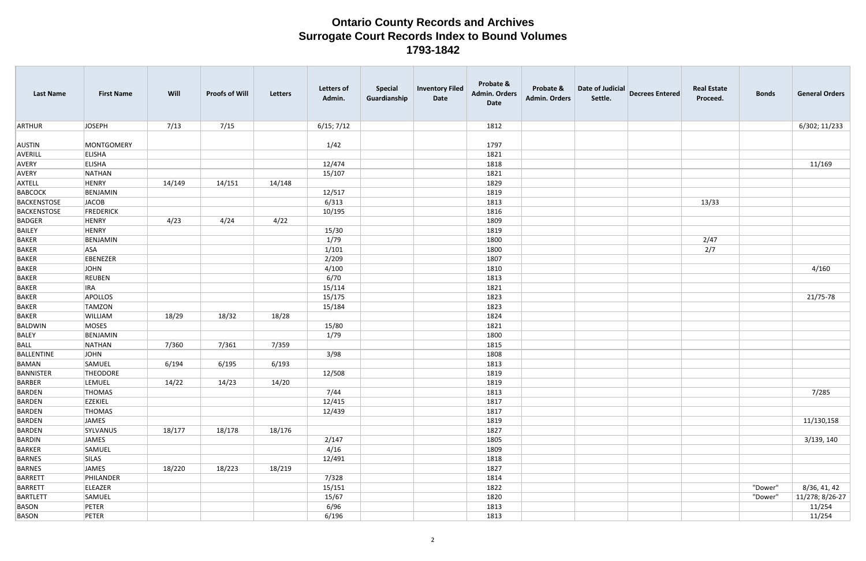| <b>Last Name</b>   | <b>First Name</b> | Will   | <b>Proofs of Will</b> | Letters | <b>Letters of</b><br>Admin. | <b>Special</b><br>Guardianship | <b>Inventory Filed</b><br>Date | Probate &<br><b>Admin. Orders</b><br>Date | Probate &<br><b>Admin. Orders</b> | Date of Judicial<br>Settle. | <b>Decrees Entered</b> | <b>Real Estate</b><br>Proceed. | <b>Bonds</b> | <b>General Orders</b> |
|--------------------|-------------------|--------|-----------------------|---------|-----------------------------|--------------------------------|--------------------------------|-------------------------------------------|-----------------------------------|-----------------------------|------------------------|--------------------------------|--------------|-----------------------|
| ARTHUR             | JOSEPH            | 7/13   | 7/15                  |         | 6/15; 7/12                  |                                |                                | 1812                                      |                                   |                             |                        |                                |              | 6/302; 11/233         |
|                    |                   |        |                       |         |                             |                                |                                |                                           |                                   |                             |                        |                                |              |                       |
| AUSTIN             | MONTGOMERY        |        |                       |         | 1/42                        |                                |                                | 1797                                      |                                   |                             |                        |                                |              |                       |
| AVERILL            | <b>ELISHA</b>     |        |                       |         |                             |                                |                                | 1821                                      |                                   |                             |                        |                                |              |                       |
| AVERY              | <b>ELISHA</b>     |        |                       |         | 12/474                      |                                |                                | 1818                                      |                                   |                             |                        |                                |              | 11/169                |
| AVERY              | NATHAN            |        |                       |         | 15/107                      |                                |                                | 1821                                      |                                   |                             |                        |                                |              |                       |
| AXTELL             | HENRY             | 14/149 | 14/151                | 14/148  |                             |                                |                                | 1829                                      |                                   |                             |                        |                                |              |                       |
| BABCOCK            | BENJAMIN          |        |                       |         | 12/517                      |                                |                                | 1819                                      |                                   |                             |                        |                                |              |                       |
| BACKENSTOSE        | JACOB             |        |                       |         | 6/313                       |                                |                                | 1813                                      |                                   |                             |                        | 13/33                          |              |                       |
| <b>BACKENSTOSE</b> | <b>FREDERICK</b>  |        |                       |         | 10/195                      |                                |                                | 1816                                      |                                   |                             |                        |                                |              |                       |
| BADGER             | HENRY             | 4/23   | 4/24                  | 4/22    |                             |                                |                                | 1809                                      |                                   |                             |                        |                                |              |                       |
| <b>BAILEY</b>      | HENRY             |        |                       |         | 15/30                       |                                |                                | 1819                                      |                                   |                             |                        |                                |              |                       |
| <b>BAKER</b>       | BENJAMIN          |        |                       |         | 1/79                        |                                |                                | 1800                                      |                                   |                             |                        | 2/47                           |              |                       |
| <b>BAKER</b>       | <b>ASA</b>        |        |                       |         | 1/101                       |                                |                                | 1800                                      |                                   |                             |                        | 2/7                            |              |                       |
| <b>BAKER</b>       | EBENEZER          |        |                       |         | 2/209                       |                                |                                | 1807                                      |                                   |                             |                        |                                |              |                       |
| <b>BAKER</b>       | JOHN              |        |                       |         | 4/100                       |                                |                                | 1810                                      |                                   |                             |                        |                                |              | 4/160                 |
| <b>BAKER</b>       | REUBEN            |        |                       |         | 6/70                        |                                |                                | 1813                                      |                                   |                             |                        |                                |              |                       |
| <b>BAKER</b>       | <b>IRA</b>        |        |                       |         | 15/114                      |                                |                                | 1821                                      |                                   |                             |                        |                                |              |                       |
| <b>BAKER</b>       | APOLLOS           |        |                       |         | 15/175                      |                                |                                | 1823                                      |                                   |                             |                        |                                |              | 21/75-78              |
| <b>BAKER</b>       | <b>TAMZON</b>     |        |                       |         | 15/184                      |                                |                                | 1823                                      |                                   |                             |                        |                                |              |                       |
| <b>BAKER</b>       | WILLIAM           | 18/29  | 18/32                 | 18/28   |                             |                                |                                | 1824                                      |                                   |                             |                        |                                |              |                       |
| BALDWIN            | MOSES             |        |                       |         | 15/80                       |                                |                                | 1821                                      |                                   |                             |                        |                                |              |                       |
| <b>BALEY</b>       | BENJAMIN          |        |                       |         | 1/79                        |                                |                                | 1800                                      |                                   |                             |                        |                                |              |                       |
| BALL               | NATHAN            | 7/360  | 7/361                 | 7/359   |                             |                                |                                | 1815                                      |                                   |                             |                        |                                |              |                       |
| BALLENTINE         | JOHN              |        |                       |         | 3/98                        |                                |                                | 1808                                      |                                   |                             |                        |                                |              |                       |
| BAMAN              | SAMUEL            | 6/194  | 6/195                 | 6/193   |                             |                                |                                | 1813                                      |                                   |                             |                        |                                |              |                       |
| <b>BANNISTER</b>   | <b>THEODORE</b>   |        |                       |         | 12/508                      |                                |                                | 1819                                      |                                   |                             |                        |                                |              |                       |
| BARBER             | LEMUEL            | 14/22  | 14/23                 | 14/20   |                             |                                |                                | 1819                                      |                                   |                             |                        |                                |              |                       |
| BARDEN             | THOMAS            |        |                       |         | 7/44                        |                                |                                | 1813                                      |                                   |                             |                        |                                |              | 7/285                 |
| BARDEN             | <b>EZEKIEL</b>    |        |                       |         | 12/415                      |                                |                                | 1817                                      |                                   |                             |                        |                                |              |                       |
| BARDEN             | THOMAS            |        |                       |         | 12/439                      |                                |                                | 1817                                      |                                   |                             |                        |                                |              |                       |
| BARDEN             | JAMES             |        |                       |         |                             |                                |                                | 1819                                      |                                   |                             |                        |                                |              | 11/130,158            |
| BARDEN             | SYLVANUS          | 18/177 | 18/178                | 18/176  |                             |                                |                                | 1827                                      |                                   |                             |                        |                                |              |                       |
| BARDIN             | JAMES             |        |                       |         | 2/147                       |                                |                                | 1805                                      |                                   |                             |                        |                                |              | 3/139, 140            |
| BARKER             | SAMUEL            |        |                       |         | 4/16                        |                                |                                | 1809                                      |                                   |                             |                        |                                |              |                       |
| BARNES             | SILAS             |        |                       |         | 12/491                      |                                |                                | 1818                                      |                                   |                             |                        |                                |              |                       |
| BARNES             | JAMES             | 18/220 | 18/223                | 18/219  |                             |                                |                                | 1827                                      |                                   |                             |                        |                                |              |                       |
| BARRETT            | PHILANDER         |        |                       |         | 7/328                       |                                |                                | 1814                                      |                                   |                             |                        |                                |              |                       |
| BARRETT            | ELEAZER           |        |                       |         | 15/151                      |                                |                                | 1822                                      |                                   |                             |                        |                                | "Dower"      | 8/36, 41, 42          |
| <b>BARTLETT</b>    | SAMUEL            |        |                       |         | 15/67                       |                                |                                | 1820                                      |                                   |                             |                        |                                | "Dower"      | 11/278; 8/26-27       |
| <b>BASON</b>       | PETER             |        |                       |         | 6/96                        |                                |                                | 1813                                      |                                   |                             |                        |                                |              | 11/254                |
| BASON              | PETER             |        |                       |         | 6/196                       |                                |                                | 1813                                      |                                   |                             |                        |                                |              | 11/254                |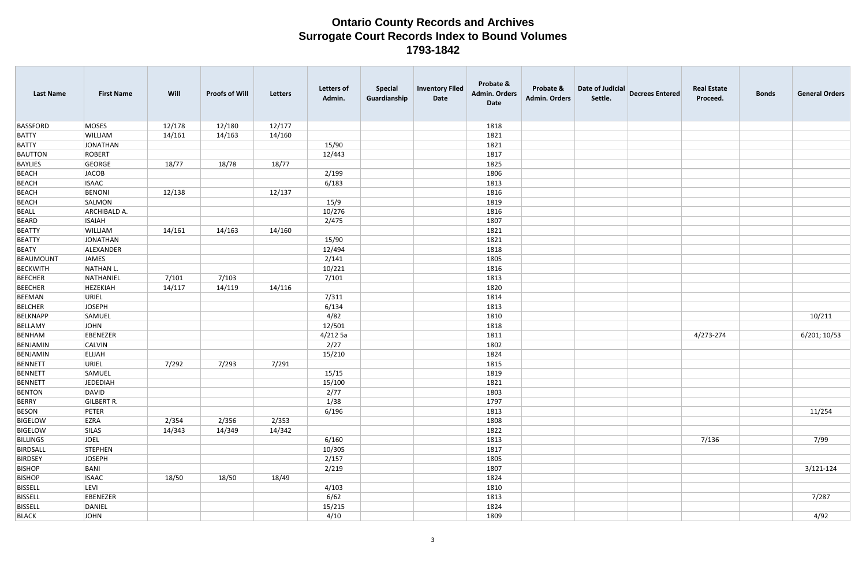| <b>Last Name</b> | <b>First Name</b> | Will   | <b>Proofs of Will</b> | <b>Letters</b> | <b>Letters of</b><br>Admin. | <b>Special</b><br>Guardianship | <b>Inventory Filed</b><br>Date | Probate &<br><b>Admin. Orders</b><br>Date | Probate &<br><b>Admin. Orders</b> | Date of Judicial<br>Settle. | <b>Decrees Entered</b> | <b>Real Estate</b><br>Proceed. | <b>Bonds</b> | <b>General Orders</b> |
|------------------|-------------------|--------|-----------------------|----------------|-----------------------------|--------------------------------|--------------------------------|-------------------------------------------|-----------------------------------|-----------------------------|------------------------|--------------------------------|--------------|-----------------------|
| <b>BASSFORD</b>  | MOSES             | 12/178 | 12/180                | 12/177         |                             |                                |                                | 1818                                      |                                   |                             |                        |                                |              |                       |
| <b>BATTY</b>     | WILLIAM           | 14/161 | 14/163                | 14/160         |                             |                                |                                | 1821                                      |                                   |                             |                        |                                |              |                       |
| <b>BATTY</b>     | JONATHAN          |        |                       |                | 15/90                       |                                |                                | 1821                                      |                                   |                             |                        |                                |              |                       |
| <b>BAUTTON</b>   | ROBERT            |        |                       |                | 12/443                      |                                |                                | 1817                                      |                                   |                             |                        |                                |              |                       |
| BAYLIES          | GEORGE            | 18/77  | 18/78                 | 18/77          |                             |                                |                                | 1825                                      |                                   |                             |                        |                                |              |                       |
| <b>BEACH</b>     | JACOB             |        |                       |                | 2/199                       |                                |                                | 1806                                      |                                   |                             |                        |                                |              |                       |
| <b>BEACH</b>     | <b>ISAAC</b>      |        |                       |                | 6/183                       |                                |                                | 1813                                      |                                   |                             |                        |                                |              |                       |
| <b>BEACH</b>     | <b>BENONI</b>     | 12/138 |                       | 12/137         |                             |                                |                                | 1816                                      |                                   |                             |                        |                                |              |                       |
| <b>BEACH</b>     | SALMON            |        |                       |                | 15/9                        |                                |                                | 1819                                      |                                   |                             |                        |                                |              |                       |
| <b>BEALL</b>     | ARCHIBALD A.      |        |                       |                | 10/276                      |                                |                                | 1816                                      |                                   |                             |                        |                                |              |                       |
| <b>BEARD</b>     | <b>ISAIAH</b>     |        |                       |                | 2/475                       |                                |                                | 1807                                      |                                   |                             |                        |                                |              |                       |
| <b>BEATTY</b>    | <b>WILLIAM</b>    | 14/161 | 14/163                | 14/160         |                             |                                |                                | 1821                                      |                                   |                             |                        |                                |              |                       |
| <b>BEATTY</b>    | JONATHAN          |        |                       |                | 15/90                       |                                |                                | 1821                                      |                                   |                             |                        |                                |              |                       |
| <b>BEATY</b>     | ALEXANDER         |        |                       |                | 12/494                      |                                |                                | 1818                                      |                                   |                             |                        |                                |              |                       |
| BEAUMOUNT        | JAMES             |        |                       |                | 2/141                       |                                |                                | 1805                                      |                                   |                             |                        |                                |              |                       |
| <b>BECKWITH</b>  | NATHAN L.         |        |                       |                | 10/221                      |                                |                                | 1816                                      |                                   |                             |                        |                                |              |                       |
| <b>BEECHER</b>   | NATHANIEL         | 7/101  | 7/103                 |                | 7/101                       |                                |                                | 1813                                      |                                   |                             |                        |                                |              |                       |
| <b>BEECHER</b>   | HEZEKIAH          | 14/117 | 14/119                | 14/116         |                             |                                |                                | 1820                                      |                                   |                             |                        |                                |              |                       |
| BEEMAN           | URIEL             |        |                       |                | 7/311                       |                                |                                | 1814                                      |                                   |                             |                        |                                |              |                       |
| <b>BELCHER</b>   | JOSEPH            |        |                       |                | 6/134                       |                                |                                | 1813                                      |                                   |                             |                        |                                |              |                       |
| <b>BELKNAPP</b>  | SAMUEL            |        |                       |                | 4/82                        |                                |                                | 1810                                      |                                   |                             |                        |                                |              | 10/211                |
| BELLAMY          | JOHN              |        |                       |                | 12/501                      |                                |                                | 1818                                      |                                   |                             |                        |                                |              |                       |
| BENHAM           | EBENEZER          |        |                       |                | 4/2125a                     |                                |                                | 1811                                      |                                   |                             |                        | 4/273-274                      |              | 6/201; 10/53          |
| BENJAMIN         | <b>CALVIN</b>     |        |                       |                | 2/27                        |                                |                                | 1802                                      |                                   |                             |                        |                                |              |                       |
| BENJAMIN         | <b>ELIJAH</b>     |        |                       |                | 15/210                      |                                |                                | 1824                                      |                                   |                             |                        |                                |              |                       |
| BENNETT          | URIEL             | 7/292  | 7/293                 | 7/291          |                             |                                |                                | 1815                                      |                                   |                             |                        |                                |              |                       |
| <b>BENNETT</b>   | SAMUEL            |        |                       |                | 15/15                       |                                |                                | 1819                                      |                                   |                             |                        |                                |              |                       |
| BENNETT          | JEDEDIAH          |        |                       |                | 15/100                      |                                |                                | 1821                                      |                                   |                             |                        |                                |              |                       |
| <b>BENTON</b>    | DAVID             |        |                       |                | 2/77                        |                                |                                | 1803                                      |                                   |                             |                        |                                |              |                       |
| BERRY            | <b>GILBERT R.</b> |        |                       |                | 1/38                        |                                |                                | 1797                                      |                                   |                             |                        |                                |              |                       |
| <b>BESON</b>     | PETER             |        |                       |                | 6/196                       |                                |                                | 1813                                      |                                   |                             |                        |                                |              | 11/254                |
| <b>BIGELOW</b>   | EZRA              | 2/354  | 2/356                 | 2/353          |                             |                                |                                | 1808                                      |                                   |                             |                        |                                |              |                       |
| <b>BIGELOW</b>   | <b>SILAS</b>      | 14/343 | 14/349                | 14/342         |                             |                                |                                | 1822                                      |                                   |                             |                        |                                |              |                       |
| <b>BILLINGS</b>  | JOEL              |        |                       |                | 6/160                       |                                |                                | 1813                                      |                                   |                             |                        | 7/136                          |              | 7/99                  |
| BIRDSALL         | STEPHEN           |        |                       |                | 10/305                      |                                |                                | 1817                                      |                                   |                             |                        |                                |              |                       |
| <b>BIRDSEY</b>   | JOSEPH            |        |                       |                | 2/157                       |                                |                                | 1805                                      |                                   |                             |                        |                                |              |                       |
| <b>BISHOP</b>    | BANI              |        |                       |                | 2/219                       |                                |                                | 1807                                      |                                   |                             |                        |                                |              | $3/121 - 124$         |
| <b>BISHOP</b>    | <b>ISAAC</b>      | 18/50  | 18/50                 | 18/49          |                             |                                |                                | 1824                                      |                                   |                             |                        |                                |              |                       |
| <b>BISSELL</b>   | LEVI              |        |                       |                | 4/103                       |                                |                                | 1810                                      |                                   |                             |                        |                                |              |                       |
| <b>BISSELL</b>   | EBENEZER          |        |                       |                | 6/62                        |                                |                                | 1813                                      |                                   |                             |                        |                                |              | 7/287                 |
| <b>BISSELL</b>   | DANIEL            |        |                       |                | 15/215                      |                                |                                | 1824                                      |                                   |                             |                        |                                |              |                       |
| <b>BLACK</b>     | JOHN              |        |                       |                | 4/10                        |                                |                                | 1809                                      |                                   |                             |                        |                                |              | 4/92                  |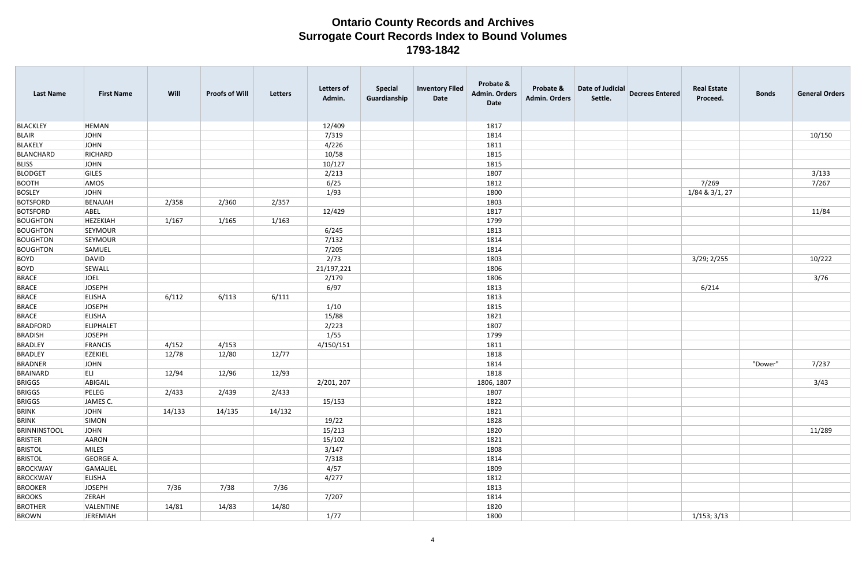| <b>Last Name</b>    | <b>First Name</b> | Will   | <b>Proofs of Will</b> | Letters | Letters of<br>Admin. | <b>Special</b><br>Guardianship | <b>Inventory Filed</b><br>Date | Probate &<br><b>Admin. Orders</b><br>Date | Probate &<br><b>Admin. Orders</b> | Date of Judicial<br>Settle. | <b>Decrees Entered</b> | <b>Real Estate</b><br>Proceed. | <b>Bonds</b> | <b>General Orders</b> |
|---------------------|-------------------|--------|-----------------------|---------|----------------------|--------------------------------|--------------------------------|-------------------------------------------|-----------------------------------|-----------------------------|------------------------|--------------------------------|--------------|-----------------------|
| <b>BLACKLEY</b>     | <b>HEMAN</b>      |        |                       |         | 12/409               |                                |                                | 1817                                      |                                   |                             |                        |                                |              |                       |
| <b>BLAIR</b>        | JOHN              |        |                       |         | 7/319                |                                |                                | 1814                                      |                                   |                             |                        |                                |              | 10/150                |
| <b>BLAKELY</b>      | JOHN              |        |                       |         | 4/226                |                                |                                | 1811                                      |                                   |                             |                        |                                |              |                       |
| BLANCHARD           | RICHARD           |        |                       |         | 10/58                |                                |                                | 1815                                      |                                   |                             |                        |                                |              |                       |
| <b>BLISS</b>        | JOHN              |        |                       |         | 10/127               |                                |                                | 1815                                      |                                   |                             |                        |                                |              |                       |
| <b>BLODGET</b>      | GILES             |        |                       |         | 2/213                |                                |                                | 1807                                      |                                   |                             |                        |                                |              | 3/133                 |
| <b>BOOTH</b>        | AMOS              |        |                       |         | 6/25                 |                                |                                | 1812                                      |                                   |                             |                        | 7/269                          |              | 7/267                 |
| <b>BOSLEY</b>       | JOHN              |        |                       |         | 1/93                 |                                |                                | 1800                                      |                                   |                             |                        | 1/84 & 3/1, 27                 |              |                       |
| <b>BOTSFORD</b>     | BENAJAH           | 2/358  | 2/360                 | 2/357   |                      |                                |                                | 1803                                      |                                   |                             |                        |                                |              |                       |
| <b>BOTSFORD</b>     | ABEL              |        |                       |         | 12/429               |                                |                                | 1817                                      |                                   |                             |                        |                                |              | 11/84                 |
| <b>BOUGHTON</b>     | HEZEKIAH          | 1/167  | 1/165                 | 1/163   |                      |                                |                                | 1799                                      |                                   |                             |                        |                                |              |                       |
| <b>BOUGHTON</b>     | SEYMOUR           |        |                       |         | 6/245                |                                |                                | 1813                                      |                                   |                             |                        |                                |              |                       |
| <b>BOUGHTON</b>     | SEYMOUR           |        |                       |         | 7/132                |                                |                                | 1814                                      |                                   |                             |                        |                                |              |                       |
| <b>BOUGHTON</b>     | SAMUEL            |        |                       |         | 7/205                |                                |                                | 1814                                      |                                   |                             |                        |                                |              |                       |
| <b>BOYD</b>         | DAVID             |        |                       |         | 2/73                 |                                |                                | 1803                                      |                                   |                             |                        | 3/29; 2/255                    |              | 10/222                |
| <b>BOYD</b>         | SEWALL            |        |                       |         | 21/197,221           |                                |                                | 1806                                      |                                   |                             |                        |                                |              |                       |
| <b>BRACE</b>        | JOEL              |        |                       |         | 2/179                |                                |                                | 1806                                      |                                   |                             |                        |                                |              | 3/76                  |
| <b>BRACE</b>        | JOSEPH            |        |                       |         | 6/97                 |                                |                                | 1813                                      |                                   |                             |                        | 6/214                          |              |                       |
| <b>BRACE</b>        | <b>ELISHA</b>     | 6/112  | 6/113                 | 6/111   |                      |                                |                                | 1813                                      |                                   |                             |                        |                                |              |                       |
| <b>BRACE</b>        | JOSEPH            |        |                       |         | 1/10                 |                                |                                | 1815                                      |                                   |                             |                        |                                |              |                       |
| <b>BRACE</b>        | <b>ELISHA</b>     |        |                       |         | 15/88                |                                |                                | 1821                                      |                                   |                             |                        |                                |              |                       |
| <b>BRADFORD</b>     | ELIPHALET         |        |                       |         | 2/223                |                                |                                | 1807                                      |                                   |                             |                        |                                |              |                       |
| <b>BRADISH</b>      | JOSEPH            |        |                       |         | 1/55                 |                                |                                | 1799                                      |                                   |                             |                        |                                |              |                       |
| <b>BRADLEY</b>      | FRANCIS           | 4/152  | 4/153                 |         | 4/150/151            |                                |                                | 1811                                      |                                   |                             |                        |                                |              |                       |
| <b>BRADLEY</b>      | EZEKIEL           | 12/78  | 12/80                 | 12/77   |                      |                                |                                | 1818                                      |                                   |                             |                        |                                |              |                       |
| <b>BRADNER</b>      | JOHN              |        |                       |         |                      |                                |                                | 1814                                      |                                   |                             |                        |                                | "Dower"      | 7/237                 |
| BRAINARD            | ELI.              | 12/94  | 12/96                 | 12/93   |                      |                                |                                | 1818                                      |                                   |                             |                        |                                |              |                       |
| <b>BRIGGS</b>       | ABIGAIL           |        |                       |         | 2/201, 207           |                                |                                | 1806, 1807                                |                                   |                             |                        |                                |              | 3/43                  |
| <b>BRIGGS</b>       | PELEG             | 2/433  | 2/439                 | 2/433   |                      |                                |                                | 1807                                      |                                   |                             |                        |                                |              |                       |
| <b>BRIGGS</b>       | JAMES C.          |        |                       |         | 15/153               |                                |                                | 1822                                      |                                   |                             |                        |                                |              |                       |
| <b>BRINK</b>        | JOHN              | 14/133 | 14/135                | 14/132  |                      |                                |                                | 1821                                      |                                   |                             |                        |                                |              |                       |
| <b>BRINK</b>        | SIMON             |        |                       |         | 19/22                |                                |                                | 1828                                      |                                   |                             |                        |                                |              |                       |
| <b>BRINNINSTOOL</b> | JOHN              |        |                       |         | 15/213               |                                |                                | 1820                                      |                                   |                             |                        |                                |              | 11/289                |
| <b>BRISTER</b>      | AARON             |        |                       |         | 15/102               |                                |                                | 1821                                      |                                   |                             |                        |                                |              |                       |
| <b>BRISTOL</b>      | MILES             |        |                       |         | 3/147                |                                |                                | 1808                                      |                                   |                             |                        |                                |              |                       |
| <b>BRISTOL</b>      | GEORGE A.         |        |                       |         | 7/318                |                                |                                | 1814                                      |                                   |                             |                        |                                |              |                       |
| BROCKWAY            | GAMALIEL          |        |                       |         | 4/57                 |                                |                                | 1809                                      |                                   |                             |                        |                                |              |                       |
| <b>BROCKWAY</b>     | <b>ELISHA</b>     |        |                       |         | 4/277                |                                |                                | 1812                                      |                                   |                             |                        |                                |              |                       |
| <b>BROOKER</b>      | JOSEPH            | 7/36   | 7/38                  | 7/36    |                      |                                |                                | 1813                                      |                                   |                             |                        |                                |              |                       |
| <b>BROOKS</b>       | ZERAH             |        |                       |         | 7/207                |                                |                                | 1814                                      |                                   |                             |                        |                                |              |                       |
| <b>BROTHER</b>      | VALENTINE         | 14/81  | 14/83                 | 14/80   |                      |                                |                                | 1820                                      |                                   |                             |                        |                                |              |                       |
| <b>BROWN</b>        | JEREMIAH          |        |                       |         | 1/77                 |                                |                                | 1800                                      |                                   |                             |                        | 1/153; 3/13                    |              |                       |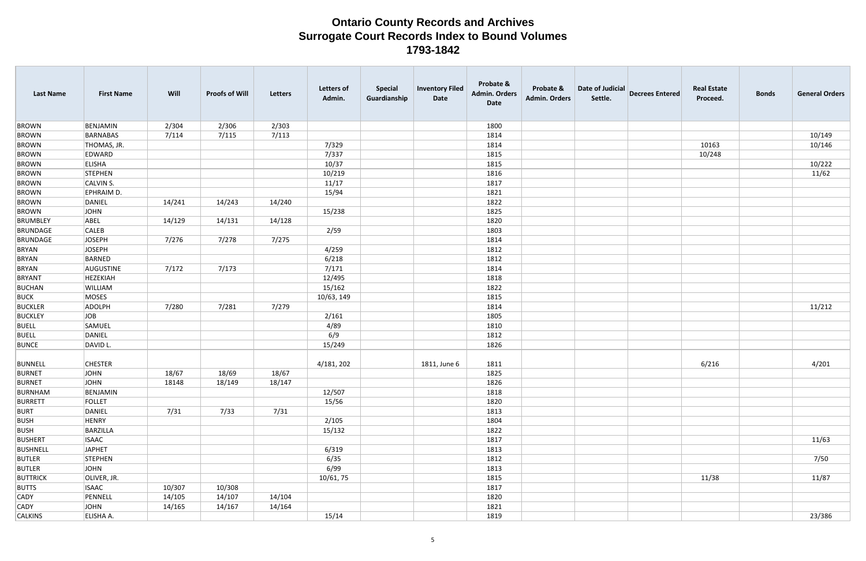| <b>Last Name</b> | <b>First Name</b> | Will   | <b>Proofs of Will</b> | Letters | <b>Letters of</b><br>Admin. | <b>Special</b><br>Guardianship | <b>Inventory Filed</b><br>Date | Probate &<br><b>Admin. Orders</b><br>Date | Probate &<br><b>Admin. Orders</b> | Date of Judicial<br>Settle. | <b>Decrees Entered</b> | <b>Real Estate</b><br>Proceed. | <b>Bonds</b> | <b>General Orders</b> |
|------------------|-------------------|--------|-----------------------|---------|-----------------------------|--------------------------------|--------------------------------|-------------------------------------------|-----------------------------------|-----------------------------|------------------------|--------------------------------|--------------|-----------------------|
| <b>BROWN</b>     | BENJAMIN          | 2/304  | 2/306                 | 2/303   |                             |                                |                                | 1800                                      |                                   |                             |                        |                                |              |                       |
| <b>BROWN</b>     | BARNABAS          | 7/114  | 7/115                 | 7/113   |                             |                                |                                | 1814                                      |                                   |                             |                        |                                |              | 10/149                |
| <b>BROWN</b>     | THOMAS, JR.       |        |                       |         | 7/329                       |                                |                                | 1814                                      |                                   |                             |                        | 10163                          |              | 10/146                |
| <b>BROWN</b>     | EDWARD            |        |                       |         | 7/337                       |                                |                                | 1815                                      |                                   |                             |                        | 10/248                         |              |                       |
| <b>BROWN</b>     | <b>ELISHA</b>     |        |                       |         | 10/37                       |                                |                                | 1815                                      |                                   |                             |                        |                                |              | 10/222                |
| <b>BROWN</b>     | <b>STEPHEN</b>    |        |                       |         | 10/219                      |                                |                                | 1816                                      |                                   |                             |                        |                                |              | 11/62                 |
| <b>BROWN</b>     | CALVIN S.         |        |                       |         | 11/17                       |                                |                                | 1817                                      |                                   |                             |                        |                                |              |                       |
| <b>BROWN</b>     | EPHRAIM D.        |        |                       |         | 15/94                       |                                |                                | 1821                                      |                                   |                             |                        |                                |              |                       |
| <b>BROWN</b>     | DANIEL            | 14/241 | 14/243                | 14/240  |                             |                                |                                | 1822                                      |                                   |                             |                        |                                |              |                       |
| <b>BROWN</b>     | JOHN              |        |                       |         | 15/238                      |                                |                                | 1825                                      |                                   |                             |                        |                                |              |                       |
| <b>BRUMBLEY</b>  | ABEL              | 14/129 | 14/131                | 14/128  |                             |                                |                                | 1820                                      |                                   |                             |                        |                                |              |                       |
| <b>BRUNDAGE</b>  | <b>CALEB</b>      |        |                       |         | 2/59                        |                                |                                | 1803                                      |                                   |                             |                        |                                |              |                       |
| <b>BRUNDAGE</b>  | JOSEPH            | 7/276  | 7/278                 | 7/275   |                             |                                |                                | 1814                                      |                                   |                             |                        |                                |              |                       |
| <b>BRYAN</b>     | <b>JOSEPH</b>     |        |                       |         | 4/259                       |                                |                                | 1812                                      |                                   |                             |                        |                                |              |                       |
| <b>BRYAN</b>     | BARNED            |        |                       |         | 6/218                       |                                |                                | 1812                                      |                                   |                             |                        |                                |              |                       |
| <b>BRYAN</b>     | AUGUSTINE         | 7/172  | 7/173                 |         | 7/171                       |                                |                                | 1814                                      |                                   |                             |                        |                                |              |                       |
| <b>BRYANT</b>    | <b>HEZEKIAH</b>   |        |                       |         | 12/495                      |                                |                                | 1818                                      |                                   |                             |                        |                                |              |                       |
| <b>BUCHAN</b>    | WILLIAM           |        |                       |         | 15/162                      |                                |                                | 1822                                      |                                   |                             |                        |                                |              |                       |
| <b>BUCK</b>      | MOSES             |        |                       |         | 10/63, 149                  |                                |                                | 1815                                      |                                   |                             |                        |                                |              |                       |
| <b>BUCKLER</b>   | ADOLPH            | 7/280  | 7/281                 | 7/279   |                             |                                |                                | 1814                                      |                                   |                             |                        |                                |              | 11/212                |
| <b>BUCKLEY</b>   | JOB               |        |                       |         | 2/161                       |                                |                                | 1805                                      |                                   |                             |                        |                                |              |                       |
| <b>BUELL</b>     | SAMUEL            |        |                       |         | 4/89                        |                                |                                | 1810                                      |                                   |                             |                        |                                |              |                       |
| <b>BUELL</b>     | DANIEL            |        |                       |         | 6/9                         |                                |                                | 1812                                      |                                   |                             |                        |                                |              |                       |
| <b>BUNCE</b>     | DAVID L.          |        |                       |         | 15/249                      |                                |                                | 1826                                      |                                   |                             |                        |                                |              |                       |
| <b>BUNNELL</b>   | <b>CHESTER</b>    |        |                       |         | 4/181, 202                  |                                | 1811, June 6                   | 1811                                      |                                   |                             |                        | 6/216                          |              | 4/201                 |
| <b>BURNET</b>    | JOHN              | 18/67  | 18/69                 | 18/67   |                             |                                |                                | 1825                                      |                                   |                             |                        |                                |              |                       |
| BURNET           | JOHN              | 18148  | 18/149                | 18/147  |                             |                                |                                | 1826                                      |                                   |                             |                        |                                |              |                       |
| BURNHAM          | BENJAMIN          |        |                       |         | 12/507                      |                                |                                | 1818                                      |                                   |                             |                        |                                |              |                       |
| <b>BURRETT</b>   | FOLLET            |        |                       |         | 15/56                       |                                |                                | 1820                                      |                                   |                             |                        |                                |              |                       |
| <b>BURT</b>      | DANIEL            | 7/31   | 7/33                  | 7/31    |                             |                                |                                | 1813                                      |                                   |                             |                        |                                |              |                       |
| <b>BUSH</b>      | HENRY             |        |                       |         | 2/105                       |                                |                                | 1804                                      |                                   |                             |                        |                                |              |                       |
| <b>BUSH</b>      | BARZILLA          |        |                       |         | 15/132                      |                                |                                | 1822                                      |                                   |                             |                        |                                |              |                       |
| <b>BUSHERT</b>   | <b>ISAAC</b>      |        |                       |         |                             |                                |                                | 1817                                      |                                   |                             |                        |                                |              | 11/63                 |
| <b>BUSHNELL</b>  | JAPHET            |        |                       |         | 6/319                       |                                |                                | 1813                                      |                                   |                             |                        |                                |              |                       |
| <b>BUTLER</b>    | STEPHEN           |        |                       |         | 6/35                        |                                |                                | 1812                                      |                                   |                             |                        |                                |              | 7/50                  |
| <b>BUTLER</b>    | JOHN              |        |                       |         | 6/99                        |                                |                                | 1813                                      |                                   |                             |                        |                                |              |                       |
| <b>BUTTRICK</b>  | OLIVER, JR.       |        |                       |         | 10/61, 75                   |                                |                                | 1815                                      |                                   |                             |                        | 11/38                          |              | 11/87                 |
| <b>BUTTS</b>     | <b>ISAAC</b>      | 10/307 | 10/308                |         |                             |                                |                                | 1817                                      |                                   |                             |                        |                                |              |                       |
| <b>CADY</b>      | PENNELL           | 14/105 | 14/107                | 14/104  |                             |                                |                                | 1820                                      |                                   |                             |                        |                                |              |                       |
| <b>CADY</b>      | JOHN              | 14/165 | 14/167                | 14/164  |                             |                                |                                | 1821                                      |                                   |                             |                        |                                |              |                       |
| <b>CALKINS</b>   | ELISHA A.         |        |                       |         | 15/14                       |                                |                                | 1819                                      |                                   |                             |                        |                                |              | 23/386                |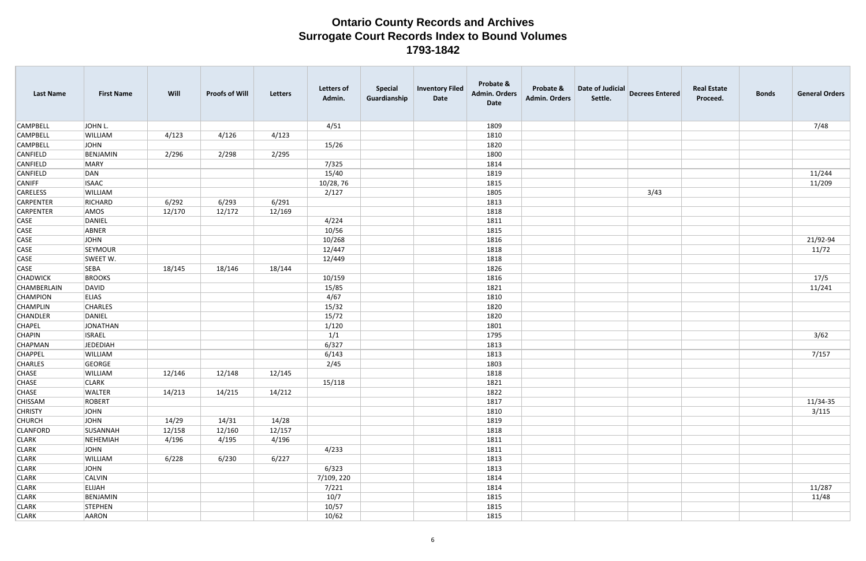| <b>Last Name</b> | <b>First Name</b> | Will   | <b>Proofs of Will</b> | Letters | <b>Letters of</b><br>Admin. | <b>Special</b><br>Guardianship | <b>Inventory Filed</b><br>Date | Probate &<br><b>Admin. Orders</b><br>Date | Probate &<br><b>Admin. Orders</b> | Date of Judicial<br>Settle. | <b>Decrees Entered</b> | <b>Real Estate</b><br>Proceed. | <b>Bonds</b> | <b>General Orders</b> |
|------------------|-------------------|--------|-----------------------|---------|-----------------------------|--------------------------------|--------------------------------|-------------------------------------------|-----------------------------------|-----------------------------|------------------------|--------------------------------|--------------|-----------------------|
| <b>CAMPBELL</b>  | JOHN L.           |        |                       |         | 4/51                        |                                |                                | 1809                                      |                                   |                             |                        |                                |              | 7/48                  |
| <b>CAMPBELL</b>  | <b>WILLIAM</b>    | 4/123  | 4/126                 | 4/123   |                             |                                |                                | 1810                                      |                                   |                             |                        |                                |              |                       |
| <b>CAMPBELL</b>  | JOHN              |        |                       |         | 15/26                       |                                |                                | 1820                                      |                                   |                             |                        |                                |              |                       |
| <b>CANFIELD</b>  | BENJAMIN          | 2/296  | 2/298                 | 2/295   |                             |                                |                                | 1800                                      |                                   |                             |                        |                                |              |                       |
| CANFIELD         | MARY              |        |                       |         | 7/325                       |                                |                                | 1814                                      |                                   |                             |                        |                                |              |                       |
| CANFIELD         | DAN               |        |                       |         | 15/40                       |                                |                                | 1819                                      |                                   |                             |                        |                                |              | 11/244                |
| <b>CANIFF</b>    | <b>ISAAC</b>      |        |                       |         | 10/28, 76                   |                                |                                | 1815                                      |                                   |                             |                        |                                |              | 11/209                |
| CARELESS         | <b>WILLIAM</b>    |        |                       |         | 2/127                       |                                |                                | 1805                                      |                                   |                             | 3/43                   |                                |              |                       |
| CARPENTER        | RICHARD           | 6/292  | 6/293                 | 6/291   |                             |                                |                                | 1813                                      |                                   |                             |                        |                                |              |                       |
| CARPENTER        | AMOS              | 12/170 | 12/172                | 12/169  |                             |                                |                                | 1818                                      |                                   |                             |                        |                                |              |                       |
| <b>CASE</b>      | DANIEL            |        |                       |         | 4/224                       |                                |                                | 1811                                      |                                   |                             |                        |                                |              |                       |
| <b>CASE</b>      | ABNER             |        |                       |         | 10/56                       |                                |                                | 1815                                      |                                   |                             |                        |                                |              |                       |
| <b>CASE</b>      | JOHN              |        |                       |         | 10/268                      |                                |                                | 1816                                      |                                   |                             |                        |                                |              | 21/92-94              |
| <b>CASE</b>      | SEYMOUR           |        |                       |         | 12/447                      |                                |                                | 1818                                      |                                   |                             |                        |                                |              | 11/72                 |
| <b>CASE</b>      | SWEET W.          |        |                       |         | 12/449                      |                                |                                | 1818                                      |                                   |                             |                        |                                |              |                       |
| <b>CASE</b>      | <b>SEBA</b>       | 18/145 | 18/146                | 18/144  |                             |                                |                                | 1826                                      |                                   |                             |                        |                                |              |                       |
| <b>CHADWICK</b>  | <b>BROOKS</b>     |        |                       |         | 10/159                      |                                |                                | 1816                                      |                                   |                             |                        |                                |              | 17/5                  |
| CHAMBERLAIN      | DAVID             |        |                       |         | 15/85                       |                                |                                | 1821                                      |                                   |                             |                        |                                |              | 11/241                |
| <b>CHAMPION</b>  | <b>ELIAS</b>      |        |                       |         | 4/67                        |                                |                                | 1810                                      |                                   |                             |                        |                                |              |                       |
| <b>CHAMPLIN</b>  | <b>CHARLES</b>    |        |                       |         | 15/32                       |                                |                                | 1820                                      |                                   |                             |                        |                                |              |                       |
| CHANDLER         | DANIEL            |        |                       |         | 15/72                       |                                |                                | 1820                                      |                                   |                             |                        |                                |              |                       |
| <b>CHAPEL</b>    | JONATHAN          |        |                       |         | 1/120                       |                                |                                | 1801                                      |                                   |                             |                        |                                |              |                       |
| <b>CHAPIN</b>    | <b>ISRAEL</b>     |        |                       |         | 1/1                         |                                |                                | 1795                                      |                                   |                             |                        |                                |              | 3/62                  |
| <b>CHAPMAN</b>   | JEDEDIAH          |        |                       |         | 6/327                       |                                |                                | 1813                                      |                                   |                             |                        |                                |              |                       |
| <b>CHAPPEL</b>   | <b>WILLIAM</b>    |        |                       |         | 6/143                       |                                |                                | 1813                                      |                                   |                             |                        |                                |              | 7/157                 |
| <b>CHARLES</b>   | GEORGE            |        |                       |         | 2/45                        |                                |                                | 1803                                      |                                   |                             |                        |                                |              |                       |
| <b>CHASE</b>     | WILLIAM           | 12/146 | 12/148                | 12/145  |                             |                                |                                | 1818                                      |                                   |                             |                        |                                |              |                       |
| <b>CHASE</b>     | <b>CLARK</b>      |        |                       |         | 15/118                      |                                |                                | 1821                                      |                                   |                             |                        |                                |              |                       |
| <b>CHASE</b>     | <b>WALTER</b>     | 14/213 | 14/215                | 14/212  |                             |                                |                                | 1822                                      |                                   |                             |                        |                                |              |                       |
| <b>CHISSAM</b>   | ROBERT            |        |                       |         |                             |                                |                                | 1817                                      |                                   |                             |                        |                                |              | 11/34-35              |
| <b>CHRISTY</b>   | JOHN              |        |                       |         |                             |                                |                                | 1810                                      |                                   |                             |                        |                                |              | 3/115                 |
| <b>CHURCH</b>    | JOHN              | 14/29  | 14/31                 | 14/28   |                             |                                |                                | 1819                                      |                                   |                             |                        |                                |              |                       |
| <b>CLANFORD</b>  | SUSANNAH          | 12/158 | 12/160                | 12/157  |                             |                                |                                | 1818                                      |                                   |                             |                        |                                |              |                       |
| <b>CLARK</b>     | NEHEMIAH          | 4/196  | 4/195                 | 4/196   |                             |                                |                                | 1811                                      |                                   |                             |                        |                                |              |                       |
| <b>CLARK</b>     | JOHN              |        |                       |         | 4/233                       |                                |                                | 1811                                      |                                   |                             |                        |                                |              |                       |
| <b>CLARK</b>     | WILLIAM           | 6/228  | 6/230                 | 6/227   |                             |                                |                                | 1813                                      |                                   |                             |                        |                                |              |                       |
| <b>CLARK</b>     | JOHN              |        |                       |         | 6/323                       |                                |                                | 1813                                      |                                   |                             |                        |                                |              |                       |
| <b>CLARK</b>     | <b>CALVIN</b>     |        |                       |         | 7/109, 220                  |                                |                                | 1814                                      |                                   |                             |                        |                                |              |                       |
| <b>CLARK</b>     | ELIJAH            |        |                       |         | 7/221                       |                                |                                | 1814                                      |                                   |                             |                        |                                |              | 11/287                |
| <b>CLARK</b>     | BENJAMIN          |        |                       |         | 10/7                        |                                |                                | 1815                                      |                                   |                             |                        |                                |              | 11/48                 |
| <b>CLARK</b>     | STEPHEN           |        |                       |         | 10/57                       |                                |                                | 1815                                      |                                   |                             |                        |                                |              |                       |
| <b>CLARK</b>     | AARON             |        |                       |         | 10/62                       |                                |                                | 1815                                      |                                   |                             |                        |                                |              |                       |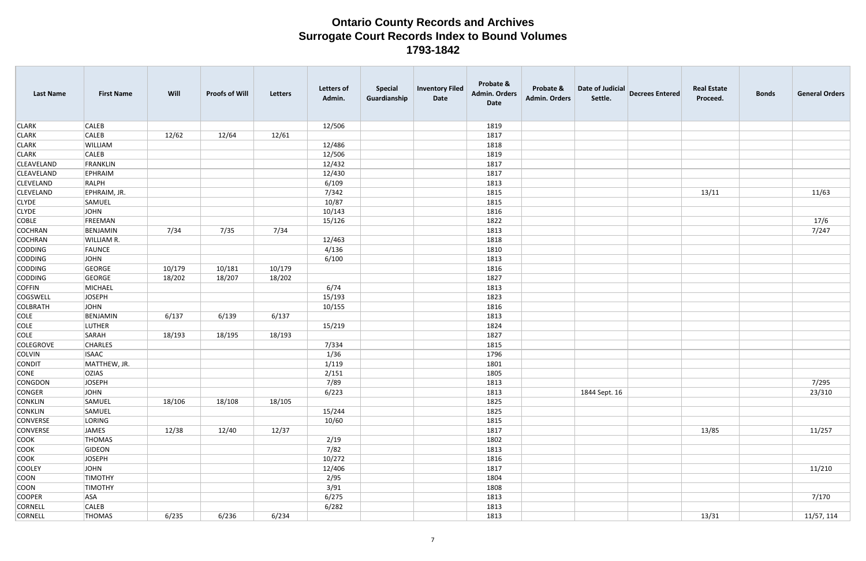| <b>Last Name</b>  | <b>First Name</b> | Will   | <b>Proofs of Will</b> | <b>Letters</b> | <b>Letters of</b><br>Admin. | <b>Special</b><br>Guardianship | <b>Inventory Filed</b><br>Date | Probate &<br><b>Admin. Orders</b><br><b>Date</b> | Probate &<br><b>Admin. Orders</b> | Date of Judicial<br>Settle. | <b>Decrees Entered</b> | <b>Real Estate</b><br>Proceed. | <b>Bonds</b> | <b>General Orders</b> |
|-------------------|-------------------|--------|-----------------------|----------------|-----------------------------|--------------------------------|--------------------------------|--------------------------------------------------|-----------------------------------|-----------------------------|------------------------|--------------------------------|--------------|-----------------------|
| <b>CLARK</b>      | <b>CALEB</b>      |        |                       |                | 12/506                      |                                |                                | 1819                                             |                                   |                             |                        |                                |              |                       |
| <b>CLARK</b>      | <b>CALEB</b>      | 12/62  | 12/64                 | 12/61          |                             |                                |                                | 1817                                             |                                   |                             |                        |                                |              |                       |
| <b>CLARK</b>      | WILLIAM           |        |                       |                | 12/486                      |                                |                                | 1818                                             |                                   |                             |                        |                                |              |                       |
| <b>CLARK</b>      | <b>CALEB</b>      |        |                       |                | 12/506                      |                                |                                | 1819                                             |                                   |                             |                        |                                |              |                       |
| <b>CLEAVELAND</b> | FRANKLIN          |        |                       |                | 12/432                      |                                |                                | 1817                                             |                                   |                             |                        |                                |              |                       |
| <b>CLEAVELAND</b> | <b>EPHRAIM</b>    |        |                       |                | 12/430                      |                                |                                | 1817                                             |                                   |                             |                        |                                |              |                       |
| <b>CLEVELAND</b>  | RALPH             |        |                       |                | 6/109                       |                                |                                | 1813                                             |                                   |                             |                        |                                |              |                       |
| <b>CLEVELAND</b>  | EPHRAIM, JR.      |        |                       |                | 7/342                       |                                |                                | 1815                                             |                                   |                             |                        | 13/11                          |              | 11/63                 |
| <b>CLYDE</b>      | SAMUEL            |        |                       |                | 10/87                       |                                |                                | 1815                                             |                                   |                             |                        |                                |              |                       |
| <b>CLYDE</b>      | JOHN              |        |                       |                | 10/143                      |                                |                                | 1816                                             |                                   |                             |                        |                                |              |                       |
| <b>COBLE</b>      | FREEMAN           |        |                       |                | 15/126                      |                                |                                | 1822                                             |                                   |                             |                        |                                |              | 17/6                  |
| COCHRAN           | BENJAMIN          | 7/34   | 7/35                  | 7/34           |                             |                                |                                | 1813                                             |                                   |                             |                        |                                |              | 7/247                 |
| <b>COCHRAN</b>    | WILLIAM R.        |        |                       |                | 12/463                      |                                |                                | 1818                                             |                                   |                             |                        |                                |              |                       |
| <b>CODDING</b>    | FAUNCE            |        |                       |                | 4/136                       |                                |                                | 1810                                             |                                   |                             |                        |                                |              |                       |
| <b>CODDING</b>    | JOHN              |        |                       |                | 6/100                       |                                |                                | 1813                                             |                                   |                             |                        |                                |              |                       |
| <b>CODDING</b>    | GEORGE            | 10/179 | 10/181                | 10/179         |                             |                                |                                | 1816                                             |                                   |                             |                        |                                |              |                       |
| <b>CODDING</b>    | GEORGE            | 18/202 | 18/207                | 18/202         |                             |                                |                                | 1827                                             |                                   |                             |                        |                                |              |                       |
| <b>COFFIN</b>     | MICHAEL           |        |                       |                | 6/74                        |                                |                                | 1813                                             |                                   |                             |                        |                                |              |                       |
| <b>COGSWELL</b>   | <b>JOSEPH</b>     |        |                       |                | 15/193                      |                                |                                | 1823                                             |                                   |                             |                        |                                |              |                       |
| COLBRATH          | JOHN              |        |                       |                | 10/155                      |                                |                                | 1816                                             |                                   |                             |                        |                                |              |                       |
| <b>COLE</b>       | BENJAMIN          | 6/137  | 6/139                 | 6/137          |                             |                                |                                | 1813                                             |                                   |                             |                        |                                |              |                       |
| <b>COLE</b>       | LUTHER            |        |                       |                | 15/219                      |                                |                                | 1824                                             |                                   |                             |                        |                                |              |                       |
| <b>COLE</b>       | SARAH             | 18/193 | 18/195                | 18/193         |                             |                                |                                | 1827                                             |                                   |                             |                        |                                |              |                       |
| <b>COLEGROVE</b>  | <b>CHARLES</b>    |        |                       |                | 7/334                       |                                |                                | 1815                                             |                                   |                             |                        |                                |              |                       |
| <b>COLVIN</b>     | <b>ISAAC</b>      |        |                       |                | 1/36                        |                                |                                | 1796                                             |                                   |                             |                        |                                |              |                       |
| <b>CONDIT</b>     | MATTHEW, JR.      |        |                       |                | 1/119                       |                                |                                | 1801                                             |                                   |                             |                        |                                |              |                       |
| <b>CONE</b>       | <b>OZIAS</b>      |        |                       |                | 2/151                       |                                |                                | 1805                                             |                                   |                             |                        |                                |              |                       |
| CONGDON           | JOSEPH            |        |                       |                | 7/89                        |                                |                                | 1813                                             |                                   |                             |                        |                                |              | 7/295                 |
| <b>CONGER</b>     | JOHN              |        |                       |                | 6/223                       |                                |                                | 1813                                             |                                   | 1844 Sept. 16               |                        |                                |              | 23/310                |
| <b>CONKLIN</b>    | SAMUEL            | 18/106 | 18/108                | 18/105         |                             |                                |                                | 1825                                             |                                   |                             |                        |                                |              |                       |
| <b>CONKLIN</b>    | SAMUEL            |        |                       |                | 15/244                      |                                |                                | 1825                                             |                                   |                             |                        |                                |              |                       |
| <b>CONVERSE</b>   | LORING            |        |                       |                | 10/60                       |                                |                                | 1815                                             |                                   |                             |                        |                                |              |                       |
| <b>CONVERSE</b>   | JAMES             | 12/38  | 12/40                 | 12/37          |                             |                                |                                | 1817                                             |                                   |                             |                        | 13/85                          |              | 11/257                |
| <b>COOK</b>       | THOMAS            |        |                       |                | 2/19                        |                                |                                | 1802                                             |                                   |                             |                        |                                |              |                       |
| <b>COOK</b>       | GIDEON            |        |                       |                | 7/82                        |                                |                                | 1813                                             |                                   |                             |                        |                                |              |                       |
| <b>COOK</b>       | JOSEPH            |        |                       |                | 10/272                      |                                |                                | 1816                                             |                                   |                             |                        |                                |              |                       |
| <b>COOLEY</b>     | JOHN              |        |                       |                | 12/406                      |                                |                                | 1817                                             |                                   |                             |                        |                                |              | 11/210                |
| <b>COON</b>       | <b>TIMOTHY</b>    |        |                       |                | 2/95                        |                                |                                | 1804                                             |                                   |                             |                        |                                |              |                       |
| <b>COON</b>       | <b>TIMOTHY</b>    |        |                       |                | 3/91                        |                                |                                | 1808                                             |                                   |                             |                        |                                |              |                       |
| <b>COOPER</b>     | <b>ASA</b>        |        |                       |                | 6/275                       |                                |                                | 1813                                             |                                   |                             |                        |                                |              | 7/170                 |
| CORNELL           | <b>CALEB</b>      |        |                       |                | 6/282                       |                                |                                | 1813                                             |                                   |                             |                        |                                |              |                       |
| <b>CORNELL</b>    | <b>THOMAS</b>     | 6/235  | 6/236                 | 6/234          |                             |                                |                                | 1813                                             |                                   |                             |                        | 13/31                          |              | 11/57, 114            |
|                   |                   |        |                       |                |                             |                                |                                |                                                  |                                   |                             |                        |                                |              |                       |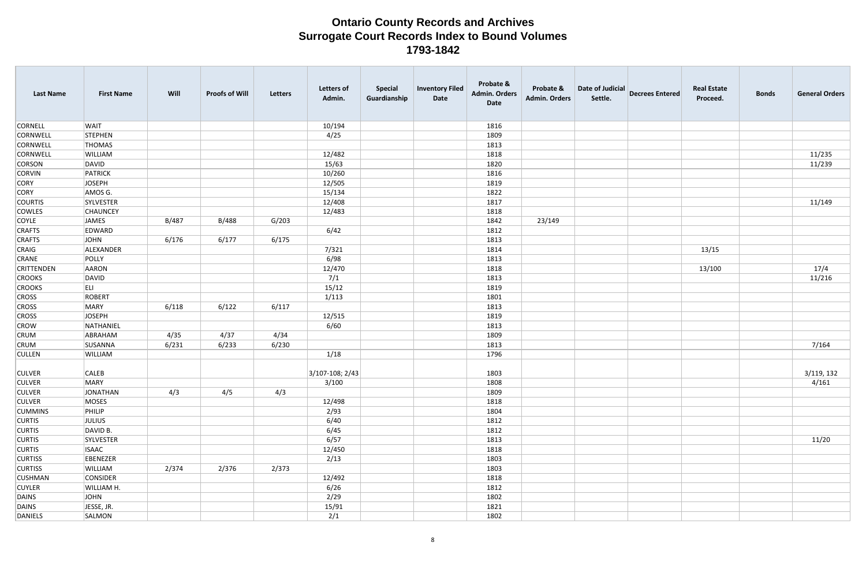| 10/194<br><b>CORNELL</b><br><b>WAIT</b><br>1816<br><b>CORNWELL</b><br>4/25<br>1809<br>STEPHEN<br><b>CORNWELL</b><br><b>THOMAS</b><br>1813<br>11/235<br><b>CORNWELL</b><br>WILLIAM<br>12/482<br>1818<br>11/239<br>15/63<br>1820<br><b>CORSON</b><br>DAVID<br><b>CORVIN</b><br>10/260<br>1816<br>PATRICK<br><b>CORY</b><br><b>JOSEPH</b><br>12/505<br>1819<br><b>CORY</b><br>AMOS G.<br>15/134<br>1822<br>11/149<br><b>COURTIS</b><br>12/408<br>SYLVESTER<br>1817<br><b>COWLES</b><br>12/483<br><b>CHAUNCEY</b><br>1818<br><b>COYLE</b><br>JAMES<br>B/488<br>23/149<br>B/487<br>G/203<br>1842<br><b>CRAFTS</b><br>EDWARD<br>6/42<br>1812<br>6/175<br><b>CRAFTS</b><br>JOHN<br>6/176<br>6/177<br>1813<br>CRAIG<br>ALEXANDER<br>7/321<br>1814<br>13/15<br>6/98<br><b>CRANE</b><br>POLLY<br>1813<br>17/4<br><b>CRITTENDEN</b><br>12/470<br>1818<br>13/100<br>AARON<br>11/216<br>7/1<br><b>CROOKS</b><br>DAVID<br>1813<br><b>CROOKS</b><br>ELI<br>15/12<br>1819<br><b>CROSS</b><br>ROBERT<br>1/113<br>1801<br><b>CROSS</b><br>MARY<br>6/122<br>6/117<br>1813<br>6/118<br><b>CROSS</b><br><b>JOSEPH</b><br>12/515<br>1819<br><b>CROW</b><br>6/60<br>NATHANIEL<br>1813<br><b>CRUM</b><br>4/35<br>4/37<br>4/34<br>ABRAHAM<br>1809<br>7/164<br><b>CRUM</b><br>6/231<br>6/230<br>SUSANNA<br>6/233<br>1813<br>1/18<br>1796<br><b>CULLEN</b><br>WILLIAM<br>3/119, 132<br>$ 3/107 - 108; 2/43 $<br>1803<br><b>CULVER</b><br><b>CALEB</b><br>3/100<br>4/161<br>1808<br>MARY<br>4/3<br>4/5<br><b>CULVER</b><br>JONATHAN<br>4/3<br>1809<br><b>CULVER</b><br>MOSES<br>12/498<br>1818<br><b>CUMMINS</b><br>PHILIP<br>2/93<br>1804<br><b>CURTIS</b><br>6/40<br><b>JULIUS</b><br>1812<br><b>CURTIS</b><br>DAVID B.<br>6/45<br>1812<br>6/57<br>11/20<br><b>CURTIS</b><br>1813<br>SYLVESTER<br><b>CURTIS</b><br><b>ISAAC</b><br>12/450<br>1818<br><b>CURTISS</b><br>EBENEZER<br>2/13<br>1803<br>2/376<br>2/373<br><b>CURTISS</b><br>WILLIAM<br>2/374<br>1803<br><b>CUSHMAN</b><br>CONSIDER<br>12/492<br>1818<br>6/26<br><b>CUYLER</b><br>WILLIAM H.<br>1812<br>2/29<br><b>JOHN</b><br>1802 | <b>Last Name</b> | <b>First Name</b> | Will | <b>Proofs of Will</b> | Letters | <b>Letters of</b><br>Admin. | <b>Special</b><br>Guardianship | <b>Inventory Filed</b><br>Date | Probate &<br><b>Admin. Orders</b><br><b>Date</b> | Probate &<br>Admin. Orders | Date of Judicial<br>Settle. | <b>Decrees Entered</b> | <b>Real Estate</b><br>Proceed. | <b>Bonds</b> | <b>General Orders</b> |
|---------------------------------------------------------------------------------------------------------------------------------------------------------------------------------------------------------------------------------------------------------------------------------------------------------------------------------------------------------------------------------------------------------------------------------------------------------------------------------------------------------------------------------------------------------------------------------------------------------------------------------------------------------------------------------------------------------------------------------------------------------------------------------------------------------------------------------------------------------------------------------------------------------------------------------------------------------------------------------------------------------------------------------------------------------------------------------------------------------------------------------------------------------------------------------------------------------------------------------------------------------------------------------------------------------------------------------------------------------------------------------------------------------------------------------------------------------------------------------------------------------------------------------------------------------------------------------------------------------------------------------------------------------------------------------------------------------------------------------------------------------------------------------------------------------------------------------------------------------------------------------------------------------------------------------------------------------------------------------------------------------------------------------------------------------------------|------------------|-------------------|------|-----------------------|---------|-----------------------------|--------------------------------|--------------------------------|--------------------------------------------------|----------------------------|-----------------------------|------------------------|--------------------------------|--------------|-----------------------|
|                                                                                                                                                                                                                                                                                                                                                                                                                                                                                                                                                                                                                                                                                                                                                                                                                                                                                                                                                                                                                                                                                                                                                                                                                                                                                                                                                                                                                                                                                                                                                                                                                                                                                                                                                                                                                                                                                                                                                                                                                                                                     |                  |                   |      |                       |         |                             |                                |                                |                                                  |                            |                             |                        |                                |              |                       |
|                                                                                                                                                                                                                                                                                                                                                                                                                                                                                                                                                                                                                                                                                                                                                                                                                                                                                                                                                                                                                                                                                                                                                                                                                                                                                                                                                                                                                                                                                                                                                                                                                                                                                                                                                                                                                                                                                                                                                                                                                                                                     |                  |                   |      |                       |         |                             |                                |                                |                                                  |                            |                             |                        |                                |              |                       |
|                                                                                                                                                                                                                                                                                                                                                                                                                                                                                                                                                                                                                                                                                                                                                                                                                                                                                                                                                                                                                                                                                                                                                                                                                                                                                                                                                                                                                                                                                                                                                                                                                                                                                                                                                                                                                                                                                                                                                                                                                                                                     |                  |                   |      |                       |         |                             |                                |                                |                                                  |                            |                             |                        |                                |              |                       |
|                                                                                                                                                                                                                                                                                                                                                                                                                                                                                                                                                                                                                                                                                                                                                                                                                                                                                                                                                                                                                                                                                                                                                                                                                                                                                                                                                                                                                                                                                                                                                                                                                                                                                                                                                                                                                                                                                                                                                                                                                                                                     |                  |                   |      |                       |         |                             |                                |                                |                                                  |                            |                             |                        |                                |              |                       |
|                                                                                                                                                                                                                                                                                                                                                                                                                                                                                                                                                                                                                                                                                                                                                                                                                                                                                                                                                                                                                                                                                                                                                                                                                                                                                                                                                                                                                                                                                                                                                                                                                                                                                                                                                                                                                                                                                                                                                                                                                                                                     |                  |                   |      |                       |         |                             |                                |                                |                                                  |                            |                             |                        |                                |              |                       |
|                                                                                                                                                                                                                                                                                                                                                                                                                                                                                                                                                                                                                                                                                                                                                                                                                                                                                                                                                                                                                                                                                                                                                                                                                                                                                                                                                                                                                                                                                                                                                                                                                                                                                                                                                                                                                                                                                                                                                                                                                                                                     |                  |                   |      |                       |         |                             |                                |                                |                                                  |                            |                             |                        |                                |              |                       |
|                                                                                                                                                                                                                                                                                                                                                                                                                                                                                                                                                                                                                                                                                                                                                                                                                                                                                                                                                                                                                                                                                                                                                                                                                                                                                                                                                                                                                                                                                                                                                                                                                                                                                                                                                                                                                                                                                                                                                                                                                                                                     |                  |                   |      |                       |         |                             |                                |                                |                                                  |                            |                             |                        |                                |              |                       |
|                                                                                                                                                                                                                                                                                                                                                                                                                                                                                                                                                                                                                                                                                                                                                                                                                                                                                                                                                                                                                                                                                                                                                                                                                                                                                                                                                                                                                                                                                                                                                                                                                                                                                                                                                                                                                                                                                                                                                                                                                                                                     |                  |                   |      |                       |         |                             |                                |                                |                                                  |                            |                             |                        |                                |              |                       |
|                                                                                                                                                                                                                                                                                                                                                                                                                                                                                                                                                                                                                                                                                                                                                                                                                                                                                                                                                                                                                                                                                                                                                                                                                                                                                                                                                                                                                                                                                                                                                                                                                                                                                                                                                                                                                                                                                                                                                                                                                                                                     |                  |                   |      |                       |         |                             |                                |                                |                                                  |                            |                             |                        |                                |              |                       |
|                                                                                                                                                                                                                                                                                                                                                                                                                                                                                                                                                                                                                                                                                                                                                                                                                                                                                                                                                                                                                                                                                                                                                                                                                                                                                                                                                                                                                                                                                                                                                                                                                                                                                                                                                                                                                                                                                                                                                                                                                                                                     |                  |                   |      |                       |         |                             |                                |                                |                                                  |                            |                             |                        |                                |              |                       |
|                                                                                                                                                                                                                                                                                                                                                                                                                                                                                                                                                                                                                                                                                                                                                                                                                                                                                                                                                                                                                                                                                                                                                                                                                                                                                                                                                                                                                                                                                                                                                                                                                                                                                                                                                                                                                                                                                                                                                                                                                                                                     |                  |                   |      |                       |         |                             |                                |                                |                                                  |                            |                             |                        |                                |              |                       |
|                                                                                                                                                                                                                                                                                                                                                                                                                                                                                                                                                                                                                                                                                                                                                                                                                                                                                                                                                                                                                                                                                                                                                                                                                                                                                                                                                                                                                                                                                                                                                                                                                                                                                                                                                                                                                                                                                                                                                                                                                                                                     |                  |                   |      |                       |         |                             |                                |                                |                                                  |                            |                             |                        |                                |              |                       |
|                                                                                                                                                                                                                                                                                                                                                                                                                                                                                                                                                                                                                                                                                                                                                                                                                                                                                                                                                                                                                                                                                                                                                                                                                                                                                                                                                                                                                                                                                                                                                                                                                                                                                                                                                                                                                                                                                                                                                                                                                                                                     |                  |                   |      |                       |         |                             |                                |                                |                                                  |                            |                             |                        |                                |              |                       |
|                                                                                                                                                                                                                                                                                                                                                                                                                                                                                                                                                                                                                                                                                                                                                                                                                                                                                                                                                                                                                                                                                                                                                                                                                                                                                                                                                                                                                                                                                                                                                                                                                                                                                                                                                                                                                                                                                                                                                                                                                                                                     |                  |                   |      |                       |         |                             |                                |                                |                                                  |                            |                             |                        |                                |              |                       |
|                                                                                                                                                                                                                                                                                                                                                                                                                                                                                                                                                                                                                                                                                                                                                                                                                                                                                                                                                                                                                                                                                                                                                                                                                                                                                                                                                                                                                                                                                                                                                                                                                                                                                                                                                                                                                                                                                                                                                                                                                                                                     |                  |                   |      |                       |         |                             |                                |                                |                                                  |                            |                             |                        |                                |              |                       |
|                                                                                                                                                                                                                                                                                                                                                                                                                                                                                                                                                                                                                                                                                                                                                                                                                                                                                                                                                                                                                                                                                                                                                                                                                                                                                                                                                                                                                                                                                                                                                                                                                                                                                                                                                                                                                                                                                                                                                                                                                                                                     |                  |                   |      |                       |         |                             |                                |                                |                                                  |                            |                             |                        |                                |              |                       |
|                                                                                                                                                                                                                                                                                                                                                                                                                                                                                                                                                                                                                                                                                                                                                                                                                                                                                                                                                                                                                                                                                                                                                                                                                                                                                                                                                                                                                                                                                                                                                                                                                                                                                                                                                                                                                                                                                                                                                                                                                                                                     |                  |                   |      |                       |         |                             |                                |                                |                                                  |                            |                             |                        |                                |              |                       |
|                                                                                                                                                                                                                                                                                                                                                                                                                                                                                                                                                                                                                                                                                                                                                                                                                                                                                                                                                                                                                                                                                                                                                                                                                                                                                                                                                                                                                                                                                                                                                                                                                                                                                                                                                                                                                                                                                                                                                                                                                                                                     |                  |                   |      |                       |         |                             |                                |                                |                                                  |                            |                             |                        |                                |              |                       |
|                                                                                                                                                                                                                                                                                                                                                                                                                                                                                                                                                                                                                                                                                                                                                                                                                                                                                                                                                                                                                                                                                                                                                                                                                                                                                                                                                                                                                                                                                                                                                                                                                                                                                                                                                                                                                                                                                                                                                                                                                                                                     |                  |                   |      |                       |         |                             |                                |                                |                                                  |                            |                             |                        |                                |              |                       |
|                                                                                                                                                                                                                                                                                                                                                                                                                                                                                                                                                                                                                                                                                                                                                                                                                                                                                                                                                                                                                                                                                                                                                                                                                                                                                                                                                                                                                                                                                                                                                                                                                                                                                                                                                                                                                                                                                                                                                                                                                                                                     |                  |                   |      |                       |         |                             |                                |                                |                                                  |                            |                             |                        |                                |              |                       |
|                                                                                                                                                                                                                                                                                                                                                                                                                                                                                                                                                                                                                                                                                                                                                                                                                                                                                                                                                                                                                                                                                                                                                                                                                                                                                                                                                                                                                                                                                                                                                                                                                                                                                                                                                                                                                                                                                                                                                                                                                                                                     |                  |                   |      |                       |         |                             |                                |                                |                                                  |                            |                             |                        |                                |              |                       |
|                                                                                                                                                                                                                                                                                                                                                                                                                                                                                                                                                                                                                                                                                                                                                                                                                                                                                                                                                                                                                                                                                                                                                                                                                                                                                                                                                                                                                                                                                                                                                                                                                                                                                                                                                                                                                                                                                                                                                                                                                                                                     |                  |                   |      |                       |         |                             |                                |                                |                                                  |                            |                             |                        |                                |              |                       |
|                                                                                                                                                                                                                                                                                                                                                                                                                                                                                                                                                                                                                                                                                                                                                                                                                                                                                                                                                                                                                                                                                                                                                                                                                                                                                                                                                                                                                                                                                                                                                                                                                                                                                                                                                                                                                                                                                                                                                                                                                                                                     |                  |                   |      |                       |         |                             |                                |                                |                                                  |                            |                             |                        |                                |              |                       |
|                                                                                                                                                                                                                                                                                                                                                                                                                                                                                                                                                                                                                                                                                                                                                                                                                                                                                                                                                                                                                                                                                                                                                                                                                                                                                                                                                                                                                                                                                                                                                                                                                                                                                                                                                                                                                                                                                                                                                                                                                                                                     |                  |                   |      |                       |         |                             |                                |                                |                                                  |                            |                             |                        |                                |              |                       |
|                                                                                                                                                                                                                                                                                                                                                                                                                                                                                                                                                                                                                                                                                                                                                                                                                                                                                                                                                                                                                                                                                                                                                                                                                                                                                                                                                                                                                                                                                                                                                                                                                                                                                                                                                                                                                                                                                                                                                                                                                                                                     |                  |                   |      |                       |         |                             |                                |                                |                                                  |                            |                             |                        |                                |              |                       |
|                                                                                                                                                                                                                                                                                                                                                                                                                                                                                                                                                                                                                                                                                                                                                                                                                                                                                                                                                                                                                                                                                                                                                                                                                                                                                                                                                                                                                                                                                                                                                                                                                                                                                                                                                                                                                                                                                                                                                                                                                                                                     |                  |                   |      |                       |         |                             |                                |                                |                                                  |                            |                             |                        |                                |              |                       |
|                                                                                                                                                                                                                                                                                                                                                                                                                                                                                                                                                                                                                                                                                                                                                                                                                                                                                                                                                                                                                                                                                                                                                                                                                                                                                                                                                                                                                                                                                                                                                                                                                                                                                                                                                                                                                                                                                                                                                                                                                                                                     |                  |                   |      |                       |         |                             |                                |                                |                                                  |                            |                             |                        |                                |              |                       |
|                                                                                                                                                                                                                                                                                                                                                                                                                                                                                                                                                                                                                                                                                                                                                                                                                                                                                                                                                                                                                                                                                                                                                                                                                                                                                                                                                                                                                                                                                                                                                                                                                                                                                                                                                                                                                                                                                                                                                                                                                                                                     | <b>CULVER</b>    |                   |      |                       |         |                             |                                |                                |                                                  |                            |                             |                        |                                |              |                       |
|                                                                                                                                                                                                                                                                                                                                                                                                                                                                                                                                                                                                                                                                                                                                                                                                                                                                                                                                                                                                                                                                                                                                                                                                                                                                                                                                                                                                                                                                                                                                                                                                                                                                                                                                                                                                                                                                                                                                                                                                                                                                     |                  |                   |      |                       |         |                             |                                |                                |                                                  |                            |                             |                        |                                |              |                       |
|                                                                                                                                                                                                                                                                                                                                                                                                                                                                                                                                                                                                                                                                                                                                                                                                                                                                                                                                                                                                                                                                                                                                                                                                                                                                                                                                                                                                                                                                                                                                                                                                                                                                                                                                                                                                                                                                                                                                                                                                                                                                     |                  |                   |      |                       |         |                             |                                |                                |                                                  |                            |                             |                        |                                |              |                       |
|                                                                                                                                                                                                                                                                                                                                                                                                                                                                                                                                                                                                                                                                                                                                                                                                                                                                                                                                                                                                                                                                                                                                                                                                                                                                                                                                                                                                                                                                                                                                                                                                                                                                                                                                                                                                                                                                                                                                                                                                                                                                     |                  |                   |      |                       |         |                             |                                |                                |                                                  |                            |                             |                        |                                |              |                       |
|                                                                                                                                                                                                                                                                                                                                                                                                                                                                                                                                                                                                                                                                                                                                                                                                                                                                                                                                                                                                                                                                                                                                                                                                                                                                                                                                                                                                                                                                                                                                                                                                                                                                                                                                                                                                                                                                                                                                                                                                                                                                     |                  |                   |      |                       |         |                             |                                |                                |                                                  |                            |                             |                        |                                |              |                       |
|                                                                                                                                                                                                                                                                                                                                                                                                                                                                                                                                                                                                                                                                                                                                                                                                                                                                                                                                                                                                                                                                                                                                                                                                                                                                                                                                                                                                                                                                                                                                                                                                                                                                                                                                                                                                                                                                                                                                                                                                                                                                     |                  |                   |      |                       |         |                             |                                |                                |                                                  |                            |                             |                        |                                |              |                       |
|                                                                                                                                                                                                                                                                                                                                                                                                                                                                                                                                                                                                                                                                                                                                                                                                                                                                                                                                                                                                                                                                                                                                                                                                                                                                                                                                                                                                                                                                                                                                                                                                                                                                                                                                                                                                                                                                                                                                                                                                                                                                     |                  |                   |      |                       |         |                             |                                |                                |                                                  |                            |                             |                        |                                |              |                       |
|                                                                                                                                                                                                                                                                                                                                                                                                                                                                                                                                                                                                                                                                                                                                                                                                                                                                                                                                                                                                                                                                                                                                                                                                                                                                                                                                                                                                                                                                                                                                                                                                                                                                                                                                                                                                                                                                                                                                                                                                                                                                     |                  |                   |      |                       |         |                             |                                |                                |                                                  |                            |                             |                        |                                |              |                       |
|                                                                                                                                                                                                                                                                                                                                                                                                                                                                                                                                                                                                                                                                                                                                                                                                                                                                                                                                                                                                                                                                                                                                                                                                                                                                                                                                                                                                                                                                                                                                                                                                                                                                                                                                                                                                                                                                                                                                                                                                                                                                     |                  |                   |      |                       |         |                             |                                |                                |                                                  |                            |                             |                        |                                |              |                       |
|                                                                                                                                                                                                                                                                                                                                                                                                                                                                                                                                                                                                                                                                                                                                                                                                                                                                                                                                                                                                                                                                                                                                                                                                                                                                                                                                                                                                                                                                                                                                                                                                                                                                                                                                                                                                                                                                                                                                                                                                                                                                     |                  |                   |      |                       |         |                             |                                |                                |                                                  |                            |                             |                        |                                |              |                       |
|                                                                                                                                                                                                                                                                                                                                                                                                                                                                                                                                                                                                                                                                                                                                                                                                                                                                                                                                                                                                                                                                                                                                                                                                                                                                                                                                                                                                                                                                                                                                                                                                                                                                                                                                                                                                                                                                                                                                                                                                                                                                     |                  |                   |      |                       |         |                             |                                |                                |                                                  |                            |                             |                        |                                |              |                       |
|                                                                                                                                                                                                                                                                                                                                                                                                                                                                                                                                                                                                                                                                                                                                                                                                                                                                                                                                                                                                                                                                                                                                                                                                                                                                                                                                                                                                                                                                                                                                                                                                                                                                                                                                                                                                                                                                                                                                                                                                                                                                     |                  |                   |      |                       |         |                             |                                |                                |                                                  |                            |                             |                        |                                |              |                       |
|                                                                                                                                                                                                                                                                                                                                                                                                                                                                                                                                                                                                                                                                                                                                                                                                                                                                                                                                                                                                                                                                                                                                                                                                                                                                                                                                                                                                                                                                                                                                                                                                                                                                                                                                                                                                                                                                                                                                                                                                                                                                     | DAINS            |                   |      |                       |         |                             |                                |                                |                                                  |                            |                             |                        |                                |              |                       |
| JESSE, JR.<br>15/91<br>1821                                                                                                                                                                                                                                                                                                                                                                                                                                                                                                                                                                                                                                                                                                                                                                                                                                                                                                                                                                                                                                                                                                                                                                                                                                                                                                                                                                                                                                                                                                                                                                                                                                                                                                                                                                                                                                                                                                                                                                                                                                         | DAINS            |                   |      |                       |         |                             |                                |                                |                                                  |                            |                             |                        |                                |              |                       |
| 2/1<br>SALMON<br>1802                                                                                                                                                                                                                                                                                                                                                                                                                                                                                                                                                                                                                                                                                                                                                                                                                                                                                                                                                                                                                                                                                                                                                                                                                                                                                                                                                                                                                                                                                                                                                                                                                                                                                                                                                                                                                                                                                                                                                                                                                                               | DANIELS          |                   |      |                       |         |                             |                                |                                |                                                  |                            |                             |                        |                                |              |                       |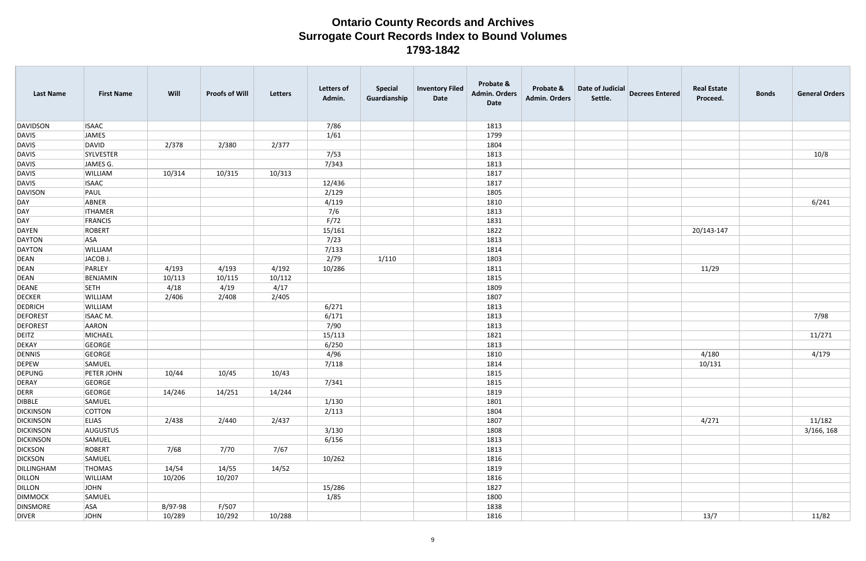| <b>Last Name</b> | <b>First Name</b> | Will    | <b>Proofs of Will</b> | Letters | <b>Letters of</b><br>Admin. | <b>Special</b><br>Guardianship | <b>Inventory Filed</b><br>Date | Probate &<br><b>Admin. Orders</b><br>Date | Probate &<br><b>Admin. Orders</b> | Date of Judicial<br>Settle. | <b>Decrees Entered</b> | <b>Real Estate</b><br>Proceed. | <b>Bonds</b> | <b>General Orders</b> |
|------------------|-------------------|---------|-----------------------|---------|-----------------------------|--------------------------------|--------------------------------|-------------------------------------------|-----------------------------------|-----------------------------|------------------------|--------------------------------|--------------|-----------------------|
| DAVIDSON         | <b>ISAAC</b>      |         |                       |         | 7/86                        |                                |                                | 1813                                      |                                   |                             |                        |                                |              |                       |
| DAVIS            | JAMES             |         |                       |         | 1/61                        |                                |                                | 1799                                      |                                   |                             |                        |                                |              |                       |
| DAVIS            | DAVID             | 2/378   | 2/380                 | 2/377   |                             |                                |                                | 1804                                      |                                   |                             |                        |                                |              |                       |
| DAVIS            | SYLVESTER         |         |                       |         | 7/53                        |                                |                                | 1813                                      |                                   |                             |                        |                                |              | 10/8                  |
| DAVIS            | JAMES G.          |         |                       |         | 7/343                       |                                |                                | 1813                                      |                                   |                             |                        |                                |              |                       |
| DAVIS            | <b>WILLIAM</b>    | 10/314  | 10/315                | 10/313  |                             |                                |                                | 1817                                      |                                   |                             |                        |                                |              |                       |
| DAVIS            | <b>ISAAC</b>      |         |                       |         | 12/436                      |                                |                                | 1817                                      |                                   |                             |                        |                                |              |                       |
| DAVISON          | PAUL              |         |                       |         | 2/129                       |                                |                                | 1805                                      |                                   |                             |                        |                                |              |                       |
| DAY              | ABNER             |         |                       |         | 4/119                       |                                |                                | 1810                                      |                                   |                             |                        |                                |              | 6/241                 |
| DAY              | <b>ITHAMER</b>    |         |                       |         | 7/6                         |                                |                                | 1813                                      |                                   |                             |                        |                                |              |                       |
| DAY              | FRANCIS           |         |                       |         | F/72                        |                                |                                | 1831                                      |                                   |                             |                        |                                |              |                       |
| DAYEN            | ROBERT            |         |                       |         | 15/161                      |                                |                                | 1822                                      |                                   |                             |                        | 20/143-147                     |              |                       |
| DAYTON           | <b>ASA</b>        |         |                       |         | 7/23                        |                                |                                | 1813                                      |                                   |                             |                        |                                |              |                       |
| <b>DAYTON</b>    | <b>WILLIAM</b>    |         |                       |         | 7/133                       |                                |                                | 1814                                      |                                   |                             |                        |                                |              |                       |
| <b>DEAN</b>      | JACOB J.          |         |                       |         | 2/79                        | 1/110                          |                                | 1803                                      |                                   |                             |                        |                                |              |                       |
| <b>DEAN</b>      | PARLEY            | 4/193   | 4/193                 | 4/192   | 10/286                      |                                |                                | 1811                                      |                                   |                             |                        | 11/29                          |              |                       |
| <b>DEAN</b>      | BENJAMIN          | 10/113  | 10/115                | 10/112  |                             |                                |                                | 1815                                      |                                   |                             |                        |                                |              |                       |
| DEANE            | <b>SETH</b>       | 4/18    | 4/19                  | 4/17    |                             |                                |                                | 1809                                      |                                   |                             |                        |                                |              |                       |
| <b>DECKER</b>    | <b>WILLIAM</b>    | 2/406   | 2/408                 | 2/405   |                             |                                |                                | 1807                                      |                                   |                             |                        |                                |              |                       |
| <b>DEDRICH</b>   | <b>WILLIAM</b>    |         |                       |         | 6/271                       |                                |                                | 1813                                      |                                   |                             |                        |                                |              |                       |
| <b>DEFOREST</b>  | ISAAC M.          |         |                       |         | 6/171                       |                                |                                | 1813                                      |                                   |                             |                        |                                |              | 7/98                  |
| <b>DEFOREST</b>  | AARON             |         |                       |         | 7/90                        |                                |                                | 1813                                      |                                   |                             |                        |                                |              |                       |
| <b>DEITZ</b>     | MICHAEL           |         |                       |         | 15/113                      |                                |                                | 1821                                      |                                   |                             |                        |                                |              | 11/271                |
| <b>DEKAY</b>     | GEORGE            |         |                       |         | 6/250                       |                                |                                | 1813                                      |                                   |                             |                        |                                |              |                       |
| DENNIS           | GEORGE            |         |                       |         | 4/96                        |                                |                                | 1810                                      |                                   |                             |                        | 4/180                          |              | 4/179                 |
| <b>DEPEW</b>     | SAMUEL            |         |                       |         | 7/118                       |                                |                                | 1814                                      |                                   |                             |                        | 10/131                         |              |                       |
| <b>DEPUNG</b>    | PETER JOHN        | 10/44   | 10/45                 | 10/43   |                             |                                |                                | 1815                                      |                                   |                             |                        |                                |              |                       |
| DERAY            | GEORGE            |         |                       |         | 7/341                       |                                |                                | 1815                                      |                                   |                             |                        |                                |              |                       |
| DERR             | GEORGE            | 14/246  | 14/251                | 14/244  |                             |                                |                                | 1819                                      |                                   |                             |                        |                                |              |                       |
| <b>DIBBLE</b>    | SAMUEL            |         |                       |         | 1/130                       |                                |                                | 1801                                      |                                   |                             |                        |                                |              |                       |
| <b>DICKINSON</b> | <b>COTTON</b>     |         |                       |         | 2/113                       |                                |                                | 1804                                      |                                   |                             |                        |                                |              |                       |
| <b>DICKINSON</b> | <b>ELIAS</b>      | 2/438   | 2/440                 | 2/437   |                             |                                |                                | 1807                                      |                                   |                             |                        | 4/271                          |              | 11/182                |
| <b>DICKINSON</b> | AUGUSTUS          |         |                       |         | 3/130                       |                                |                                | 1808                                      |                                   |                             |                        |                                |              | 3/166, 168            |
| <b>DICKINSON</b> | SAMUEL            |         |                       |         | 6/156                       |                                |                                | 1813                                      |                                   |                             |                        |                                |              |                       |
| <b>DICKSON</b>   | ROBERT            | 7/68    | 7/70                  | 7/67    |                             |                                |                                | 1813                                      |                                   |                             |                        |                                |              |                       |
| <b>DICKSON</b>   | SAMUEL            |         |                       |         | 10/262                      |                                |                                | 1816                                      |                                   |                             |                        |                                |              |                       |
| DILLINGHAM       | THOMAS            | 14/54   | 14/55                 | 14/52   |                             |                                |                                | 1819                                      |                                   |                             |                        |                                |              |                       |
| DILLON           | WILLIAM           | 10/206  | 10/207                |         |                             |                                |                                | 1816                                      |                                   |                             |                        |                                |              |                       |
| DILLON           | JOHN              |         |                       |         | 15/286                      |                                |                                | 1827                                      |                                   |                             |                        |                                |              |                       |
| <b>DIMMOCK</b>   | SAMUEL            |         |                       |         | 1/85                        |                                |                                | 1800                                      |                                   |                             |                        |                                |              |                       |
| <b>DINSMORE</b>  | <b>ASA</b>        | B/97-98 | F/507                 |         |                             |                                |                                | 1838                                      |                                   |                             |                        |                                |              |                       |
| <b>DIVER</b>     | JOHN              | 10/289  | 10/292                | 10/288  |                             |                                |                                | 1816                                      |                                   |                             |                        | 13/7                           |              | 11/82                 |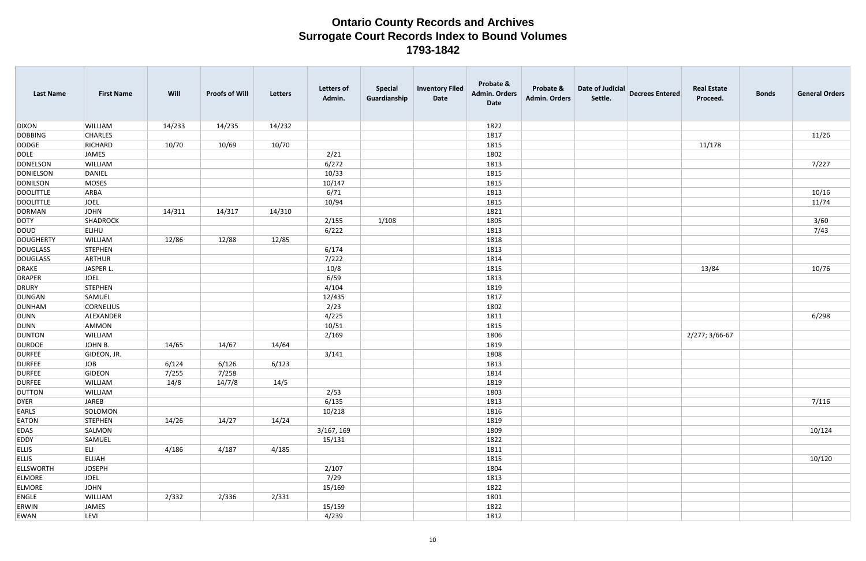| 14/233<br>14/235<br>14/232<br><b>DIXON</b><br>WILLIAM<br>1822<br>11/26<br><b>DOBBING</b><br><b>CHARLES</b><br>1817<br>10/70<br><b>DODGE</b><br>RICHARD<br>10/70<br>10/69<br>1815<br>11/178<br>JAMES<br><b>DOLE</b><br>2/21<br>1802<br>7/227<br>WILLIAM<br>6/272<br><b>DONELSON</b><br>1813<br>DANIEL<br>10/33<br><b>DONIELSON</b><br>1815<br><b>DONILSON</b><br>MOSES<br>10/147<br>1815<br>10/16<br>6/71<br>1813<br><b>DOOLITTLE</b><br>ARBA<br>11/74<br><b>DOOLITTLE</b><br><b>JOEL</b><br>10/94<br>1815<br>DORMAN<br><b>JOHN</b><br>14/317<br>14/311<br>14/310<br>1821<br>3/60<br><b>DOTY</b><br>SHADROCK<br>1/108<br>1805<br>2/155<br>7/43<br><b>ELIHU</b><br>6/222<br>1813<br>DOUD<br>12/86<br>12/85<br><b>DOUGHERTY</b><br>WILLIAM<br>12/88<br>1818<br><b>DOUGLASS</b><br>STEPHEN<br>6/174<br>1813<br>7/222<br><b>DOUGLASS</b><br>ARTHUR<br>1814<br><b>DRAKE</b><br>JASPER L.<br>10/8<br>10/76<br>1815<br>13/84<br>6/59<br><b>DRAPER</b><br>JOEL<br>1813<br><b>DRURY</b><br>STEPHEN<br>4/104<br>1819<br>12/435<br>DUNGAN<br>SAMUEL<br>1817<br>2/23<br>DUNHAM<br><b>CORNELIUS</b><br>1802<br>6/298<br>DUNN<br>4/225<br>ALEXANDER<br>1811<br><b>DUNN</b><br>AMMON<br>10/51<br>1815 | <b>Last Name</b> | <b>First Name</b> | Will | <b>Proofs of Will</b> | Letters | <b>Letters of</b><br>Admin. | <b>Special</b><br>Guardianship | <b>Inventory Filed</b><br>Date | Probate &<br><b>Admin. Orders</b><br><b>Date</b> | Probate &<br><b>Admin. Orders</b> | Date of Judicial<br>Settle. | <b>Decrees Entered</b> | <b>Real Estate</b><br>Proceed. | <b>Bonds</b> | <b>General Orders</b> |
|---------------------------------------------------------------------------------------------------------------------------------------------------------------------------------------------------------------------------------------------------------------------------------------------------------------------------------------------------------------------------------------------------------------------------------------------------------------------------------------------------------------------------------------------------------------------------------------------------------------------------------------------------------------------------------------------------------------------------------------------------------------------------------------------------------------------------------------------------------------------------------------------------------------------------------------------------------------------------------------------------------------------------------------------------------------------------------------------------------------------------------------------------------------------------------------|------------------|-------------------|------|-----------------------|---------|-----------------------------|--------------------------------|--------------------------------|--------------------------------------------------|-----------------------------------|-----------------------------|------------------------|--------------------------------|--------------|-----------------------|
|                                                                                                                                                                                                                                                                                                                                                                                                                                                                                                                                                                                                                                                                                                                                                                                                                                                                                                                                                                                                                                                                                                                                                                                       |                  |                   |      |                       |         |                             |                                |                                |                                                  |                                   |                             |                        |                                |              |                       |
|                                                                                                                                                                                                                                                                                                                                                                                                                                                                                                                                                                                                                                                                                                                                                                                                                                                                                                                                                                                                                                                                                                                                                                                       |                  |                   |      |                       |         |                             |                                |                                |                                                  |                                   |                             |                        |                                |              |                       |
|                                                                                                                                                                                                                                                                                                                                                                                                                                                                                                                                                                                                                                                                                                                                                                                                                                                                                                                                                                                                                                                                                                                                                                                       |                  |                   |      |                       |         |                             |                                |                                |                                                  |                                   |                             |                        |                                |              |                       |
|                                                                                                                                                                                                                                                                                                                                                                                                                                                                                                                                                                                                                                                                                                                                                                                                                                                                                                                                                                                                                                                                                                                                                                                       |                  |                   |      |                       |         |                             |                                |                                |                                                  |                                   |                             |                        |                                |              |                       |
|                                                                                                                                                                                                                                                                                                                                                                                                                                                                                                                                                                                                                                                                                                                                                                                                                                                                                                                                                                                                                                                                                                                                                                                       |                  |                   |      |                       |         |                             |                                |                                |                                                  |                                   |                             |                        |                                |              |                       |
|                                                                                                                                                                                                                                                                                                                                                                                                                                                                                                                                                                                                                                                                                                                                                                                                                                                                                                                                                                                                                                                                                                                                                                                       |                  |                   |      |                       |         |                             |                                |                                |                                                  |                                   |                             |                        |                                |              |                       |
|                                                                                                                                                                                                                                                                                                                                                                                                                                                                                                                                                                                                                                                                                                                                                                                                                                                                                                                                                                                                                                                                                                                                                                                       |                  |                   |      |                       |         |                             |                                |                                |                                                  |                                   |                             |                        |                                |              |                       |
|                                                                                                                                                                                                                                                                                                                                                                                                                                                                                                                                                                                                                                                                                                                                                                                                                                                                                                                                                                                                                                                                                                                                                                                       |                  |                   |      |                       |         |                             |                                |                                |                                                  |                                   |                             |                        |                                |              |                       |
|                                                                                                                                                                                                                                                                                                                                                                                                                                                                                                                                                                                                                                                                                                                                                                                                                                                                                                                                                                                                                                                                                                                                                                                       |                  |                   |      |                       |         |                             |                                |                                |                                                  |                                   |                             |                        |                                |              |                       |
|                                                                                                                                                                                                                                                                                                                                                                                                                                                                                                                                                                                                                                                                                                                                                                                                                                                                                                                                                                                                                                                                                                                                                                                       |                  |                   |      |                       |         |                             |                                |                                |                                                  |                                   |                             |                        |                                |              |                       |
|                                                                                                                                                                                                                                                                                                                                                                                                                                                                                                                                                                                                                                                                                                                                                                                                                                                                                                                                                                                                                                                                                                                                                                                       |                  |                   |      |                       |         |                             |                                |                                |                                                  |                                   |                             |                        |                                |              |                       |
|                                                                                                                                                                                                                                                                                                                                                                                                                                                                                                                                                                                                                                                                                                                                                                                                                                                                                                                                                                                                                                                                                                                                                                                       |                  |                   |      |                       |         |                             |                                |                                |                                                  |                                   |                             |                        |                                |              |                       |
|                                                                                                                                                                                                                                                                                                                                                                                                                                                                                                                                                                                                                                                                                                                                                                                                                                                                                                                                                                                                                                                                                                                                                                                       |                  |                   |      |                       |         |                             |                                |                                |                                                  |                                   |                             |                        |                                |              |                       |
|                                                                                                                                                                                                                                                                                                                                                                                                                                                                                                                                                                                                                                                                                                                                                                                                                                                                                                                                                                                                                                                                                                                                                                                       |                  |                   |      |                       |         |                             |                                |                                |                                                  |                                   |                             |                        |                                |              |                       |
|                                                                                                                                                                                                                                                                                                                                                                                                                                                                                                                                                                                                                                                                                                                                                                                                                                                                                                                                                                                                                                                                                                                                                                                       |                  |                   |      |                       |         |                             |                                |                                |                                                  |                                   |                             |                        |                                |              |                       |
|                                                                                                                                                                                                                                                                                                                                                                                                                                                                                                                                                                                                                                                                                                                                                                                                                                                                                                                                                                                                                                                                                                                                                                                       |                  |                   |      |                       |         |                             |                                |                                |                                                  |                                   |                             |                        |                                |              |                       |
|                                                                                                                                                                                                                                                                                                                                                                                                                                                                                                                                                                                                                                                                                                                                                                                                                                                                                                                                                                                                                                                                                                                                                                                       |                  |                   |      |                       |         |                             |                                |                                |                                                  |                                   |                             |                        |                                |              |                       |
|                                                                                                                                                                                                                                                                                                                                                                                                                                                                                                                                                                                                                                                                                                                                                                                                                                                                                                                                                                                                                                                                                                                                                                                       |                  |                   |      |                       |         |                             |                                |                                |                                                  |                                   |                             |                        |                                |              |                       |
|                                                                                                                                                                                                                                                                                                                                                                                                                                                                                                                                                                                                                                                                                                                                                                                                                                                                                                                                                                                                                                                                                                                                                                                       |                  |                   |      |                       |         |                             |                                |                                |                                                  |                                   |                             |                        |                                |              |                       |
|                                                                                                                                                                                                                                                                                                                                                                                                                                                                                                                                                                                                                                                                                                                                                                                                                                                                                                                                                                                                                                                                                                                                                                                       |                  |                   |      |                       |         |                             |                                |                                |                                                  |                                   |                             |                        |                                |              |                       |
|                                                                                                                                                                                                                                                                                                                                                                                                                                                                                                                                                                                                                                                                                                                                                                                                                                                                                                                                                                                                                                                                                                                                                                                       |                  |                   |      |                       |         |                             |                                |                                |                                                  |                                   |                             |                        |                                |              |                       |
|                                                                                                                                                                                                                                                                                                                                                                                                                                                                                                                                                                                                                                                                                                                                                                                                                                                                                                                                                                                                                                                                                                                                                                                       |                  |                   |      |                       |         |                             |                                |                                |                                                  |                                   |                             |                        |                                |              |                       |
|                                                                                                                                                                                                                                                                                                                                                                                                                                                                                                                                                                                                                                                                                                                                                                                                                                                                                                                                                                                                                                                                                                                                                                                       | <b>DUNTON</b>    | WILLIAM           |      |                       |         | 2/169                       |                                |                                | 1806                                             |                                   |                             |                        | 2/277; 3/66-67                 |              |                       |
| <b>DURDOE</b><br>JOHN B.<br>14/65<br>14/64<br>14/67<br>1819                                                                                                                                                                                                                                                                                                                                                                                                                                                                                                                                                                                                                                                                                                                                                                                                                                                                                                                                                                                                                                                                                                                           |                  |                   |      |                       |         |                             |                                |                                |                                                  |                                   |                             |                        |                                |              |                       |
| <b>DURFEE</b><br>GIDEON, JR.<br>3/141<br>1808                                                                                                                                                                                                                                                                                                                                                                                                                                                                                                                                                                                                                                                                                                                                                                                                                                                                                                                                                                                                                                                                                                                                         |                  |                   |      |                       |         |                             |                                |                                |                                                  |                                   |                             |                        |                                |              |                       |
| JOB<br>6/124<br>6/123<br><b>DURFEE</b><br>6/126<br>1813                                                                                                                                                                                                                                                                                                                                                                                                                                                                                                                                                                                                                                                                                                                                                                                                                                                                                                                                                                                                                                                                                                                               |                  |                   |      |                       |         |                             |                                |                                |                                                  |                                   |                             |                        |                                |              |                       |
| GIDEON<br>7/255<br>7/258<br><b>DURFEE</b><br>1814                                                                                                                                                                                                                                                                                                                                                                                                                                                                                                                                                                                                                                                                                                                                                                                                                                                                                                                                                                                                                                                                                                                                     |                  |                   |      |                       |         |                             |                                |                                |                                                  |                                   |                             |                        |                                |              |                       |
| 14/7/8<br>14/5<br>WILLIAM<br>14/8<br>1819<br>DURFEE                                                                                                                                                                                                                                                                                                                                                                                                                                                                                                                                                                                                                                                                                                                                                                                                                                                                                                                                                                                                                                                                                                                                   |                  |                   |      |                       |         |                             |                                |                                |                                                  |                                   |                             |                        |                                |              |                       |
| <b>DUTTON</b><br>WILLIAM<br>2/53<br>1803                                                                                                                                                                                                                                                                                                                                                                                                                                                                                                                                                                                                                                                                                                                                                                                                                                                                                                                                                                                                                                                                                                                                              |                  |                   |      |                       |         |                             |                                |                                |                                                  |                                   |                             |                        |                                |              |                       |
| 7/116<br>DYER<br>JAREB<br>6/135<br>1813                                                                                                                                                                                                                                                                                                                                                                                                                                                                                                                                                                                                                                                                                                                                                                                                                                                                                                                                                                                                                                                                                                                                               |                  |                   |      |                       |         |                             |                                |                                |                                                  |                                   |                             |                        |                                |              |                       |
| EARLS<br>SOLOMON<br>10/218<br>1816                                                                                                                                                                                                                                                                                                                                                                                                                                                                                                                                                                                                                                                                                                                                                                                                                                                                                                                                                                                                                                                                                                                                                    |                  |                   |      |                       |         |                             |                                |                                |                                                  |                                   |                             |                        |                                |              |                       |
| <b>EATON</b><br>STEPHEN<br>14/26<br>14/27<br>14/24<br>1819                                                                                                                                                                                                                                                                                                                                                                                                                                                                                                                                                                                                                                                                                                                                                                                                                                                                                                                                                                                                                                                                                                                            |                  |                   |      |                       |         |                             |                                |                                |                                                  |                                   |                             |                        |                                |              |                       |
| 10/124<br>SALMON<br>3/167, 169<br>1809<br>EDAS                                                                                                                                                                                                                                                                                                                                                                                                                                                                                                                                                                                                                                                                                                                                                                                                                                                                                                                                                                                                                                                                                                                                        |                  |                   |      |                       |         |                             |                                |                                |                                                  |                                   |                             |                        |                                |              |                       |
| <b>EDDY</b><br>15/131<br>SAMUEL<br>1822                                                                                                                                                                                                                                                                                                                                                                                                                                                                                                                                                                                                                                                                                                                                                                                                                                                                                                                                                                                                                                                                                                                                               |                  |                   |      |                       |         |                             |                                |                                |                                                  |                                   |                             |                        |                                |              |                       |
| <b>ELLIS</b><br>ELI<br>4/185<br>4/186<br>4/187<br>1811                                                                                                                                                                                                                                                                                                                                                                                                                                                                                                                                                                                                                                                                                                                                                                                                                                                                                                                                                                                                                                                                                                                                |                  |                   |      |                       |         |                             |                                |                                |                                                  |                                   |                             |                        |                                |              |                       |
| 10/120<br><b>ELLIS</b><br>ELIJAH<br>1815                                                                                                                                                                                                                                                                                                                                                                                                                                                                                                                                                                                                                                                                                                                                                                                                                                                                                                                                                                                                                                                                                                                                              |                  |                   |      |                       |         |                             |                                |                                |                                                  |                                   |                             |                        |                                |              |                       |
| <b>ELLSWORTH</b><br>JOSEPH<br>2/107<br>1804                                                                                                                                                                                                                                                                                                                                                                                                                                                                                                                                                                                                                                                                                                                                                                                                                                                                                                                                                                                                                                                                                                                                           |                  |                   |      |                       |         |                             |                                |                                |                                                  |                                   |                             |                        |                                |              |                       |
| <b>ELMORE</b><br>7/29<br>JOEL<br>1813                                                                                                                                                                                                                                                                                                                                                                                                                                                                                                                                                                                                                                                                                                                                                                                                                                                                                                                                                                                                                                                                                                                                                 |                  |                   |      |                       |         |                             |                                |                                |                                                  |                                   |                             |                        |                                |              |                       |
| <b>ELMORE</b><br>JOHN<br>15/169<br>1822                                                                                                                                                                                                                                                                                                                                                                                                                                                                                                                                                                                                                                                                                                                                                                                                                                                                                                                                                                                                                                                                                                                                               |                  |                   |      |                       |         |                             |                                |                                |                                                  |                                   |                             |                        |                                |              |                       |
| ENGLE<br>WILLIAM<br>2/332<br>2/331<br>2/336<br>1801                                                                                                                                                                                                                                                                                                                                                                                                                                                                                                                                                                                                                                                                                                                                                                                                                                                                                                                                                                                                                                                                                                                                   |                  |                   |      |                       |         |                             |                                |                                |                                                  |                                   |                             |                        |                                |              |                       |
| <b>ERWIN</b><br>JAMES<br>1822<br>15/159                                                                                                                                                                                                                                                                                                                                                                                                                                                                                                                                                                                                                                                                                                                                                                                                                                                                                                                                                                                                                                                                                                                                               |                  |                   |      |                       |         |                             |                                |                                |                                                  |                                   |                             |                        |                                |              |                       |
| 4/239<br>EWAN<br>LEVI<br>1812                                                                                                                                                                                                                                                                                                                                                                                                                                                                                                                                                                                                                                                                                                                                                                                                                                                                                                                                                                                                                                                                                                                                                         |                  |                   |      |                       |         |                             |                                |                                |                                                  |                                   |                             |                        |                                |              |                       |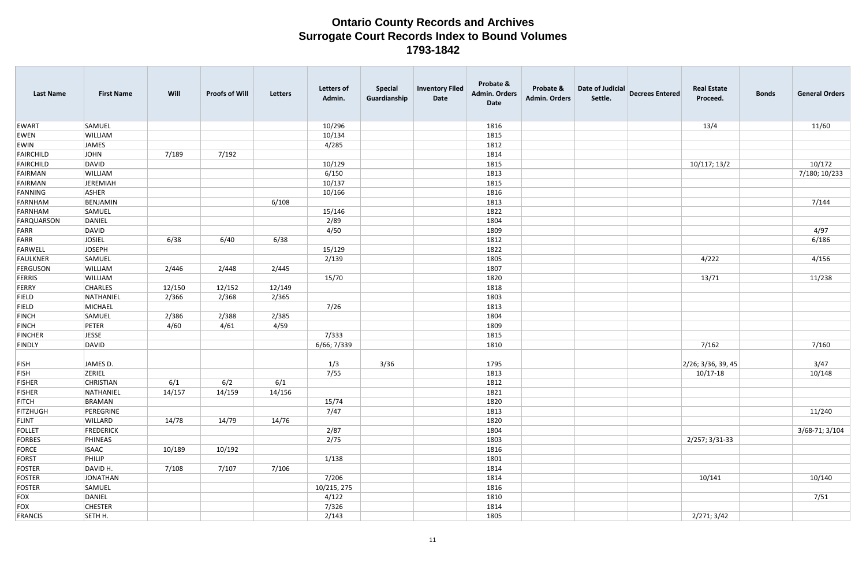| <b>Last Name</b> | <b>First Name</b> | Will   | <b>Proofs of Will</b> | Letters | <b>Letters of</b><br>Admin. | <b>Special</b><br>Guardianship | <b>Inventory Filed</b><br>Date | Probate &<br><b>Admin. Orders</b><br>Date | Probate &<br><b>Admin. Orders</b> | Date of Judicial<br>Settle. | <b>Decrees Entered</b> | <b>Real Estate</b><br>Proceed. | <b>Bonds</b> | <b>General Orders</b> |
|------------------|-------------------|--------|-----------------------|---------|-----------------------------|--------------------------------|--------------------------------|-------------------------------------------|-----------------------------------|-----------------------------|------------------------|--------------------------------|--------------|-----------------------|
| <b>EWART</b>     | SAMUEL            |        |                       |         | 10/296                      |                                |                                | 1816                                      |                                   |                             |                        | 13/4                           |              | 11/60                 |
| EWEN             | WILLIAM           |        |                       |         | 10/134                      |                                |                                | 1815                                      |                                   |                             |                        |                                |              |                       |
| EWIN             | <b>JAMES</b>      |        |                       |         | 4/285                       |                                |                                | 1812                                      |                                   |                             |                        |                                |              |                       |
| FAIRCHILD        | JOHN              | 7/189  | 7/192                 |         |                             |                                |                                | 1814                                      |                                   |                             |                        |                                |              |                       |
| FAIRCHILD        | DAVID             |        |                       |         | 10/129                      |                                |                                | 1815                                      |                                   |                             |                        | 10/117; 13/2                   |              | 10/172                |
| FAIRMAN          | WILLIAM           |        |                       |         | 6/150                       |                                |                                | 1813                                      |                                   |                             |                        |                                |              | 7/180; 10/233         |
| FAIRMAN          | JEREMIAH          |        |                       |         | 10/137                      |                                |                                | 1815                                      |                                   |                             |                        |                                |              |                       |
| FANNING          | ASHER             |        |                       |         | 10/166                      |                                |                                | 1816                                      |                                   |                             |                        |                                |              |                       |
| FARNHAM          | BENJAMIN          |        |                       | 6/108   |                             |                                |                                | 1813                                      |                                   |                             |                        |                                |              | 7/144                 |
| FARNHAM          | SAMUEL            |        |                       |         | 15/146                      |                                |                                | 1822                                      |                                   |                             |                        |                                |              |                       |
| FARQUARSON       | DANIEL            |        |                       |         | 2/89                        |                                |                                | 1804                                      |                                   |                             |                        |                                |              |                       |
| FARR             | <b>DAVID</b>      |        |                       |         | 4/50                        |                                |                                | 1809                                      |                                   |                             |                        |                                |              | 4/97                  |
| FARR             | <b>JOSIEL</b>     | 6/38   | 6/40                  | 6/38    |                             |                                |                                | 1812                                      |                                   |                             |                        |                                |              | 6/186                 |
| FARWELL          | JOSEPH            |        |                       |         | 15/129                      |                                |                                | 1822                                      |                                   |                             |                        |                                |              |                       |
| FAULKNER         | SAMUEL            |        |                       |         | 2/139                       |                                |                                | 1805                                      |                                   |                             |                        | 4/222                          |              | 4/156                 |
| FERGUSON         | WILLIAM           | 2/446  | 2/448                 | 2/445   |                             |                                |                                | 1807                                      |                                   |                             |                        |                                |              |                       |
| FERRIS           | WILLIAM           |        |                       |         | 15/70                       |                                |                                | 1820                                      |                                   |                             |                        | 13/71                          |              | 11/238                |
| FERRY            | <b>CHARLES</b>    | 12/150 | 12/152                | 12/149  |                             |                                |                                | 1818                                      |                                   |                             |                        |                                |              |                       |
| <b>FIELD</b>     | NATHANIEL         | 2/366  | 2/368                 | 2/365   |                             |                                |                                | 1803                                      |                                   |                             |                        |                                |              |                       |
| <b>FIELD</b>     | MICHAEL           |        |                       |         | 7/26                        |                                |                                | 1813                                      |                                   |                             |                        |                                |              |                       |
| <b>FINCH</b>     | SAMUEL            | 2/386  | 2/388                 | 2/385   |                             |                                |                                | 1804                                      |                                   |                             |                        |                                |              |                       |
| <b>FINCH</b>     | PETER             | 4/60   | 4/61                  | 4/59    |                             |                                |                                | 1809                                      |                                   |                             |                        |                                |              |                       |
| <b>FINCHER</b>   | <b>JESSE</b>      |        |                       |         | 7/333                       |                                |                                | 1815                                      |                                   |                             |                        |                                |              |                       |
| <b>FINDLY</b>    | DAVID             |        |                       |         | 6/66; 7/339                 |                                |                                | 1810                                      |                                   |                             |                        | 7/162                          |              | 7/160                 |
|                  |                   |        |                       |         |                             |                                |                                |                                           |                                   |                             |                        |                                |              |                       |
| FISH             | JAMES D.          |        |                       |         | 1/3                         | 3/36                           |                                | 1795                                      |                                   |                             |                        | $2/26$ ; 3/36, 39, 45          |              | 3/47                  |
| <b>FISH</b>      | ZERIEL            |        |                       |         | 7/55                        |                                |                                | 1813                                      |                                   |                             |                        | $10/17 - 18$                   |              | 10/148                |
| <b>FISHER</b>    | CHRISTIAN         | 6/1    | 6/2                   | 6/1     |                             |                                |                                | 1812                                      |                                   |                             |                        |                                |              |                       |
| <b>FISHER</b>    | NATHANIEL         | 14/157 | 14/159                | 14/156  |                             |                                |                                | 1821                                      |                                   |                             |                        |                                |              |                       |
| <b>FITCH</b>     | BRAMAN            |        |                       |         | 15/74                       |                                |                                | 1820                                      |                                   |                             |                        |                                |              |                       |
| <b>FITZHUGH</b>  | PEREGRINE         |        |                       |         | 7/47                        |                                |                                | 1813                                      |                                   |                             |                        |                                |              | 11/240                |
| FLINT            | WILLARD           | 14/78  | 14/79                 | 14/76   |                             |                                |                                | 1820                                      |                                   |                             |                        |                                |              |                       |
| FOLLET           | <b>FREDERICK</b>  |        |                       |         | 2/87                        |                                |                                | 1804                                      |                                   |                             |                        |                                |              | 3/68-71; 3/104        |
| FORBES           | PHINEAS           |        |                       |         | 2/75                        |                                |                                | 1803                                      |                                   |                             |                        | 2/257; 3/31-33                 |              |                       |
| FORCE            | <b>ISAAC</b>      | 10/189 | 10/192                |         |                             |                                |                                | 1816                                      |                                   |                             |                        |                                |              |                       |
| FORST            | PHILIP            |        |                       |         | 1/138                       |                                |                                | 1801                                      |                                   |                             |                        |                                |              |                       |
| FOSTER           | DAVID H.          | 7/108  | 7/107                 | 7/106   |                             |                                |                                | 1814                                      |                                   |                             |                        |                                |              |                       |
| FOSTER           | JONATHAN          |        |                       |         | 7/206                       |                                |                                | 1814                                      |                                   |                             |                        | 10/141                         |              | 10/140                |
| FOSTER           | SAMUEL            |        |                       |         | 10/215, 275                 |                                |                                | 1816                                      |                                   |                             |                        |                                |              |                       |
| FOX              | DANIEL            |        |                       |         | 4/122                       |                                |                                | 1810                                      |                                   |                             |                        |                                |              | 7/51                  |
| FOX              | <b>CHESTER</b>    |        |                       |         | 7/326                       |                                |                                | 1814                                      |                                   |                             |                        |                                |              |                       |
| FRANCIS          | SETH H.           |        |                       |         | 2/143                       |                                |                                | 1805                                      |                                   |                             |                        | 2/271; 3/42                    |              |                       |
|                  |                   |        |                       |         |                             |                                |                                |                                           |                                   |                             |                        |                                |              |                       |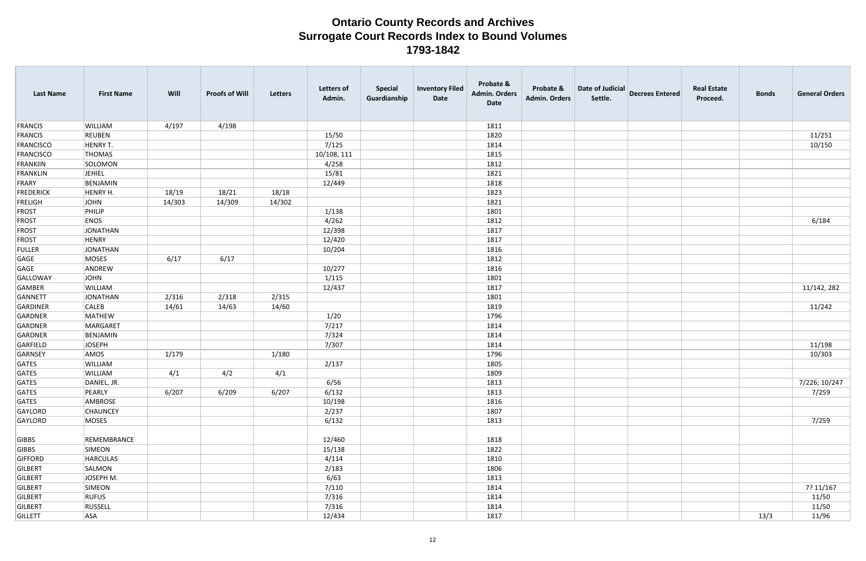| <b>Last Name</b> | <b>First Name</b> | Will   | <b>Proofs of Will</b> | Letters | <b>Letters of</b><br>Admin. | <b>Special</b><br>Guardianship | <b>Inventory Filed</b><br>Date | Probate &<br><b>Admin. Orders</b><br>Date | Probate &<br><b>Admin. Orders</b> | Date of Judicial<br>Settle. | <b>Decrees Entered</b> | <b>Real Estate</b><br>Proceed. | <b>Bonds</b> | <b>General Orders</b> |
|------------------|-------------------|--------|-----------------------|---------|-----------------------------|--------------------------------|--------------------------------|-------------------------------------------|-----------------------------------|-----------------------------|------------------------|--------------------------------|--------------|-----------------------|
| FRANCIS          | <b>WILLIAM</b>    | 4/197  | 4/198                 |         |                             |                                |                                | 1811                                      |                                   |                             |                        |                                |              |                       |
| FRANCIS          | REUBEN            |        |                       |         | 15/50                       |                                |                                | 1820                                      |                                   |                             |                        |                                |              | 11/251                |
| FRANCISCO        | HENRY T.          |        |                       |         | 7/125                       |                                |                                | 1814                                      |                                   |                             |                        |                                |              | 10/150                |
| FRANCISCO        | THOMAS            |        |                       |         | 10/108, 111                 |                                |                                | 1815                                      |                                   |                             |                        |                                |              |                       |
| FRANKIIN         | SOLOMON           |        |                       |         | 4/258                       |                                |                                | 1812                                      |                                   |                             |                        |                                |              |                       |
| FRANKLIN         | <b>JEHIEL</b>     |        |                       |         | 15/81                       |                                |                                | 1821                                      |                                   |                             |                        |                                |              |                       |
| FRARY            | BENJAMIN          |        |                       |         | 12/449                      |                                |                                | 1818                                      |                                   |                             |                        |                                |              |                       |
| <b>FREDERICK</b> | HENRY H.          | 18/19  | 18/21                 | 18/18   |                             |                                |                                | 1823                                      |                                   |                             |                        |                                |              |                       |
| <b>FRELIGH</b>   | JOHN              | 14/303 | 14/309                | 14/302  |                             |                                |                                | 1821                                      |                                   |                             |                        |                                |              |                       |
| <b>FROST</b>     | PHILIP            |        |                       |         | 1/138                       |                                |                                | 1801                                      |                                   |                             |                        |                                |              |                       |
| <b>FROST</b>     | <b>ENOS</b>       |        |                       |         | 4/262                       |                                |                                | 1812                                      |                                   |                             |                        |                                |              | 6/184                 |
| <b>FROST</b>     | JONATHAN          |        |                       |         | 12/398                      |                                |                                | 1817                                      |                                   |                             |                        |                                |              |                       |
| <b>FROST</b>     | HENRY             |        |                       |         | 12/420                      |                                |                                | 1817                                      |                                   |                             |                        |                                |              |                       |
| FULLER           | JONATHAN          |        |                       |         | 10/204                      |                                |                                | 1816                                      |                                   |                             |                        |                                |              |                       |
| GAGE             | MOSES             | 6/17   | 6/17                  |         |                             |                                |                                | 1812                                      |                                   |                             |                        |                                |              |                       |
| GAGE             | ANDREW            |        |                       |         | 10/277                      |                                |                                | 1816                                      |                                   |                             |                        |                                |              |                       |
| GALLOWAY         | JOHN              |        |                       |         | 1/115                       |                                |                                | 1801                                      |                                   |                             |                        |                                |              |                       |
| GAMBER           | <b>WILLIAM</b>    |        |                       |         | 12/437                      |                                |                                | 1817                                      |                                   |                             |                        |                                |              | 11/142, 282           |
| GANNETT          | JONATHAN          | 2/316  | 2/318                 | 2/315   |                             |                                |                                | 1801                                      |                                   |                             |                        |                                |              |                       |
| GARDINER         | <b>CALEB</b>      | 14/61  | 14/63                 | 14/60   |                             |                                |                                | 1819                                      |                                   |                             |                        |                                |              | 11/242                |
| GARDNER          | MATHEW            |        |                       |         | 1/20                        |                                |                                | 1796                                      |                                   |                             |                        |                                |              |                       |
| GARDNER          | MARGARET          |        |                       |         | 7/217                       |                                |                                | 1814                                      |                                   |                             |                        |                                |              |                       |
| GARDNER          | BENJAMIN          |        |                       |         | 7/324                       |                                |                                | 1814                                      |                                   |                             |                        |                                |              |                       |
| GARFIELD         | JOSEPH            |        |                       |         | 7/307                       |                                |                                | 1814                                      |                                   |                             |                        |                                |              | 11/198                |
| GARNSEY          | AMOS              | 1/179  |                       | 1/180   |                             |                                |                                | 1796                                      |                                   |                             |                        |                                |              | 10/303                |
| GATES            | <b>WILLIAM</b>    |        |                       |         | 2/137                       |                                |                                | 1805                                      |                                   |                             |                        |                                |              |                       |
| GATES            | <b>WILLIAM</b>    | 4/1    | 4/2                   | 4/1     |                             |                                |                                | 1809                                      |                                   |                             |                        |                                |              |                       |
| GATES            | DANIEL, JR.       |        |                       |         | 6/56                        |                                |                                | 1813                                      |                                   |                             |                        |                                |              | 7/226; 10/247         |
| GATES            | PEARLY            | 6/207  | 6/209                 | 6/207   | 6/132                       |                                |                                | 1813                                      |                                   |                             |                        |                                |              | 7/259                 |
| GATES            | AMBROSE           |        |                       |         | 10/198                      |                                |                                | 1816                                      |                                   |                             |                        |                                |              |                       |
| GAYLORD          | <b>CHAUNCEY</b>   |        |                       |         | 2/237                       |                                |                                | 1807                                      |                                   |                             |                        |                                |              |                       |
| GAYLORD          | MOSES             |        |                       |         | 6/132                       |                                |                                | 1813                                      |                                   |                             |                        |                                |              | 7/259                 |
| GIBBS            | REMEMBRANCE       |        |                       |         | 12/460                      |                                |                                | 1818                                      |                                   |                             |                        |                                |              |                       |
| GIBBS            | SIMEON            |        |                       |         | 15/138                      |                                |                                | 1822                                      |                                   |                             |                        |                                |              |                       |
| GIFFORD          | HARCULAS          |        |                       |         | 4/114                       |                                |                                | 1810                                      |                                   |                             |                        |                                |              |                       |
| GILBERT          | SALMON            |        |                       |         | 2/183                       |                                |                                | 1806                                      |                                   |                             |                        |                                |              |                       |
| GILBERT          | JOSEPH M.         |        |                       |         | 6/63                        |                                |                                | 1813                                      |                                   |                             |                        |                                |              |                       |
| GILBERT          | SIMEON            |        |                       |         | 7/110                       |                                |                                | 1814                                      |                                   |                             |                        |                                |              | 7? 11/167             |
| GILBERT          | <b>RUFUS</b>      |        |                       |         | 7/316                       |                                |                                | 1814                                      |                                   |                             |                        |                                |              | 11/50                 |
| GILBERT          | RUSSELL           |        |                       |         | 7/316                       |                                |                                | 1814                                      |                                   |                             |                        |                                |              | 11/50                 |
| GILLETT          | <b>ASA</b>        |        |                       |         | 12/434                      |                                |                                | 1817                                      |                                   |                             |                        |                                | 13/3         | 11/96                 |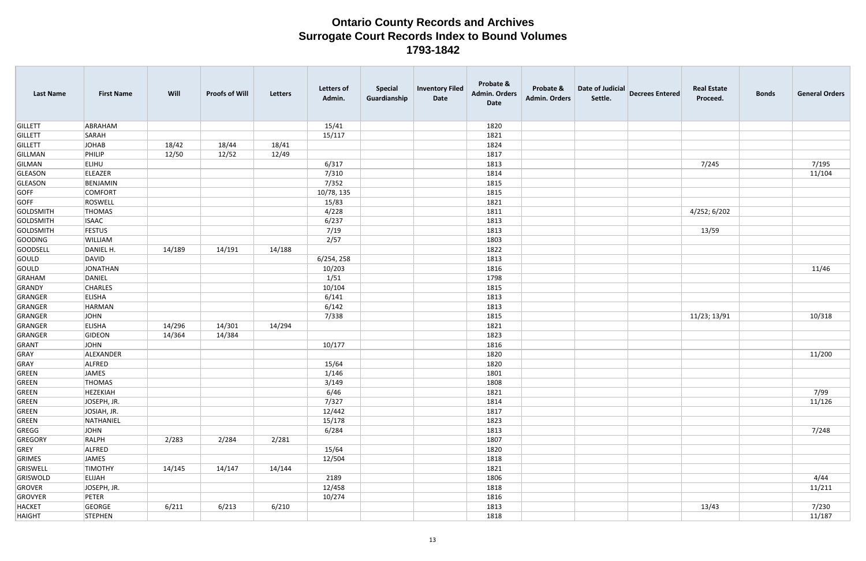| <b>Last Name</b> | <b>First Name</b> | Will   | <b>Proofs of Will</b> | <b>Letters</b> | <b>Letters of</b><br>Admin. | <b>Special</b><br>Guardianship | <b>Inventory Filed</b><br>Date | Probate &<br><b>Admin. Orders</b><br>Date | Probate &<br><b>Admin. Orders</b> | Date of Judicial<br>Settle. | <b>Decrees Entered</b> | <b>Real Estate</b><br>Proceed. | <b>Bonds</b> | <b>General Orders</b> |
|------------------|-------------------|--------|-----------------------|----------------|-----------------------------|--------------------------------|--------------------------------|-------------------------------------------|-----------------------------------|-----------------------------|------------------------|--------------------------------|--------------|-----------------------|
| <b>GILLETT</b>   | ABRAHAM           |        |                       |                | 15/41                       |                                |                                | 1820                                      |                                   |                             |                        |                                |              |                       |
| <b>GILLETT</b>   | SARAH             |        |                       |                | 15/117                      |                                |                                | 1821                                      |                                   |                             |                        |                                |              |                       |
| <b>GILLETT</b>   | JOHAB             | 18/42  | 18/44                 | 18/41          |                             |                                |                                | 1824                                      |                                   |                             |                        |                                |              |                       |
| <b>GILLMAN</b>   | PHILIP            | 12/50  | 12/52                 | 12/49          |                             |                                |                                | 1817                                      |                                   |                             |                        |                                |              |                       |
| GILMAN           | <b>ELIHU</b>      |        |                       |                | 6/317                       |                                |                                | 1813                                      |                                   |                             |                        | 7/245                          |              | 7/195                 |
| <b>GLEASON</b>   | ELEAZER           |        |                       |                | 7/310                       |                                |                                | 1814                                      |                                   |                             |                        |                                |              | 11/104                |
| GLEASON          | BENJAMIN          |        |                       |                | 7/352                       |                                |                                | 1815                                      |                                   |                             |                        |                                |              |                       |
| GOFF             | <b>COMFORT</b>    |        |                       |                | 10/78, 135                  |                                |                                | 1815                                      |                                   |                             |                        |                                |              |                       |
| <b>GOFF</b>      | ROSWELL           |        |                       |                | 15/83                       |                                |                                | 1821                                      |                                   |                             |                        |                                |              |                       |
| <b>GOLDSMITH</b> | <b>THOMAS</b>     |        |                       |                | 4/228                       |                                |                                | 1811                                      |                                   |                             |                        | 4/252; 6/202                   |              |                       |
| <b>GOLDSMITH</b> | <b>ISAAC</b>      |        |                       |                | 6/237                       |                                |                                | 1813                                      |                                   |                             |                        |                                |              |                       |
| <b>GOLDSMITH</b> | <b>FESTUS</b>     |        |                       |                | 7/19                        |                                |                                | 1813                                      |                                   |                             |                        | 13/59                          |              |                       |
| <b>GOODING</b>   | WILLIAM           |        |                       |                | 2/57                        |                                |                                | 1803                                      |                                   |                             |                        |                                |              |                       |
| <b>GOODSELL</b>  | DANIEL H.         | 14/189 | 14/191                | 14/188         |                             |                                |                                | 1822                                      |                                   |                             |                        |                                |              |                       |
| GOULD            | DAVID             |        |                       |                | 6/254, 258                  |                                |                                | 1813                                      |                                   |                             |                        |                                |              |                       |
| GOULD            | JONATHAN          |        |                       |                | 10/203                      |                                |                                | 1816                                      |                                   |                             |                        |                                |              | 11/46                 |
| <b>GRAHAM</b>    | DANIEL            |        |                       |                | 1/51                        |                                |                                | 1798                                      |                                   |                             |                        |                                |              |                       |
| <b>GRANDY</b>    | <b>CHARLES</b>    |        |                       |                | 10/104                      |                                |                                | 1815                                      |                                   |                             |                        |                                |              |                       |
| GRANGER          | <b>ELISHA</b>     |        |                       |                | 6/141                       |                                |                                | 1813                                      |                                   |                             |                        |                                |              |                       |
| GRANGER          | HARMAN            |        |                       |                | 6/142                       |                                |                                | 1813                                      |                                   |                             |                        |                                |              |                       |
| GRANGER          | JOHN              |        |                       |                | 7/338                       |                                |                                | 1815                                      |                                   |                             |                        | 11/23; 13/91                   |              | 10/318                |
| GRANGER          | <b>ELISHA</b>     | 14/296 | 14/301                | 14/294         |                             |                                |                                | 1821                                      |                                   |                             |                        |                                |              |                       |
| GRANGER          | GIDEON            | 14/364 | 14/384                |                |                             |                                |                                | 1823                                      |                                   |                             |                        |                                |              |                       |
| GRANT            | <b>JOHN</b>       |        |                       |                | 10/177                      |                                |                                | 1816                                      |                                   |                             |                        |                                |              |                       |
| GRAY             | ALEXANDER         |        |                       |                |                             |                                |                                | 1820                                      |                                   |                             |                        |                                |              | 11/200                |
| GRAY             | ALFRED            |        |                       |                | 15/64                       |                                |                                | 1820                                      |                                   |                             |                        |                                |              |                       |
| <b>GREEN</b>     | JAMES             |        |                       |                | 1/146                       |                                |                                | 1801                                      |                                   |                             |                        |                                |              |                       |
| GREEN            | THOMAS            |        |                       |                | 3/149                       |                                |                                | 1808                                      |                                   |                             |                        |                                |              |                       |
| GREEN            | HEZEKIAH          |        |                       |                | 6/46                        |                                |                                | 1821                                      |                                   |                             |                        |                                |              | 7/99                  |
| GREEN            | JOSEPH, JR.       |        |                       |                | 7/327                       |                                |                                | 1814                                      |                                   |                             |                        |                                |              | 11/126                |
| GREEN            | JOSIAH, JR.       |        |                       |                | 12/442                      |                                |                                | 1817                                      |                                   |                             |                        |                                |              |                       |
| GREEN            | NATHANIEL         |        |                       |                | 15/178                      |                                |                                | 1823                                      |                                   |                             |                        |                                |              |                       |
| GREGG            | JOHN              |        |                       |                | 6/284                       |                                |                                | 1813                                      |                                   |                             |                        |                                |              | 7/248                 |
| GREGORY          | RALPH             | 2/283  | 2/284                 | 2/281          |                             |                                |                                | 1807                                      |                                   |                             |                        |                                |              |                       |
| GREY             | ALFRED            |        |                       |                | 15/64                       |                                |                                | 1820                                      |                                   |                             |                        |                                |              |                       |
| GRIMES           | JAMES             |        |                       |                | 12/504                      |                                |                                | 1818                                      |                                   |                             |                        |                                |              |                       |
| GRISWELL         | <b>TIMOTHY</b>    | 14/145 | 14/147                | 14/144         |                             |                                |                                | 1821                                      |                                   |                             |                        |                                |              |                       |
| GRISWOLD         | ELIJAH            |        |                       |                | 2189                        |                                |                                | 1806                                      |                                   |                             |                        |                                |              | 4/44                  |
| GROVER           | JOSEPH, JR.       |        |                       |                | 12/458                      |                                |                                | 1818                                      |                                   |                             |                        |                                |              | 11/211                |
| GROVYER          | PETER             |        |                       |                | 10/274                      |                                |                                | 1816                                      |                                   |                             |                        |                                |              |                       |
| HACKET           | GEORGE            | 6/211  | 6/213                 | 6/210          |                             |                                |                                | 1813                                      |                                   |                             |                        | 13/43                          |              | 7/230                 |
| <b>HAIGHT</b>    | STEPHEN           |        |                       |                |                             |                                |                                | 1818                                      |                                   |                             |                        |                                |              | 11/187                |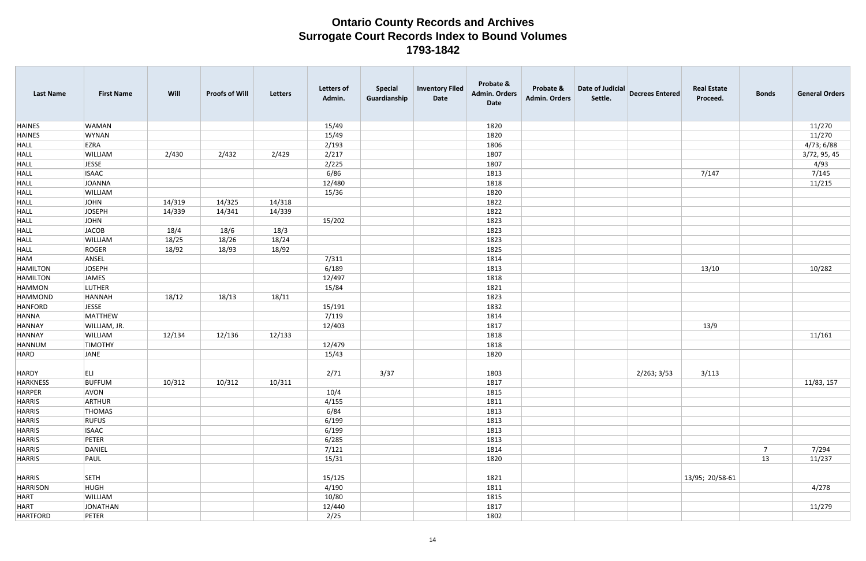| <b>Last Name</b> | <b>First Name</b> | Will   | <b>Proofs of Will</b> | Letters | <b>Letters of</b><br>Admin. | <b>Special</b><br>Guardianship | <b>Inventory Filed</b><br>Date | Probate &<br><b>Admin. Orders</b><br>Date | Probate &<br><b>Admin. Orders</b> | Date of Judicial<br>Settle. | <b>Decrees Entered</b> | <b>Real Estate</b><br>Proceed. | <b>Bonds</b>   | <b>General Orders</b> |
|------------------|-------------------|--------|-----------------------|---------|-----------------------------|--------------------------------|--------------------------------|-------------------------------------------|-----------------------------------|-----------------------------|------------------------|--------------------------------|----------------|-----------------------|
| <b>HAINES</b>    | <b>WAMAN</b>      |        |                       |         | 15/49                       |                                |                                | 1820                                      |                                   |                             |                        |                                |                | 11/270                |
| <b>HAINES</b>    | <b>WYNAN</b>      |        |                       |         | 15/49                       |                                |                                | 1820                                      |                                   |                             |                        |                                |                | 11/270                |
| <b>HALL</b>      | EZRA              |        |                       |         | 2/193                       |                                |                                | 1806                                      |                                   |                             |                        |                                |                | 4/73; 6/88            |
| <b>HALL</b>      | WILLIAM           | 2/430  | 2/432                 | 2/429   | 2/217                       |                                |                                | 1807                                      |                                   |                             |                        |                                |                | 3/72, 95, 45          |
| <b>HALL</b>      | <b>JESSE</b>      |        |                       |         | 2/225                       |                                |                                | 1807                                      |                                   |                             |                        |                                |                | 4/93                  |
| <b>HALL</b>      | <b>ISAAC</b>      |        |                       |         | 6/86                        |                                |                                | 1813                                      |                                   |                             |                        | 7/147                          |                | 7/145                 |
| <b>HALL</b>      | JOANNA            |        |                       |         | 12/480                      |                                |                                | 1818                                      |                                   |                             |                        |                                |                | 11/215                |
| <b>HALL</b>      | WILLIAM           |        |                       |         | 15/36                       |                                |                                | 1820                                      |                                   |                             |                        |                                |                |                       |
| <b>HALL</b>      | <b>JOHN</b>       | 14/319 | 14/325                | 14/318  |                             |                                |                                | 1822                                      |                                   |                             |                        |                                |                |                       |
| <b>HALL</b>      | <b>JOSEPH</b>     | 14/339 | 14/341                | 14/339  |                             |                                |                                | 1822                                      |                                   |                             |                        |                                |                |                       |
| <b>HALL</b>      | JOHN              |        |                       |         | 15/202                      |                                |                                | 1823                                      |                                   |                             |                        |                                |                |                       |
| <b>HALL</b>      | <b>JACOB</b>      | 18/4   | 18/6                  | 18/3    |                             |                                |                                | 1823                                      |                                   |                             |                        |                                |                |                       |
| <b>HALL</b>      | WILLIAM           | 18/25  | 18/26                 | 18/24   |                             |                                |                                | 1823                                      |                                   |                             |                        |                                |                |                       |
| <b>HALL</b>      | ROGER             | 18/92  | 18/93                 | 18/92   |                             |                                |                                | 1825                                      |                                   |                             |                        |                                |                |                       |
| HAM              | ANSEL             |        |                       |         | 7/311                       |                                |                                | 1814                                      |                                   |                             |                        |                                |                |                       |
| <b>HAMILTON</b>  | <b>JOSEPH</b>     |        |                       |         | 6/189                       |                                |                                | 1813                                      |                                   |                             |                        | 13/10                          |                | 10/282                |
| <b>HAMILTON</b>  | JAMES             |        |                       |         | 12/497                      |                                |                                | 1818                                      |                                   |                             |                        |                                |                |                       |
| <b>HAMMON</b>    | <b>LUTHER</b>     |        |                       |         | 15/84                       |                                |                                | 1821                                      |                                   |                             |                        |                                |                |                       |
| HAMMOND          | HANNAH            | 18/12  | 18/13                 | 18/11   |                             |                                |                                | 1823                                      |                                   |                             |                        |                                |                |                       |
| HANFORD          | <b>JESSE</b>      |        |                       |         | 15/191                      |                                |                                | 1832                                      |                                   |                             |                        |                                |                |                       |
| <b>HANNA</b>     | MATTHEW           |        |                       |         | 7/119                       |                                |                                | 1814                                      |                                   |                             |                        |                                |                |                       |
| <b>HANNAY</b>    | WILLIAM, JR.      |        |                       |         | 12/403                      |                                |                                | 1817                                      |                                   |                             |                        | 13/9                           |                |                       |
| <b>HANNAY</b>    | WILLIAM           | 12/134 | 12/136                | 12/133  |                             |                                |                                | 1818                                      |                                   |                             |                        |                                |                | 11/161                |
| HANNUM           | <b>TIMOTHY</b>    |        |                       |         | 12/479                      |                                |                                | 1818                                      |                                   |                             |                        |                                |                |                       |
| HARD             | JANE              |        |                       |         | 15/43                       |                                |                                | 1820                                      |                                   |                             |                        |                                |                |                       |
|                  |                   |        |                       |         |                             |                                |                                |                                           |                                   |                             |                        |                                |                |                       |
| HARDY            | ELI.              |        |                       |         | 2/71                        | 3/37                           |                                | 1803                                      |                                   |                             | 2/263; 3/53            | 3/113                          |                |                       |
| HARKNESS         | <b>BUFFUM</b>     | 10/312 | 10/312                | 10/311  |                             |                                |                                | 1817                                      |                                   |                             |                        |                                |                | 11/83, 157            |
| HARPER           | AVON              |        |                       |         | 10/4                        |                                |                                | 1815                                      |                                   |                             |                        |                                |                |                       |
| HARRIS           | ARTHUR            |        |                       |         | 4/155                       |                                |                                | 1811                                      |                                   |                             |                        |                                |                |                       |
| HARRIS           | THOMAS            |        |                       |         | 6/84                        |                                |                                | 1813                                      |                                   |                             |                        |                                |                |                       |
| <b>HARRIS</b>    | <b>RUFUS</b>      |        |                       |         | 6/199                       |                                |                                | 1813                                      |                                   |                             |                        |                                |                |                       |
| <b>HARRIS</b>    | <b>ISAAC</b>      |        |                       |         | 6/199                       |                                |                                | 1813                                      |                                   |                             |                        |                                |                |                       |
| <b>HARRIS</b>    | PETER             |        |                       |         | 6/285                       |                                |                                | 1813                                      |                                   |                             |                        |                                |                |                       |
| <b>HARRIS</b>    | DANIEL            |        |                       |         | 7/121                       |                                |                                | 1814                                      |                                   |                             |                        |                                | $\overline{7}$ | 7/294                 |
| <b>HARRIS</b>    | PAUL              |        |                       |         | 15/31                       |                                |                                | 1820                                      |                                   |                             |                        |                                | 13             | 11/237                |
| <b>HARRIS</b>    | SETH              |        |                       |         | 15/125                      |                                |                                | 1821                                      |                                   |                             |                        | 13/95; 20/58-61                |                |                       |
| HARRISON         | <b>HUGH</b>       |        |                       |         | 4/190                       |                                |                                | 1811                                      |                                   |                             |                        |                                |                | 4/278                 |
| HART             | WILLIAM           |        |                       |         | 10/80                       |                                |                                | 1815                                      |                                   |                             |                        |                                |                |                       |
| HART             | JONATHAN          |        |                       |         | 12/440                      |                                |                                | 1817                                      |                                   |                             |                        |                                |                | 11/279                |
| HARTFORD         | PETER             |        |                       |         | 2/25                        |                                |                                | 1802                                      |                                   |                             |                        |                                |                |                       |
|                  |                   |        |                       |         |                             |                                |                                |                                           |                                   |                             |                        |                                |                |                       |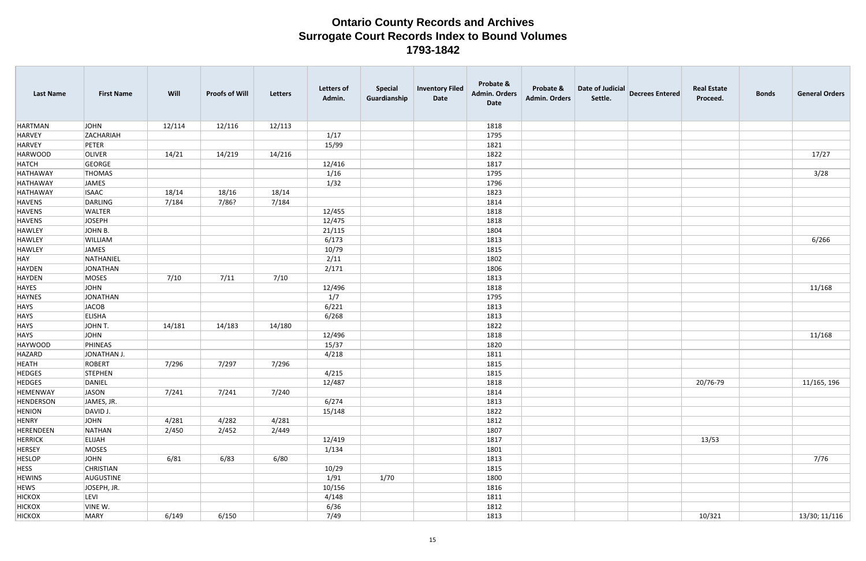| <b>Last Name</b> | <b>First Name</b> | Will   | <b>Proofs of Will</b> | Letters | <b>Letters of</b><br>Admin. | <b>Special</b><br>Guardianship | <b>Inventory Filed</b><br>Date | Probate &<br><b>Admin. Orders</b><br>Date | Probate &<br><b>Admin. Orders</b> | Date of Judicial<br>Settle. | <b>Decrees Entered</b> | <b>Real Estate</b><br>Proceed. | <b>Bonds</b> | <b>General Orders</b> |
|------------------|-------------------|--------|-----------------------|---------|-----------------------------|--------------------------------|--------------------------------|-------------------------------------------|-----------------------------------|-----------------------------|------------------------|--------------------------------|--------------|-----------------------|
| HARTMAN          | JOHN              | 12/114 | 12/116                | 12/113  |                             |                                |                                | 1818                                      |                                   |                             |                        |                                |              |                       |
| HARVEY           | ZACHARIAH         |        |                       |         | 1/17                        |                                |                                | 1795                                      |                                   |                             |                        |                                |              |                       |
| HARVEY           | PETER             |        |                       |         | 15/99                       |                                |                                | 1821                                      |                                   |                             |                        |                                |              |                       |
| HARWOOD          | <b>OLIVER</b>     | 14/21  | 14/219                | 14/216  |                             |                                |                                | 1822                                      |                                   |                             |                        |                                |              | 17/27                 |
| HATCH            | GEORGE            |        |                       |         | 12/416                      |                                |                                | 1817                                      |                                   |                             |                        |                                |              |                       |
| HATHAWAY         | <b>THOMAS</b>     |        |                       |         | 1/16                        |                                |                                | 1795                                      |                                   |                             |                        |                                |              | 3/28                  |
| HATHAWAY         | JAMES             |        |                       |         | 1/32                        |                                |                                | 1796                                      |                                   |                             |                        |                                |              |                       |
| HATHAWAY         | <b>ISAAC</b>      | 18/14  | 18/16                 | 18/14   |                             |                                |                                | 1823                                      |                                   |                             |                        |                                |              |                       |
| HAVENS           | DARLING           | 7/184  | 7/86?                 | 7/184   |                             |                                |                                | 1814                                      |                                   |                             |                        |                                |              |                       |
| HAVENS           | <b>WALTER</b>     |        |                       |         | 12/455                      |                                |                                | 1818                                      |                                   |                             |                        |                                |              |                       |
| HAVENS           | JOSEPH            |        |                       |         | 12/475                      |                                |                                | 1818                                      |                                   |                             |                        |                                |              |                       |
| HAWLEY           | JOHN B.           |        |                       |         | 21/115                      |                                |                                | 1804                                      |                                   |                             |                        |                                |              |                       |
| HAWLEY           | <b>WILLIAM</b>    |        |                       |         | 6/173                       |                                |                                | 1813                                      |                                   |                             |                        |                                |              | 6/266                 |
| HAWLEY           | JAMES             |        |                       |         | 10/79                       |                                |                                | 1815                                      |                                   |                             |                        |                                |              |                       |
| HAY              | NATHANIEL         |        |                       |         | 2/11                        |                                |                                | 1802                                      |                                   |                             |                        |                                |              |                       |
| HAYDEN           | JONATHAN          |        |                       |         | 2/171                       |                                |                                | 1806                                      |                                   |                             |                        |                                |              |                       |
| HAYDEN           | MOSES             | 7/10   | 7/11                  | 7/10    |                             |                                |                                | 1813                                      |                                   |                             |                        |                                |              |                       |
| HAYES            | JOHN              |        |                       |         | 12/496                      |                                |                                | 1818                                      |                                   |                             |                        |                                |              | 11/168                |
| HAYNES           | JONATHAN          |        |                       |         | 1/7                         |                                |                                | 1795                                      |                                   |                             |                        |                                |              |                       |
| HAYS             | JACOB             |        |                       |         | 6/221                       |                                |                                | 1813                                      |                                   |                             |                        |                                |              |                       |
| HAYS             | <b>ELISHA</b>     |        |                       |         | 6/268                       |                                |                                | 1813                                      |                                   |                             |                        |                                |              |                       |
| HAYS             | JOHN T.           | 14/181 | 14/183                | 14/180  |                             |                                |                                | 1822                                      |                                   |                             |                        |                                |              |                       |
| HAYS             | JOHN              |        |                       |         | 12/496                      |                                |                                | 1818                                      |                                   |                             |                        |                                |              | 11/168                |
| HAYWOOD          | PHINEAS           |        |                       |         | 15/37                       |                                |                                | 1820                                      |                                   |                             |                        |                                |              |                       |
| HAZARD           | JONATHAN J.       |        |                       |         | 4/218                       |                                |                                | 1811                                      |                                   |                             |                        |                                |              |                       |
| <b>HEATH</b>     | ROBERT            | 7/296  | 7/297                 | 7/296   |                             |                                |                                | 1815                                      |                                   |                             |                        |                                |              |                       |
| <b>HEDGES</b>    | STEPHEN           |        |                       |         | 4/215                       |                                |                                | 1815                                      |                                   |                             |                        |                                |              |                       |
| <b>HEDGES</b>    | DANIEL            |        |                       |         | 12/487                      |                                |                                | 1818                                      |                                   |                             |                        | 20/76-79                       |              | 11/165, 196           |
| HEMENWAY         | JASON             | 7/241  | 7/241                 | 7/240   |                             |                                |                                | 1814                                      |                                   |                             |                        |                                |              |                       |
| HENDERSON        | JAMES, JR.        |        |                       |         | 6/274                       |                                |                                | 1813                                      |                                   |                             |                        |                                |              |                       |
| <b>HENION</b>    | DAVID J.          |        |                       |         | 15/148                      |                                |                                | 1822                                      |                                   |                             |                        |                                |              |                       |
| HENRY            | JOHN              | 4/281  | 4/282                 | 4/281   |                             |                                |                                | 1812                                      |                                   |                             |                        |                                |              |                       |
| HERENDEEN        | NATHAN            | 2/450  | 2/452                 | 2/449   |                             |                                |                                | 1807                                      |                                   |                             |                        |                                |              |                       |
| <b>HERRICK</b>   | <b>ELIJAH</b>     |        |                       |         | 12/419                      |                                |                                | 1817                                      |                                   |                             |                        | 13/53                          |              |                       |
| <b>HERSEY</b>    | MOSES             |        |                       |         | 1/134                       |                                |                                | 1801                                      |                                   |                             |                        |                                |              |                       |
| <b>HESLOP</b>    | JOHN              | 6/81   | 6/83                  | 6/80    |                             |                                |                                | 1813                                      |                                   |                             |                        |                                |              | 7/76                  |
| <b>HESS</b>      | <b>CHRISTIAN</b>  |        |                       |         | 10/29                       |                                |                                | 1815                                      |                                   |                             |                        |                                |              |                       |
| <b>HEWINS</b>    | AUGUSTINE         |        |                       |         | 1/91                        | 1/70                           |                                | 1800                                      |                                   |                             |                        |                                |              |                       |
| <b>HEWS</b>      | JOSEPH, JR.       |        |                       |         | 10/156                      |                                |                                | 1816                                      |                                   |                             |                        |                                |              |                       |
| <b>HICKOX</b>    | LEVI              |        |                       |         | 4/148                       |                                |                                | 1811                                      |                                   |                             |                        |                                |              |                       |
| <b>HICKOX</b>    | VINE W.           |        |                       |         | 6/36                        |                                |                                | 1812                                      |                                   |                             |                        |                                |              |                       |
| <b>HICKOX</b>    | MARY              | 6/149  | 6/150                 |         | 7/49                        |                                |                                | 1813                                      |                                   |                             |                        | 10/321                         |              | 13/30; 11/116         |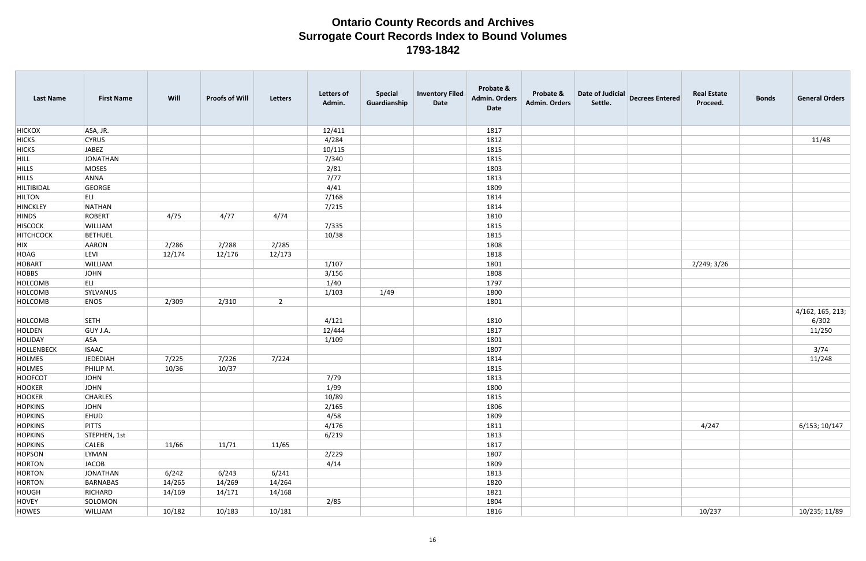| <b>Last Name</b>  | <b>First Name</b> | Will   | <b>Proofs of Will</b> | Letters        | <b>Letters of</b><br>Admin. | <b>Special</b><br>Guardianship | <b>Inventory Filed</b><br>Date | Probate &<br><b>Admin. Orders</b><br>Date | Probate &<br><b>Admin. Orders</b> | Date of Judicial<br>Settle. | <b>Decrees Entered</b> | <b>Real Estate</b><br>Proceed. | <b>Bonds</b> | <b>General Orders</b>     |
|-------------------|-------------------|--------|-----------------------|----------------|-----------------------------|--------------------------------|--------------------------------|-------------------------------------------|-----------------------------------|-----------------------------|------------------------|--------------------------------|--------------|---------------------------|
| <b>HICKOX</b>     | ASA, JR.          |        |                       |                | 12/411                      |                                |                                | 1817                                      |                                   |                             |                        |                                |              |                           |
| <b>HICKS</b>      | <b>CYRUS</b>      |        |                       |                | 4/284                       |                                |                                | 1812                                      |                                   |                             |                        |                                |              | 11/48                     |
| <b>HICKS</b>      | JABEZ             |        |                       |                | 10/115                      |                                |                                | 1815                                      |                                   |                             |                        |                                |              |                           |
| HILL              | JONATHAN          |        |                       |                | 7/340                       |                                |                                | 1815                                      |                                   |                             |                        |                                |              |                           |
| <b>HILLS</b>      | MOSES             |        |                       |                | 2/81                        |                                |                                | 1803                                      |                                   |                             |                        |                                |              |                           |
| <b>HILLS</b>      | ANNA              |        |                       |                | 7/77                        |                                |                                | 1813                                      |                                   |                             |                        |                                |              |                           |
| <b>HILTIBIDAL</b> | GEORGE            |        |                       |                | 4/41                        |                                |                                | 1809                                      |                                   |                             |                        |                                |              |                           |
| <b>HILTON</b>     | ELI               |        |                       |                | 7/168                       |                                |                                | 1814                                      |                                   |                             |                        |                                |              |                           |
| HINCKLEY          | NATHAN            |        |                       |                | 7/215                       |                                |                                | 1814                                      |                                   |                             |                        |                                |              |                           |
| <b>HINDS</b>      | ROBERT            | 4/75   | 4/77                  | 4/74           |                             |                                |                                | 1810                                      |                                   |                             |                        |                                |              |                           |
| <b>HISCOCK</b>    | <b>WILLIAM</b>    |        |                       |                | 7/335                       |                                |                                | 1815                                      |                                   |                             |                        |                                |              |                           |
| <b>HITCHCOCK</b>  | <b>BETHUEL</b>    |        |                       |                | 10/38                       |                                |                                | 1815                                      |                                   |                             |                        |                                |              |                           |
| HIX               | AARON             | 2/286  | 2/288                 | 2/285          |                             |                                |                                | 1808                                      |                                   |                             |                        |                                |              |                           |
| HOAG              | LEVI              | 12/174 | 12/176                | 12/173         |                             |                                |                                | 1818                                      |                                   |                             |                        |                                |              |                           |
| HOBART            | <b>WILLIAM</b>    |        |                       |                | 1/107                       |                                |                                | 1801                                      |                                   |                             |                        | 2/249; 3/26                    |              |                           |
| <b>HOBBS</b>      | JOHN              |        |                       |                | 3/156                       |                                |                                | 1808                                      |                                   |                             |                        |                                |              |                           |
| HOLCOMB           | ELI               |        |                       |                | 1/40                        |                                |                                | 1797                                      |                                   |                             |                        |                                |              |                           |
| HOLCOMB           | SYLVANUS          |        |                       |                | 1/103                       | 1/49                           |                                | 1800                                      |                                   |                             |                        |                                |              |                           |
| HOLCOMB           | <b>ENOS</b>       | 2/309  | 2/310                 | $\overline{2}$ |                             |                                |                                | 1801                                      |                                   |                             |                        |                                |              |                           |
| HOLCOMB           | <b>SETH</b>       |        |                       |                | 4/121                       |                                |                                | 1810                                      |                                   |                             |                        |                                |              | 4/162, 165, 213;<br>6/302 |
| HOLDEN            | GUY J.A.          |        |                       |                | 12/444                      |                                |                                | 1817                                      |                                   |                             |                        |                                |              | 11/250                    |
| HOLIDAY           | <b>ASA</b>        |        |                       |                | 1/109                       |                                |                                | 1801                                      |                                   |                             |                        |                                |              |                           |
| HOLLENBECK        | <b>ISAAC</b>      |        |                       |                |                             |                                |                                | 1807                                      |                                   |                             |                        |                                |              | 3/74                      |
| HOLMES            | JEDEDIAH          | 7/225  | 7/226                 | 7/224          |                             |                                |                                | 1814                                      |                                   |                             |                        |                                |              | 11/248                    |
| HOLMES            | PHILIP M.         | 10/36  | 10/37                 |                |                             |                                |                                | 1815                                      |                                   |                             |                        |                                |              |                           |
| HOOFCOT           | JOHN              |        |                       |                | 7/79                        |                                |                                | 1813                                      |                                   |                             |                        |                                |              |                           |
| HOOKER            | JOHN              |        |                       |                | 1/99                        |                                |                                | 1800                                      |                                   |                             |                        |                                |              |                           |
| HOOKER            | <b>CHARLES</b>    |        |                       |                | 10/89                       |                                |                                | 1815                                      |                                   |                             |                        |                                |              |                           |
| <b>HOPKINS</b>    | JOHN              |        |                       |                | 2/165                       |                                |                                | 1806                                      |                                   |                             |                        |                                |              |                           |
| <b>HOPKINS</b>    | <b>EHUD</b>       |        |                       |                | 4/58                        |                                |                                | 1809                                      |                                   |                             |                        |                                |              |                           |
| <b>HOPKINS</b>    | <b>PITTS</b>      |        |                       |                | 4/176                       |                                |                                | 1811                                      |                                   |                             |                        | 4/247                          |              | 6/153; 10/147             |
| <b>HOPKINS</b>    | STEPHEN, 1st      |        |                       |                | 6/219                       |                                |                                | 1813                                      |                                   |                             |                        |                                |              |                           |
| <b>HOPKINS</b>    | <b>CALEB</b>      | 11/66  | 11/71                 | 11/65          |                             |                                |                                | 1817                                      |                                   |                             |                        |                                |              |                           |
| HOPSON            | LYMAN             |        |                       |                | 2/229                       |                                |                                | 1807                                      |                                   |                             |                        |                                |              |                           |
| HORTON            | JACOB             |        |                       |                | 4/14                        |                                |                                | 1809                                      |                                   |                             |                        |                                |              |                           |
| HORTON            | JONATHAN          | 6/242  | 6/243                 | 6/241          |                             |                                |                                | 1813                                      |                                   |                             |                        |                                |              |                           |
| HORTON            | BARNABAS          | 14/265 | 14/269                | 14/264         |                             |                                |                                | 1820                                      |                                   |                             |                        |                                |              |                           |
| HOUGH             | RICHARD           | 14/169 | 14/171                | 14/168         |                             |                                |                                | 1821                                      |                                   |                             |                        |                                |              |                           |
| HOVEY             | SOLOMON           |        |                       |                | 2/85                        |                                |                                | 1804                                      |                                   |                             |                        |                                |              |                           |
| HOWES             | WILLIAM           | 10/182 | 10/183                | 10/181         |                             |                                |                                | 1816                                      |                                   |                             |                        | 10/237                         |              | 10/235; 11/89             |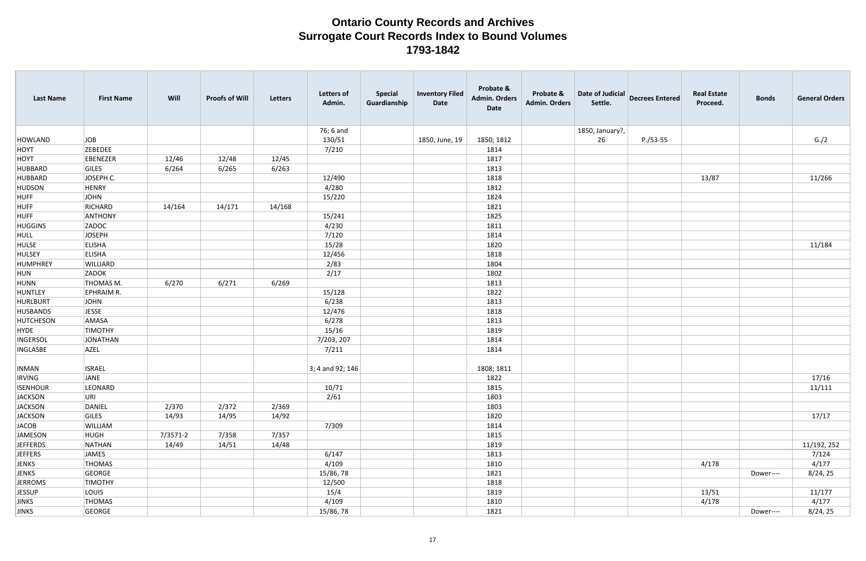| <b>Last Name</b> | <b>First Name</b> | Will     | <b>Proofs of Will</b> | <b>Letters</b> | <b>Letters of</b><br>Admin. | <b>Special</b><br>Guardianship | <b>Inventory Filed</b><br>Date | Probate &<br>Admin. Orders<br><b>Date</b> | Probate &<br><b>Admin. Orders</b> | Date of Judicial<br>Settle. | <b>Decrees Entered</b> | <b>Real Estate</b><br>Proceed. | <b>Bonds</b> | <b>General Orders</b> |
|------------------|-------------------|----------|-----------------------|----------------|-----------------------------|--------------------------------|--------------------------------|-------------------------------------------|-----------------------------------|-----------------------------|------------------------|--------------------------------|--------------|-----------------------|
|                  |                   |          |                       |                | 76; 6 and                   |                                |                                |                                           |                                   | 1850, January?,             |                        |                                |              |                       |
| HOWLAND          | JOB               |          |                       |                | 130/51                      |                                | 1850, June, 19                 | 1850; 1812                                |                                   | 26                          | $P./53-55$             |                                |              | G./2                  |
| HOYT             | <b>ZEBEDEE</b>    |          |                       |                | 7/210                       |                                |                                | 1814                                      |                                   |                             |                        |                                |              |                       |
| HOYT             | EBENEZER          | 12/46    | 12/48                 | 12/45          |                             |                                |                                | 1817                                      |                                   |                             |                        |                                |              |                       |
| HUBBARD          | GILES             | 6/264    | 6/265                 | 6/263          |                             |                                |                                | 1813                                      |                                   |                             |                        |                                |              |                       |
| HUBBARD          | JOSEPH C.         |          |                       |                | 12/490                      |                                |                                | 1818                                      |                                   |                             |                        | 13/87                          |              | 11/266                |
| <b>HUDSON</b>    | HENRY             |          |                       |                | 4/280                       |                                |                                | 1812                                      |                                   |                             |                        |                                |              |                       |
| <b>HUFF</b>      | JOHN              |          |                       |                | 15/220                      |                                |                                | 1824                                      |                                   |                             |                        |                                |              |                       |
| HUFF             | RICHARD           | 14/164   | 14/171                | 14/168         |                             |                                |                                | 1821                                      |                                   |                             |                        |                                |              |                       |
| <b>HUFF</b>      | ANTHONY           |          |                       |                | 15/241                      |                                |                                | 1825                                      |                                   |                             |                        |                                |              |                       |
| HUGGINS          | ZADOC             |          |                       |                | 4/230                       |                                |                                | 1811                                      |                                   |                             |                        |                                |              |                       |
| HULL             | JOSEPH            |          |                       |                | 7/120                       |                                |                                | 1814                                      |                                   |                             |                        |                                |              |                       |
| <b>HULSE</b>     | <b>ELISHA</b>     |          |                       |                | 15/28                       |                                |                                | 1820                                      |                                   |                             |                        |                                |              | 11/184                |
| HULSEY           | ELISHA            |          |                       |                | 12/456                      |                                |                                | 1818                                      |                                   |                             |                        |                                |              |                       |
| HUMPHREY         | WILLIARD          |          |                       |                | 2/83                        |                                |                                | 1804                                      |                                   |                             |                        |                                |              |                       |
| HUN              | <b>ZADOK</b>      |          |                       |                | 2/17                        |                                |                                | 1802                                      |                                   |                             |                        |                                |              |                       |
| HUNN             | THOMAS M.         | 6/270    | 6/271                 | 6/269          |                             |                                |                                | 1813                                      |                                   |                             |                        |                                |              |                       |
| HUNTLEY          | EPHRAIM R.        |          |                       |                | 15/128                      |                                |                                | 1822                                      |                                   |                             |                        |                                |              |                       |
| HURLBURT         | JOHN              |          |                       |                | 6/238                       |                                |                                | 1813                                      |                                   |                             |                        |                                |              |                       |
| HUSBANDS         | JESSE             |          |                       |                | 12/476                      |                                |                                | 1818                                      |                                   |                             |                        |                                |              |                       |
| HUTCHESON        | AMASA             |          |                       |                | 6/278                       |                                |                                | 1813                                      |                                   |                             |                        |                                |              |                       |
| HYDE             | <b>TIMOTHY</b>    |          |                       |                | 15/16                       |                                |                                | 1819                                      |                                   |                             |                        |                                |              |                       |
| <b>INGERSOL</b>  | JONATHAN          |          |                       |                | 7/203, 207                  |                                |                                | 1814                                      |                                   |                             |                        |                                |              |                       |
| <b>INGLASBE</b>  | AZEL              |          |                       |                | 7/211                       |                                |                                | 1814                                      |                                   |                             |                        |                                |              |                       |
| <b>INMAN</b>     | <b>ISRAEL</b>     |          |                       |                | 3; 4 and 92; 146            |                                |                                | 1808; 1811                                |                                   |                             |                        |                                |              |                       |
| <b>IRVING</b>    | JANE              |          |                       |                |                             |                                |                                | 1822                                      |                                   |                             |                        |                                |              | 17/16                 |
| <b>ISENHOUR</b>  | LEONARD           |          |                       |                | 10/71                       |                                |                                | 1815                                      |                                   |                             |                        |                                |              | 11/111                |
| <b>JACKSON</b>   | URI               |          |                       |                | 2/61                        |                                |                                | 1803                                      |                                   |                             |                        |                                |              |                       |
| <b>JACKSON</b>   | DANIEL            | 2/370    | 2/372                 | 2/369          |                             |                                |                                | 1803                                      |                                   |                             |                        |                                |              |                       |
| <b>JACKSON</b>   | GILES             | 14/93    | 14/95                 | 14/92          |                             |                                |                                | 1820                                      |                                   |                             |                        |                                |              | 17/17                 |
| <b>JACOB</b>     | WILLIAM           |          |                       |                | 7/309                       |                                |                                | 1814                                      |                                   |                             |                        |                                |              |                       |
| <b>JAMESON</b>   | HUGH              | 7/3571-2 | 7/358                 | 7/357          |                             |                                |                                | 1815                                      |                                   |                             |                        |                                |              |                       |
| JEFFERDS         | NATHAN            | 14/49    | 14/51                 | 14/48          |                             |                                |                                | 1819                                      |                                   |                             |                        |                                |              | 11/192, 252           |
| <b>JEFFERS</b>   | JAMES             |          |                       |                | 6/147                       |                                |                                | 1813                                      |                                   |                             |                        |                                |              | 7/124                 |
| JENKS            | THOMAS            |          |                       |                | 4/109                       |                                |                                | 1810                                      |                                   |                             |                        | 4/178                          |              | 4/177                 |
| JENKS            | GEORGE            |          |                       |                | 15/86, 78                   |                                |                                | 1821                                      |                                   |                             |                        |                                | Dower----    | 8/24, 25              |
| <b>JERROMS</b>   | <b>TIMOTHY</b>    |          |                       |                | 12/500                      |                                |                                | 1818                                      |                                   |                             |                        |                                |              |                       |
| <b>JESSUP</b>    | LOUIS             |          |                       |                | 15/4                        |                                |                                | 1819                                      |                                   |                             |                        | 13/51                          |              | 11/177                |
| JINKS            | THOMAS            |          |                       |                | 4/109                       |                                |                                | 1810                                      |                                   |                             |                        | 4/178                          |              | 4/177                 |
| JINKS            | GEORGE            |          |                       |                | 15/86, 78                   |                                |                                | 1821                                      |                                   |                             |                        |                                | Dower----    | 8/24, 25              |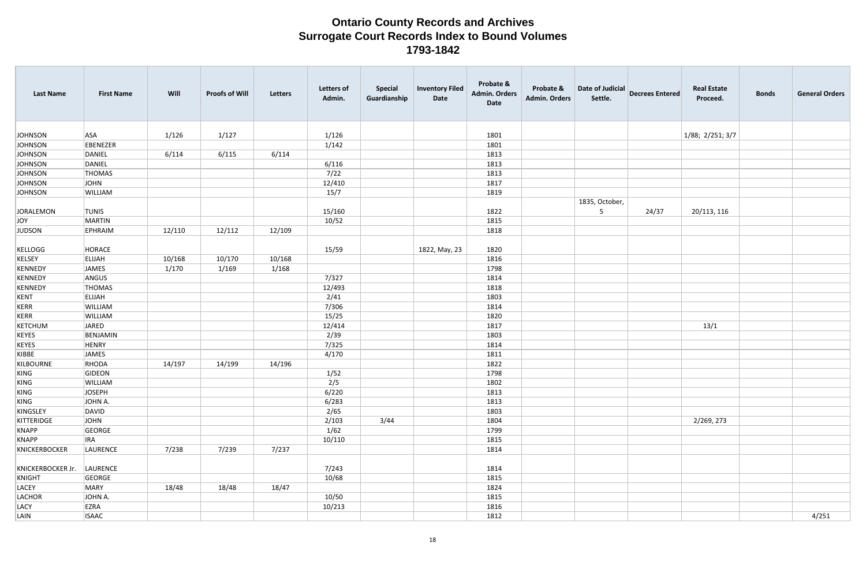| <b>Last Name</b>       | <b>First Name</b> | Will   | <b>Proofs of Will</b> | Letters | <b>Letters of</b><br>Admin. | <b>Special</b><br>Guardianship | <b>Inventory Filed</b><br>Date | Probate &<br><b>Admin. Orders</b><br>Date | Probate &<br>Admin. Orders | Date of Judicial<br>Settle. | <b>Decrees Entered</b> | <b>Real Estate</b><br>Proceed. | <b>Bonds</b> | <b>General Orders</b> |
|------------------------|-------------------|--------|-----------------------|---------|-----------------------------|--------------------------------|--------------------------------|-------------------------------------------|----------------------------|-----------------------------|------------------------|--------------------------------|--------------|-----------------------|
| <b>JOHNSON</b>         | <b>ASA</b>        | 1/126  | 1/127                 |         | 1/126                       |                                |                                | 1801                                      |                            |                             |                        | 1/88; 2/251; 3/7               |              |                       |
| <b>JOHNSON</b>         | EBENEZER          |        |                       |         | 1/142                       |                                |                                | 1801                                      |                            |                             |                        |                                |              |                       |
| <b>JOHNSON</b>         | DANIEL            | 6/114  | 6/115                 | 6/114   |                             |                                |                                | 1813                                      |                            |                             |                        |                                |              |                       |
| <b>JOHNSON</b>         | DANIEL            |        |                       |         | 6/116                       |                                |                                | 1813                                      |                            |                             |                        |                                |              |                       |
| <b>JOHNSON</b>         | THOMAS            |        |                       |         | 7/22                        |                                |                                | 1813                                      |                            |                             |                        |                                |              |                       |
| <b>JOHNSON</b>         | JOHN              |        |                       |         | 12/410                      |                                |                                | 1817                                      |                            |                             |                        |                                |              |                       |
| <b>JOHNSON</b>         | <b>WILLIAM</b>    |        |                       |         | 15/7                        |                                |                                | 1819                                      |                            |                             |                        |                                |              |                       |
|                        |                   |        |                       |         |                             |                                |                                |                                           |                            | 1835, October,              |                        |                                |              |                       |
| JORALEMON              | <b>TUNIS</b>      |        |                       |         | 15/160                      |                                |                                | 1822                                      |                            | 5                           | 24/37                  | 20/113, 116                    |              |                       |
| JOY                    | MARTIN            |        |                       |         | 10/52                       |                                |                                | 1815                                      |                            |                             |                        |                                |              |                       |
| JUDSON                 | EPHRAIM           | 12/110 | 12/112                | 12/109  |                             |                                |                                | 1818                                      |                            |                             |                        |                                |              |                       |
|                        |                   |        |                       |         |                             |                                |                                |                                           |                            |                             |                        |                                |              |                       |
| KELLOGG                | HORACE            |        |                       |         | 15/59                       |                                | 1822, May, 23                  | 1820                                      |                            |                             |                        |                                |              |                       |
| KELSEY                 | <b>ELIJAH</b>     | 10/168 | 10/170                | 10/168  |                             |                                |                                | 1816                                      |                            |                             |                        |                                |              |                       |
| KENNEDY                | JAMES             | 1/170  | 1/169                 | 1/168   |                             |                                |                                | 1798                                      |                            |                             |                        |                                |              |                       |
| KENNEDY                | ANGUS             |        |                       |         | 7/327                       |                                |                                | 1814                                      |                            |                             |                        |                                |              |                       |
| KENNEDY                | <b>THOMAS</b>     |        |                       |         | 12/493                      |                                |                                | 1818                                      |                            |                             |                        |                                |              |                       |
| KENT                   | <b>ELIJAH</b>     |        |                       |         | 2/41                        |                                |                                | 1803                                      |                            |                             |                        |                                |              |                       |
| KERR                   | <b>WILLIAM</b>    |        |                       |         | 7/306                       |                                |                                | 1814                                      |                            |                             |                        |                                |              |                       |
| KERR                   | <b>WILLIAM</b>    |        |                       |         | 15/25                       |                                |                                | 1820                                      |                            |                             |                        |                                |              |                       |
| KETCHUM                | JARED             |        |                       |         | 12/414                      |                                |                                | 1817                                      |                            |                             |                        | 13/1                           |              |                       |
| KEYES                  | BENJAMIN          |        |                       |         | 2/39                        |                                |                                | 1803                                      |                            |                             |                        |                                |              |                       |
| KEYES                  | HENRY             |        |                       |         | 7/325                       |                                |                                | 1814                                      |                            |                             |                        |                                |              |                       |
| KIBBE                  | JAMES             |        |                       |         | 4/170                       |                                |                                | 1811                                      |                            |                             |                        |                                |              |                       |
| KILBOURNE              | RHODA             | 14/197 | 14/199                | 14/196  |                             |                                |                                | 1822                                      |                            |                             |                        |                                |              |                       |
| KING                   | GIDEON            |        |                       |         | 1/52                        |                                |                                | 1798                                      |                            |                             |                        |                                |              |                       |
| KING                   | WILLIAM           |        |                       |         | 2/5                         |                                |                                | 1802                                      |                            |                             |                        |                                |              |                       |
| KING                   | JOSEPH            |        |                       |         | 6/220                       |                                |                                | 1813                                      |                            |                             |                        |                                |              |                       |
| KING                   | JOHN A.           |        |                       |         | 6/283                       |                                |                                | 1813                                      |                            |                             |                        |                                |              |                       |
| KINGSLEY               | DAVID             |        |                       |         | 2/65                        |                                |                                | 1803                                      |                            |                             |                        |                                |              |                       |
| KITTERIDGE             | JOHN              |        |                       |         | 2/103                       | 3/44                           |                                | 1804                                      |                            |                             |                        | 2/269, 273                     |              |                       |
| KNAPP                  | GEORGE            |        |                       |         | 1/62                        |                                |                                | 1799                                      |                            |                             |                        |                                |              |                       |
| KNAPP<br>KNICKERBOCKER | <b>IRA</b>        | 7/238  | 7/239                 | 7/237   | 10/110                      |                                |                                | 1815<br>1814                              |                            |                             |                        |                                |              |                       |
|                        | LAURENCE          |        |                       |         |                             |                                |                                |                                           |                            |                             |                        |                                |              |                       |
| KNICKERBOCKER Jr.      | LAURENCE          |        |                       |         | 7/243                       |                                |                                | 1814                                      |                            |                             |                        |                                |              |                       |
| KNIGHT                 | GEORGE            |        |                       |         | 10/68                       |                                |                                | 1815                                      |                            |                             |                        |                                |              |                       |
| LACEY                  | MARY              | 18/48  | 18/48                 | 18/47   |                             |                                |                                | 1824                                      |                            |                             |                        |                                |              |                       |
| LACHOR                 | JOHN A.           |        |                       |         | 10/50                       |                                |                                | 1815                                      |                            |                             |                        |                                |              |                       |
| LACY                   | EZRA              |        |                       |         | 10/213                      |                                |                                | 1816                                      |                            |                             |                        |                                |              |                       |
| LAIN                   | <b>ISAAC</b>      |        |                       |         |                             |                                |                                | 1812                                      |                            |                             |                        |                                |              | 4/251                 |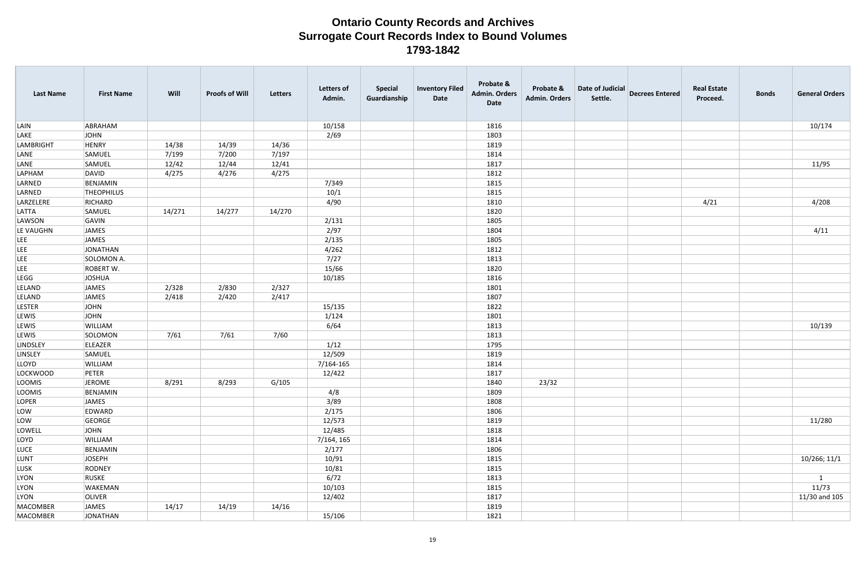| <b>Last Name</b> | <b>First Name</b> | Will   | <b>Proofs of Will</b> | Letters | <b>Letters of</b><br>Admin. | <b>Special</b><br>Guardianship | <b>Inventory Filed</b><br>Date | Probate &<br><b>Admin. Orders</b><br>Date | Probate &<br><b>Admin. Orders</b> | Date of Judicial<br>Settle. | <b>Decrees Entered</b> | <b>Real Estate</b><br>Proceed. | <b>Bonds</b> | <b>General Orders</b> |
|------------------|-------------------|--------|-----------------------|---------|-----------------------------|--------------------------------|--------------------------------|-------------------------------------------|-----------------------------------|-----------------------------|------------------------|--------------------------------|--------------|-----------------------|
| LAIN             | ABRAHAM           |        |                       |         | 10/158                      |                                |                                | 1816                                      |                                   |                             |                        |                                |              | 10/174                |
| LAKE             | <b>JOHN</b>       |        |                       |         | 2/69                        |                                |                                | 1803                                      |                                   |                             |                        |                                |              |                       |
| <b>LAMBRIGHT</b> | <b>HENRY</b>      | 14/38  | 14/39                 | 14/36   |                             |                                |                                | 1819                                      |                                   |                             |                        |                                |              |                       |
| LANE             | SAMUEL            | 7/199  | 7/200                 | 7/197   |                             |                                |                                | 1814                                      |                                   |                             |                        |                                |              |                       |
| LANE             | SAMUEL            | 12/42  | 12/44                 | 12/41   |                             |                                |                                | 1817                                      |                                   |                             |                        |                                |              | 11/95                 |
| LAPHAM           | <b>DAVID</b>      | 4/275  | 4/276                 | 4/275   |                             |                                |                                | 1812                                      |                                   |                             |                        |                                |              |                       |
| LARNED           | BENJAMIN          |        |                       |         | 7/349                       |                                |                                | 1815                                      |                                   |                             |                        |                                |              |                       |
| LARNED           | <b>THEOPHILUS</b> |        |                       |         | 10/1                        |                                |                                | 1815                                      |                                   |                             |                        |                                |              |                       |
| LARZELERE        | RICHARD           |        |                       |         | 4/90                        |                                |                                | 1810                                      |                                   |                             |                        | 4/21                           |              | 4/208                 |
| LATTA            | SAMUEL            | 14/271 | 14/277                | 14/270  |                             |                                |                                | 1820                                      |                                   |                             |                        |                                |              |                       |
| LAWSON           | GAVIN             |        |                       |         | 2/131                       |                                |                                | 1805                                      |                                   |                             |                        |                                |              |                       |
| LE VAUGHN        | JAMES             |        |                       |         | 2/97                        |                                |                                | 1804                                      |                                   |                             |                        |                                |              | 4/11                  |
| LEE              | JAMES             |        |                       |         | 2/135                       |                                |                                | 1805                                      |                                   |                             |                        |                                |              |                       |
| LEE              | JONATHAN          |        |                       |         | 4/262                       |                                |                                | 1812                                      |                                   |                             |                        |                                |              |                       |
| LEE              | SOLOMON A.        |        |                       |         | 7/27                        |                                |                                | 1813                                      |                                   |                             |                        |                                |              |                       |
| LEE              | <b>ROBERT W.</b>  |        |                       |         | 15/66                       |                                |                                | 1820                                      |                                   |                             |                        |                                |              |                       |
| LEGG             | JOSHUA            |        |                       |         | 10/185                      |                                |                                | 1816                                      |                                   |                             |                        |                                |              |                       |
| LELAND           | JAMES             | 2/328  | 2/830                 | 2/327   |                             |                                |                                | 1801                                      |                                   |                             |                        |                                |              |                       |
| LELAND           | JAMES             | 2/418  | 2/420                 | 2/417   |                             |                                |                                | 1807                                      |                                   |                             |                        |                                |              |                       |
| <b>LESTER</b>    | JOHN              |        |                       |         | 15/135                      |                                |                                | 1822                                      |                                   |                             |                        |                                |              |                       |
| <b>LEWIS</b>     | JOHN              |        |                       |         | 1/124                       |                                |                                | 1801                                      |                                   |                             |                        |                                |              |                       |
| LEWIS            | WILLIAM           |        |                       |         | 6/64                        |                                |                                | 1813                                      |                                   |                             |                        |                                |              | 10/139                |
| <b>LEWIS</b>     | SOLOMON           | 7/61   | 7/61                  | 7/60    |                             |                                |                                | 1813                                      |                                   |                             |                        |                                |              |                       |
| LINDSLEY         | ELEAZER           |        |                       |         | 1/12                        |                                |                                | 1795                                      |                                   |                             |                        |                                |              |                       |
| LINSLEY          | SAMUEL            |        |                       |         | 12/509                      |                                |                                | 1819                                      |                                   |                             |                        |                                |              |                       |
| LLOYD            | WILLIAM           |        |                       |         | 7/164-165                   |                                |                                | 1814                                      |                                   |                             |                        |                                |              |                       |
| LOCKWOOD         | PETER             |        |                       |         | 12/422                      |                                |                                | 1817                                      |                                   |                             |                        |                                |              |                       |
| LOOMIS           | JEROME            | 8/291  | 8/293                 | G/105   |                             |                                |                                | 1840                                      | 23/32                             |                             |                        |                                |              |                       |
| LOOMIS           | BENJAMIN          |        |                       |         | 4/8                         |                                |                                | 1809                                      |                                   |                             |                        |                                |              |                       |
| LOPER            | JAMES             |        |                       |         | 3/89                        |                                |                                | 1808                                      |                                   |                             |                        |                                |              |                       |
| LOW              | EDWARD            |        |                       |         | 2/175                       |                                |                                | 1806                                      |                                   |                             |                        |                                |              |                       |
| LOW              | GEORGE            |        |                       |         | 12/573                      |                                |                                | 1819                                      |                                   |                             |                        |                                |              | 11/280                |
| LOWELL           | <b>JOHN</b>       |        |                       |         | 12/485                      |                                |                                | 1818                                      |                                   |                             |                        |                                |              |                       |
| LOYD             | WILLIAM           |        |                       |         | 7/164, 165                  |                                |                                | 1814                                      |                                   |                             |                        |                                |              |                       |
| LUCE             | BENJAMIN          |        |                       |         | 2/177                       |                                |                                | 1806                                      |                                   |                             |                        |                                |              |                       |
| LUNT             | <b>JOSEPH</b>     |        |                       |         | 10/91                       |                                |                                | 1815                                      |                                   |                             |                        |                                |              | 10/266; 11/1          |
| LUSK             | RODNEY            |        |                       |         | 10/81                       |                                |                                | 1815                                      |                                   |                             |                        |                                |              |                       |
| LYON             | RUSKE             |        |                       |         | 6/72                        |                                |                                | 1813                                      |                                   |                             |                        |                                |              | $\mathbf{1}$          |
| <b>LYON</b>      | WAKEMAN           |        |                       |         | 10/103                      |                                |                                | 1815                                      |                                   |                             |                        |                                |              | 11/73                 |
| LYON             | OLIVER            |        |                       |         | 12/402                      |                                |                                | 1817                                      |                                   |                             |                        |                                |              | 11/30 and 105         |
| MACOMBER         | JAMES             | 14/17  | 14/19                 | 14/16   |                             |                                |                                | 1819                                      |                                   |                             |                        |                                |              |                       |
| MACOMBER         | JONATHAN          |        |                       |         | 15/106                      |                                |                                | 1821                                      |                                   |                             |                        |                                |              |                       |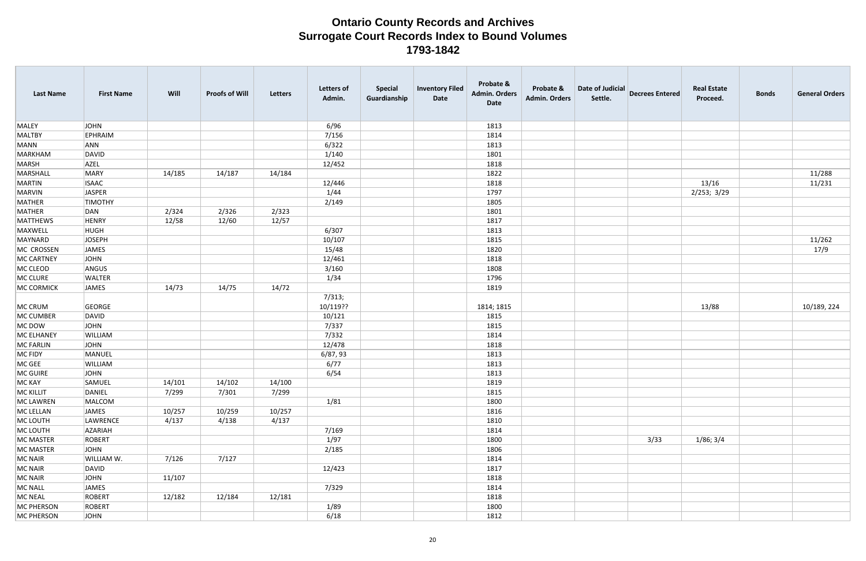| <b>Last Name</b>  | <b>First Name</b> | Will   | <b>Proofs of Will</b> | <b>Letters</b> | <b>Letters of</b><br>Admin. | <b>Special</b><br>Guardianship | <b>Inventory Filed</b><br>Date | Probate &<br><b>Admin. Orders</b><br>Date | Probate &<br><b>Admin. Orders</b> | Date of Judicial<br>Settle. | <b>Decrees Entered</b> | <b>Real Estate</b><br>Proceed. | <b>Bonds</b> | <b>General Orders</b> |
|-------------------|-------------------|--------|-----------------------|----------------|-----------------------------|--------------------------------|--------------------------------|-------------------------------------------|-----------------------------------|-----------------------------|------------------------|--------------------------------|--------------|-----------------------|
| <b>MALEY</b>      | JOHN              |        |                       |                | 6/96                        |                                |                                | 1813                                      |                                   |                             |                        |                                |              |                       |
| <b>MALTBY</b>     | <b>EPHRAIM</b>    |        |                       |                | 7/156                       |                                |                                | 1814                                      |                                   |                             |                        |                                |              |                       |
| <b>MANN</b>       | ANN               |        |                       |                | 6/322                       |                                |                                | 1813                                      |                                   |                             |                        |                                |              |                       |
| <b>MARKHAM</b>    | DAVID             |        |                       |                | 1/140                       |                                |                                | 1801                                      |                                   |                             |                        |                                |              |                       |
| <b>MARSH</b>      | <b>AZEL</b>       |        |                       |                | 12/452                      |                                |                                | 1818                                      |                                   |                             |                        |                                |              |                       |
| MARSHALL          | MARY              | 14/185 | 14/187                | 14/184         |                             |                                |                                | 1822                                      |                                   |                             |                        |                                |              | 11/288                |
| <b>MARTIN</b>     | <b>ISAAC</b>      |        |                       |                | 12/446                      |                                |                                | 1818                                      |                                   |                             |                        | 13/16                          |              | 11/231                |
| <b>MARVIN</b>     | JASPER            |        |                       |                | 1/44                        |                                |                                | 1797                                      |                                   |                             |                        | 2/253; 3/29                    |              |                       |
| MATHER            | <b>TIMOTHY</b>    |        |                       |                | 2/149                       |                                |                                | 1805                                      |                                   |                             |                        |                                |              |                       |
| MATHER            | DAN               | 2/324  | 2/326                 | 2/323          |                             |                                |                                | 1801                                      |                                   |                             |                        |                                |              |                       |
| <b>MATTHEWS</b>   | <b>HENRY</b>      | 12/58  | 12/60                 | 12/57          |                             |                                |                                | 1817                                      |                                   |                             |                        |                                |              |                       |
| MAXWELL           | <b>HUGH</b>       |        |                       |                | 6/307                       |                                |                                | 1813                                      |                                   |                             |                        |                                |              |                       |
| MAYNARD           | JOSEPH            |        |                       |                | 10/107                      |                                |                                | 1815                                      |                                   |                             |                        |                                |              | 11/262                |
| MC CROSSEN        | JAMES             |        |                       |                | 15/48                       |                                |                                | 1820                                      |                                   |                             |                        |                                |              | 17/9                  |
| <b>MC CARTNEY</b> | JOHN              |        |                       |                | 12/461                      |                                |                                | 1818                                      |                                   |                             |                        |                                |              |                       |
| MC CLEOD          | ANGUS             |        |                       |                | 3/160                       |                                |                                | 1808                                      |                                   |                             |                        |                                |              |                       |
| MC CLURE          | <b>WALTER</b>     |        |                       |                | 1/34                        |                                |                                | 1796                                      |                                   |                             |                        |                                |              |                       |
| <b>MC CORMICK</b> | <b>JAMES</b>      | 14/73  | 14/75                 | 14/72          |                             |                                |                                | 1819                                      |                                   |                             |                        |                                |              |                       |
|                   |                   |        |                       |                | 7/313;                      |                                |                                |                                           |                                   |                             |                        |                                |              |                       |
| MC CRUM           | GEORGE            |        |                       |                | 10/119??                    |                                |                                | 1814; 1815                                |                                   |                             |                        | 13/88                          |              | 10/189, 224           |
| MC CUMBER         | DAVID             |        |                       |                | 10/121                      |                                |                                | 1815                                      |                                   |                             |                        |                                |              |                       |
| MC DOW            | JOHN              |        |                       |                | 7/337                       |                                |                                | 1815                                      |                                   |                             |                        |                                |              |                       |
| <b>MC ELHANEY</b> | WILLIAM           |        |                       |                | 7/332                       |                                |                                | 1814                                      |                                   |                             |                        |                                |              |                       |
| MC FARLIN         | JOHN              |        |                       |                | 12/478                      |                                |                                | 1818                                      |                                   |                             |                        |                                |              |                       |
| MC FIDY           | MANUEL            |        |                       |                | 6/87, 93                    |                                |                                | 1813                                      |                                   |                             |                        |                                |              |                       |
| MC GEE            | WILLIAM           |        |                       |                | 6/77                        |                                |                                | 1813                                      |                                   |                             |                        |                                |              |                       |
| MC GUIRE          | <b>JOHN</b>       |        |                       |                | 6/54                        |                                |                                | 1813                                      |                                   |                             |                        |                                |              |                       |
| MC KAY            | SAMUEL            | 14/101 | 14/102                | 14/100         |                             |                                |                                | 1819                                      |                                   |                             |                        |                                |              |                       |
| <b>MC KILLIT</b>  | DANIEL            | 7/299  | 7/301                 | 7/299          |                             |                                |                                | 1815                                      |                                   |                             |                        |                                |              |                       |
| MC LAWREN         | MALCOM            |        |                       |                | 1/81                        |                                |                                | 1800                                      |                                   |                             |                        |                                |              |                       |
| MC LELLAN         | JAMES             | 10/257 | 10/259                | 10/257         |                             |                                |                                | 1816                                      |                                   |                             |                        |                                |              |                       |
| MC LOUTH          | LAWRENCE          | 4/137  | 4/138                 | 4/137          |                             |                                |                                | 1810                                      |                                   |                             |                        |                                |              |                       |
| MC LOUTH          | AZARIAH           |        |                       |                | 7/169                       |                                |                                | 1814                                      |                                   |                             |                        |                                |              |                       |
| <b>MC MASTER</b>  | ROBERT            |        |                       |                | 1/97                        |                                |                                | 1800                                      |                                   |                             | 3/33                   | 1/86; 3/4                      |              |                       |
| <b>MC MASTER</b>  | JOHN              |        |                       |                | 2/185                       |                                |                                | 1806                                      |                                   |                             |                        |                                |              |                       |
| MC NAIR           | WILLIAM W.        | 7/126  | 7/127                 |                |                             |                                |                                | 1814                                      |                                   |                             |                        |                                |              |                       |
| MC NAIR           | DAVID             |        |                       |                | 12/423                      |                                |                                | 1817                                      |                                   |                             |                        |                                |              |                       |
| MC NAIR           | JOHN              | 11/107 |                       |                |                             |                                |                                | 1818                                      |                                   |                             |                        |                                |              |                       |
| MC NALL           | JAMES             |        |                       |                | 7/329                       |                                |                                | 1814                                      |                                   |                             |                        |                                |              |                       |
| <b>MC NEAL</b>    | ROBERT            | 12/182 | 12/184                | 12/181         |                             |                                |                                | 1818                                      |                                   |                             |                        |                                |              |                       |
| <b>MC PHERSON</b> | ROBERT            |        |                       |                | 1/89                        |                                |                                | 1800                                      |                                   |                             |                        |                                |              |                       |
| <b>MC PHERSON</b> | JOHN              |        |                       |                | 6/18                        |                                |                                | 1812                                      |                                   |                             |                        |                                |              |                       |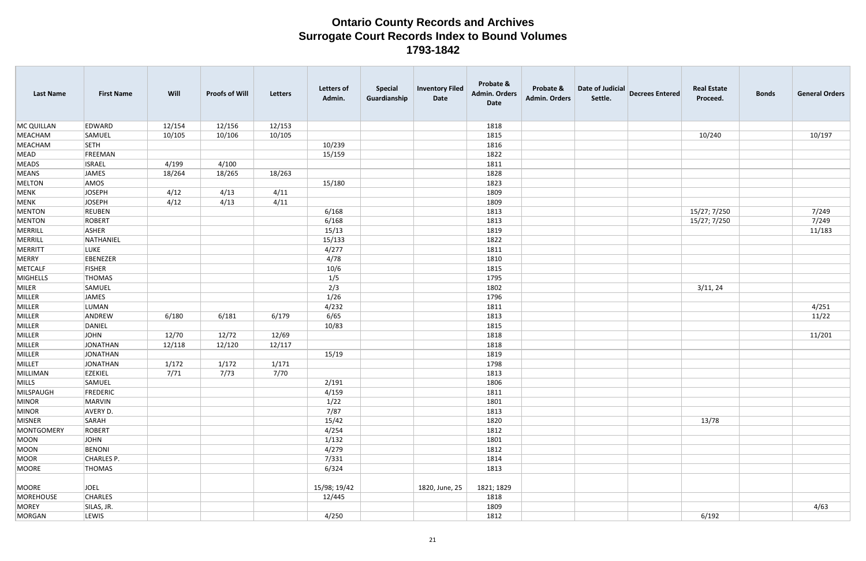| <b>Last Name</b> | <b>First Name</b> | Will   | <b>Proofs of Will</b> | Letters | <b>Letters of</b><br>Admin. | <b>Special</b><br>Guardianship | <b>Inventory Filed</b><br>Date | Probate &<br><b>Admin. Orders</b><br>Date | Probate &<br><b>Admin. Orders</b> | Date of Judicial<br>Settle. | <b>Decrees Entered</b> | <b>Real Estate</b><br>Proceed. | <b>Bonds</b> | <b>General Orders</b> |
|------------------|-------------------|--------|-----------------------|---------|-----------------------------|--------------------------------|--------------------------------|-------------------------------------------|-----------------------------------|-----------------------------|------------------------|--------------------------------|--------------|-----------------------|
| MC QUILLAN       | EDWARD            | 12/154 | 12/156                | 12/153  |                             |                                |                                | 1818                                      |                                   |                             |                        |                                |              |                       |
| MEACHAM          | SAMUEL            | 10/105 | 10/106                | 10/105  |                             |                                |                                | 1815                                      |                                   |                             |                        | 10/240                         |              | 10/197                |
| MEACHAM          | <b>SETH</b>       |        |                       |         | 10/239                      |                                |                                | 1816                                      |                                   |                             |                        |                                |              |                       |
| MEAD             | FREEMAN           |        |                       |         | 15/159                      |                                |                                | 1822                                      |                                   |                             |                        |                                |              |                       |
| <b>MEADS</b>     | <b>ISRAEL</b>     | 4/199  | 4/100                 |         |                             |                                |                                | 1811                                      |                                   |                             |                        |                                |              |                       |
| MEANS            | <b>JAMES</b>      | 18/264 | 18/265                | 18/263  |                             |                                |                                | 1828                                      |                                   |                             |                        |                                |              |                       |
| MELTON           | AMOS              |        |                       |         | 15/180                      |                                |                                | 1823                                      |                                   |                             |                        |                                |              |                       |
| MENK             | JOSEPH            | 4/12   | 4/13                  | 4/11    |                             |                                |                                | 1809                                      |                                   |                             |                        |                                |              |                       |
| MENK             | JOSEPH            | 4/12   | 4/13                  | 4/11    |                             |                                |                                | 1809                                      |                                   |                             |                        |                                |              |                       |
| <b>MENTON</b>    | <b>REUBEN</b>     |        |                       |         | 6/168                       |                                |                                | 1813                                      |                                   |                             |                        | 15/27; 7/250                   |              | 7/249                 |
| MENTON           | ROBERT            |        |                       |         | 6/168                       |                                |                                | 1813                                      |                                   |                             |                        | 15/27; 7/250                   |              | 7/249                 |
| MERRILL          | ASHER             |        |                       |         | 15/13                       |                                |                                | 1819                                      |                                   |                             |                        |                                |              | 11/183                |
| MERRILL          | NATHANIEL         |        |                       |         | 15/133                      |                                |                                | 1822                                      |                                   |                             |                        |                                |              |                       |
| MERRITT          | <b>LUKE</b>       |        |                       |         | 4/277                       |                                |                                | 1811                                      |                                   |                             |                        |                                |              |                       |
| MERRY            | EBENEZER          |        |                       |         | 4/78                        |                                |                                | 1810                                      |                                   |                             |                        |                                |              |                       |
| METCALF          | FISHER            |        |                       |         | 10/6                        |                                |                                | 1815                                      |                                   |                             |                        |                                |              |                       |
| MIGHELLS         | <b>THOMAS</b>     |        |                       |         | 1/5                         |                                |                                | 1795                                      |                                   |                             |                        |                                |              |                       |
| MILER            | SAMUEL            |        |                       |         | 2/3                         |                                |                                | 1802                                      |                                   |                             |                        | 3/11, 24                       |              |                       |
| MILLER           | JAMES             |        |                       |         | 1/26                        |                                |                                | 1796                                      |                                   |                             |                        |                                |              |                       |
| MILLER           | LUMAN             |        |                       |         | 4/232                       |                                |                                | 1811                                      |                                   |                             |                        |                                |              | 4/251                 |
| MILLER           | ANDREW            | 6/180  | 6/181                 | 6/179   | 6/65                        |                                |                                | 1813                                      |                                   |                             |                        |                                |              | 11/22                 |
| MILLER           | DANIEL            |        |                       |         | 10/83                       |                                |                                | 1815                                      |                                   |                             |                        |                                |              |                       |
| MILLER           | JOHN              | 12/70  | 12/72                 | 12/69   |                             |                                |                                | 1818                                      |                                   |                             |                        |                                |              | 11/201                |
| MILLER           | JONATHAN          | 12/118 | 12/120                | 12/117  |                             |                                |                                | 1818                                      |                                   |                             |                        |                                |              |                       |
| MILLER           | JONATHAN          |        |                       |         | 15/19                       |                                |                                | 1819                                      |                                   |                             |                        |                                |              |                       |
| MILLET           | JONATHAN          | 1/172  | 1/172                 | 1/171   |                             |                                |                                | 1798                                      |                                   |                             |                        |                                |              |                       |
| MILLIMAN         | EZEKIEL           | 7/71   | 7/73                  | 7/70    |                             |                                |                                | 1813                                      |                                   |                             |                        |                                |              |                       |
| MILLS            | SAMUEL            |        |                       |         | 2/191                       |                                |                                | 1806                                      |                                   |                             |                        |                                |              |                       |
| MILSPAUGH        | FREDERIC          |        |                       |         | 4/159                       |                                |                                | 1811                                      |                                   |                             |                        |                                |              |                       |
| MINOR            | MARVIN            |        |                       |         | 1/22                        |                                |                                | 1801                                      |                                   |                             |                        |                                |              |                       |
| MINOR            | AVERY D.          |        |                       |         | 7/87                        |                                |                                | 1813                                      |                                   |                             |                        |                                |              |                       |
| MISNER           | SARAH             |        |                       |         | 15/42                       |                                |                                | 1820                                      |                                   |                             |                        | 13/78                          |              |                       |
| MONTGOMERY       | ROBERT            |        |                       |         | 4/254                       |                                |                                | 1812                                      |                                   |                             |                        |                                |              |                       |
| MOON             | JOHN              |        |                       |         | 1/132                       |                                |                                | 1801                                      |                                   |                             |                        |                                |              |                       |
| MOON             | BENONI            |        |                       |         | 4/279                       |                                |                                | 1812                                      |                                   |                             |                        |                                |              |                       |
| MOOR             | CHARLES P.        |        |                       |         | 7/331                       |                                |                                | 1814                                      |                                   |                             |                        |                                |              |                       |
| MOORE            | THOMAS            |        |                       |         | 6/324                       |                                |                                | 1813                                      |                                   |                             |                        |                                |              |                       |
|                  |                   |        |                       |         |                             |                                |                                |                                           |                                   |                             |                        |                                |              |                       |
| MOORE            | JOEL              |        |                       |         | 15/98; 19/42                |                                | 1820, June, 25                 | 1821; 1829                                |                                   |                             |                        |                                |              |                       |
| MOREHOUSE        | <b>CHARLES</b>    |        |                       |         | 12/445                      |                                |                                | 1818                                      |                                   |                             |                        |                                |              |                       |
| MOREY            | SILAS, JR.        |        |                       |         |                             |                                |                                | 1809                                      |                                   |                             |                        |                                |              | 4/63                  |
| MORGAN           | LEWIS             |        |                       |         | 4/250                       |                                |                                | 1812                                      |                                   |                             |                        | 6/192                          |              |                       |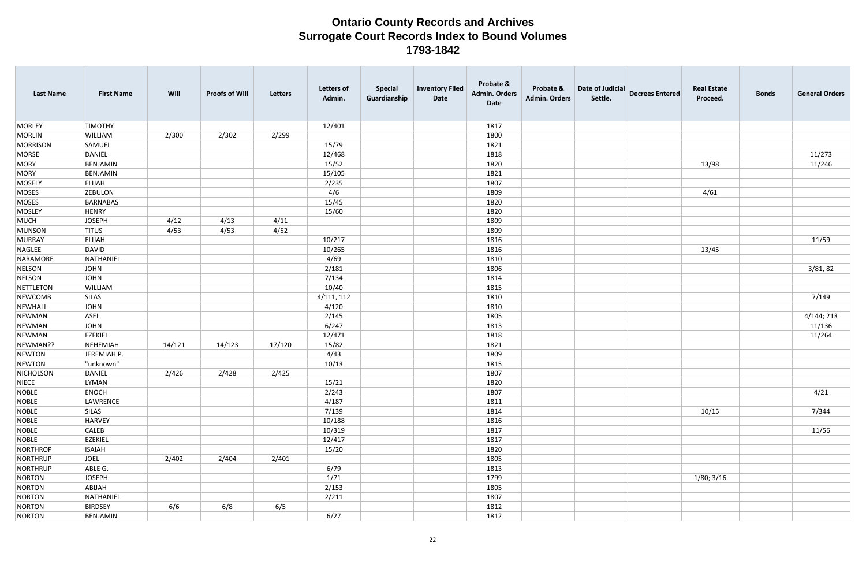| <b>Last Name</b> | <b>First Name</b> | Will   | <b>Proofs of Will</b> | Letters | <b>Letters of</b><br>Admin. | <b>Special</b><br>Guardianship | <b>Inventory Filed</b><br>Date | Probate &<br><b>Admin. Orders</b><br>Date | Probate &<br><b>Admin. Orders</b> | Date of Judicial<br>Settle. | <b>Decrees Entered</b> | <b>Real Estate</b><br>Proceed. | <b>Bonds</b> | <b>General Orders</b> |
|------------------|-------------------|--------|-----------------------|---------|-----------------------------|--------------------------------|--------------------------------|-------------------------------------------|-----------------------------------|-----------------------------|------------------------|--------------------------------|--------------|-----------------------|
| <b>MORLEY</b>    | <b>TIMOTHY</b>    |        |                       |         | 12/401                      |                                |                                | 1817                                      |                                   |                             |                        |                                |              |                       |
| MORLIN           | WILLIAM           | 2/300  | 2/302                 | 2/299   |                             |                                |                                | 1800                                      |                                   |                             |                        |                                |              |                       |
| MORRISON         | SAMUEL            |        |                       |         | 15/79                       |                                |                                | 1821                                      |                                   |                             |                        |                                |              |                       |
| MORSE            | DANIEL            |        |                       |         | 12/468                      |                                |                                | 1818                                      |                                   |                             |                        |                                |              | 11/273                |
| MORY             | BENJAMIN          |        |                       |         | 15/52                       |                                |                                | 1820                                      |                                   |                             |                        | 13/98                          |              | 11/246                |
| MORY             | BENJAMIN          |        |                       |         | 15/105                      |                                |                                | 1821                                      |                                   |                             |                        |                                |              |                       |
| MOSELY           | <b>ELIJAH</b>     |        |                       |         | 2/235                       |                                |                                | 1807                                      |                                   |                             |                        |                                |              |                       |
| MOSES            | <b>ZEBULON</b>    |        |                       |         | 4/6                         |                                |                                | 1809                                      |                                   |                             |                        | 4/61                           |              |                       |
| MOSES            | BARNABAS          |        |                       |         | 15/45                       |                                |                                | 1820                                      |                                   |                             |                        |                                |              |                       |
| MOSLEY           | HENRY             |        |                       |         | 15/60                       |                                |                                | 1820                                      |                                   |                             |                        |                                |              |                       |
| MUCH             | JOSEPH            | 4/12   | 4/13                  | 4/11    |                             |                                |                                | 1809                                      |                                   |                             |                        |                                |              |                       |
| MUNSON           | <b>TITUS</b>      | 4/53   | 4/53                  | 4/52    |                             |                                |                                | 1809                                      |                                   |                             |                        |                                |              |                       |
| MURRAY           | <b>ELIJAH</b>     |        |                       |         | 10/217                      |                                |                                | 1816                                      |                                   |                             |                        |                                |              | 11/59                 |
| NAGLEE           | DAVID             |        |                       |         | 10/265                      |                                |                                | 1816                                      |                                   |                             |                        | 13/45                          |              |                       |
| NARAMORE         | NATHANIEL         |        |                       |         | 4/69                        |                                |                                | 1810                                      |                                   |                             |                        |                                |              |                       |
| NELSON           | JOHN              |        |                       |         | 2/181                       |                                |                                | 1806                                      |                                   |                             |                        |                                |              | 3/81, 82              |
| NELSON           | JOHN              |        |                       |         | 7/134                       |                                |                                | 1814                                      |                                   |                             |                        |                                |              |                       |
| NETTLETON        | <b>WILLIAM</b>    |        |                       |         | 10/40                       |                                |                                | 1815                                      |                                   |                             |                        |                                |              |                       |
| NEWCOMB          | <b>SILAS</b>      |        |                       |         | 4/111, 112                  |                                |                                | 1810                                      |                                   |                             |                        |                                |              | 7/149                 |
| NEWHALL          | JOHN              |        |                       |         | 4/120                       |                                |                                | 1810                                      |                                   |                             |                        |                                |              |                       |
| NEWMAN           | ASEL              |        |                       |         | 2/145                       |                                |                                | 1805                                      |                                   |                             |                        |                                |              | 4/144; 213            |
| NEWMAN           | JOHN              |        |                       |         | 6/247                       |                                |                                | 1813                                      |                                   |                             |                        |                                |              | 11/136                |
| NEWMAN           | <b>EZEKIEL</b>    |        |                       |         | 12/471                      |                                |                                | 1818                                      |                                   |                             |                        |                                |              | 11/264                |
| NEWMAN??         | NEHEMIAH          | 14/121 | 14/123                | 17/120  | 15/82                       |                                |                                | 1821                                      |                                   |                             |                        |                                |              |                       |
| NEWTON           | JEREMIAH P.       |        |                       |         | 4/43                        |                                |                                | 1809                                      |                                   |                             |                        |                                |              |                       |
| NEWTON           | "unknown"         |        |                       |         | 10/13                       |                                |                                | 1815                                      |                                   |                             |                        |                                |              |                       |
| NICHOLSON        | DANIEL            | 2/426  | 2/428                 | 2/425   |                             |                                |                                | 1807                                      |                                   |                             |                        |                                |              |                       |
| NIECE            | LYMAN             |        |                       |         | 15/21                       |                                |                                | 1820                                      |                                   |                             |                        |                                |              |                       |
| NOBLE            | ENOCH             |        |                       |         | 2/243                       |                                |                                | 1807                                      |                                   |                             |                        |                                |              | 4/21                  |
| NOBLE            | LAWRENCE          |        |                       |         | 4/187                       |                                |                                | 1811                                      |                                   |                             |                        |                                |              |                       |
| NOBLE            | SILAS             |        |                       |         | 7/139                       |                                |                                | 1814                                      |                                   |                             |                        | 10/15                          |              | 7/344                 |
| NOBLE            | HARVEY            |        |                       |         | 10/188                      |                                |                                | 1816                                      |                                   |                             |                        |                                |              |                       |
| NOBLE            | <b>CALEB</b>      |        |                       |         | 10/319                      |                                |                                | 1817                                      |                                   |                             |                        |                                |              | 11/56                 |
| NOBLE            | <b>EZEKIEL</b>    |        |                       |         | 12/417                      |                                |                                | 1817                                      |                                   |                             |                        |                                |              |                       |
| NORTHROP         | <b>ISAIAH</b>     |        |                       |         | 15/20                       |                                |                                | 1820                                      |                                   |                             |                        |                                |              |                       |
| NORTHRUP         | JOEL              | 2/402  | 2/404                 | 2/401   |                             |                                |                                | 1805                                      |                                   |                             |                        |                                |              |                       |
| NORTHRUP         | ABLE G.           |        |                       |         | 6/79                        |                                |                                | 1813                                      |                                   |                             |                        |                                |              |                       |
| NORTON           | JOSEPH            |        |                       |         | 1/71                        |                                |                                | 1799                                      |                                   |                             |                        | 1/80; 3/16                     |              |                       |
| NORTON           | ABIJAH            |        |                       |         | 2/153                       |                                |                                | 1805                                      |                                   |                             |                        |                                |              |                       |
| NORTON           | NATHANIEL         |        |                       |         | 2/211                       |                                |                                | 1807                                      |                                   |                             |                        |                                |              |                       |
| NORTON           | BIRDSEY           | 6/6    | 6/8                   | 6/5     |                             |                                |                                | 1812                                      |                                   |                             |                        |                                |              |                       |
| NORTON           | BENJAMIN          |        |                       |         | 6/27                        |                                |                                | 1812                                      |                                   |                             |                        |                                |              |                       |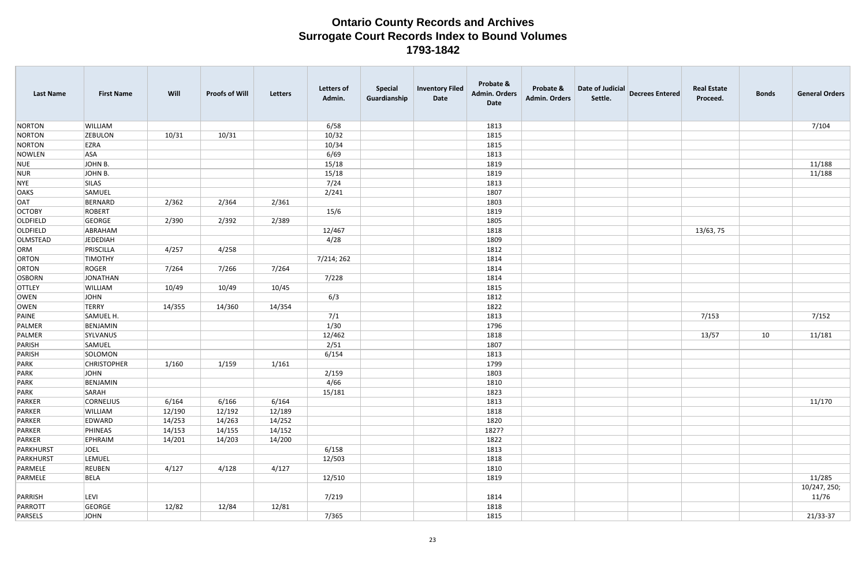| <b>Last Name</b> | <b>First Name</b>  | Will   | <b>Proofs of Will</b> | Letters | <b>Letters of</b><br>Admin. | <b>Special</b><br>Guardianship | <b>Inventory Filed</b><br>Date | Probate &<br><b>Admin. Orders</b><br>Date | Probate &<br><b>Admin. Orders</b> | Date of Judicial<br>Settle. | <b>Decrees Entered</b> | <b>Real Estate</b><br>Proceed. | <b>Bonds</b> | <b>General Orders</b> |
|------------------|--------------------|--------|-----------------------|---------|-----------------------------|--------------------------------|--------------------------------|-------------------------------------------|-----------------------------------|-----------------------------|------------------------|--------------------------------|--------------|-----------------------|
| NORTON           | WILLIAM            |        |                       |         | 6/58                        |                                |                                | 1813                                      |                                   |                             |                        |                                |              | 7/104                 |
| NORTON           | <b>ZEBULON</b>     | 10/31  | 10/31                 |         | 10/32                       |                                |                                | 1815                                      |                                   |                             |                        |                                |              |                       |
| NORTON           | EZRA               |        |                       |         | 10/34                       |                                |                                | 1815                                      |                                   |                             |                        |                                |              |                       |
| NOWLEN           | <b>ASA</b>         |        |                       |         | 6/69                        |                                |                                | 1813                                      |                                   |                             |                        |                                |              |                       |
| NUE              | JOHN B.            |        |                       |         | 15/18                       |                                |                                | 1819                                      |                                   |                             |                        |                                |              | 11/188                |
| NUR              | JOHN B.            |        |                       |         | 15/18                       |                                |                                | 1819                                      |                                   |                             |                        |                                |              | 11/188                |
| NYE              | <b>SILAS</b>       |        |                       |         | 7/24                        |                                |                                | 1813                                      |                                   |                             |                        |                                |              |                       |
| <b>OAKS</b>      | SAMUEL             |        |                       |         | 2/241                       |                                |                                | 1807                                      |                                   |                             |                        |                                |              |                       |
| <b>OAT</b>       | BERNARD            | 2/362  | 2/364                 | 2/361   |                             |                                |                                | 1803                                      |                                   |                             |                        |                                |              |                       |
| <b>OCTOBY</b>    | ROBERT             |        |                       |         | 15/6                        |                                |                                | 1819                                      |                                   |                             |                        |                                |              |                       |
| <b>OLDFIELD</b>  | GEORGE             | 2/390  | 2/392                 | 2/389   |                             |                                |                                | 1805                                      |                                   |                             |                        |                                |              |                       |
| <b>OLDFIELD</b>  | ABRAHAM            |        |                       |         | 12/467                      |                                |                                | 1818                                      |                                   |                             |                        | 13/63, 75                      |              |                       |
| OLMSTEAD         | <b>JEDEDIAH</b>    |        |                       |         | 4/28                        |                                |                                | 1809                                      |                                   |                             |                        |                                |              |                       |
| ORM              | PRISCILLA          | 4/257  | 4/258                 |         |                             |                                |                                | 1812                                      |                                   |                             |                        |                                |              |                       |
| <b>ORTON</b>     | <b>TIMOTHY</b>     |        |                       |         | 7/214; 262                  |                                |                                | 1814                                      |                                   |                             |                        |                                |              |                       |
| <b>ORTON</b>     | ROGER              | 7/264  | 7/266                 | 7/264   |                             |                                |                                | 1814                                      |                                   |                             |                        |                                |              |                       |
| <b>OSBORN</b>    | JONATHAN           |        |                       |         | 7/228                       |                                |                                | 1814                                      |                                   |                             |                        |                                |              |                       |
| <b>OTTLEY</b>    | WILLIAM            | 10/49  | 10/49                 | 10/45   |                             |                                |                                | 1815                                      |                                   |                             |                        |                                |              |                       |
| OWEN             | <b>JOHN</b>        |        |                       |         | 6/3                         |                                |                                | 1812                                      |                                   |                             |                        |                                |              |                       |
| OWEN             | <b>TERRY</b>       | 14/355 | 14/360                | 14/354  |                             |                                |                                | 1822                                      |                                   |                             |                        |                                |              |                       |
| PAINE            | SAMUEL H.          |        |                       |         | 7/1                         |                                |                                | 1813                                      |                                   |                             |                        | 7/153                          |              | 7/152                 |
| PALMER           | BENJAMIN           |        |                       |         | 1/30                        |                                |                                | 1796                                      |                                   |                             |                        |                                |              |                       |
| PALMER           | SYLVANUS           |        |                       |         | 12/462                      |                                |                                | 1818                                      |                                   |                             |                        | 13/57                          | 10           | 11/181                |
| PARISH           | SAMUEL             |        |                       |         | 2/51                        |                                |                                | 1807                                      |                                   |                             |                        |                                |              |                       |
| PARISH           | SOLOMON            |        |                       |         | 6/154                       |                                |                                | 1813                                      |                                   |                             |                        |                                |              |                       |
| PARK             | <b>CHRISTOPHER</b> | 1/160  | 1/159                 | 1/161   |                             |                                |                                | 1799                                      |                                   |                             |                        |                                |              |                       |
| PARK             | <b>JOHN</b>        |        |                       |         | 2/159                       |                                |                                | 1803                                      |                                   |                             |                        |                                |              |                       |
| PARK             | BENJAMIN           |        |                       |         | 4/66                        |                                |                                | 1810                                      |                                   |                             |                        |                                |              |                       |
| PARK             | SARAH              |        |                       |         | 15/181                      |                                |                                | 1823                                      |                                   |                             |                        |                                |              |                       |
| PARKER           | <b>CORNELIUS</b>   | 6/164  | 6/166                 | 6/164   |                             |                                |                                | 1813                                      |                                   |                             |                        |                                |              | 11/170                |
| PARKER           | WILLIAM            | 12/190 | 12/192                | 12/189  |                             |                                |                                | 1818                                      |                                   |                             |                        |                                |              |                       |
| PARKER           | EDWARD             | 14/253 | 14/263                | 14/252  |                             |                                |                                | 1820                                      |                                   |                             |                        |                                |              |                       |
| PARKER           | PHINEAS            | 14/153 | 14/155                | 14/152  |                             |                                |                                | 1827?                                     |                                   |                             |                        |                                |              |                       |
| PARKER           | EPHRAIM            | 14/201 | 14/203                | 14/200  |                             |                                |                                | 1822                                      |                                   |                             |                        |                                |              |                       |
| PARKHURST        | JOEL               |        |                       |         | 6/158                       |                                |                                | 1813                                      |                                   |                             |                        |                                |              |                       |
| PARKHURST        | LEMUEL             |        |                       |         | 12/503                      |                                |                                | 1818                                      |                                   |                             |                        |                                |              |                       |
| PARMELE          | <b>REUBEN</b>      | 4/127  | 4/128                 | 4/127   |                             |                                |                                | 1810                                      |                                   |                             |                        |                                |              |                       |
| PARMELE          | BELA               |        |                       |         | 12/510                      |                                |                                | 1819                                      |                                   |                             |                        |                                |              | 11/285                |
|                  |                    |        |                       |         |                             |                                |                                |                                           |                                   |                             |                        |                                |              | 10/247, 250;          |
| PARRISH          | LEVI               |        |                       |         | 7/219                       |                                |                                | 1814                                      |                                   |                             |                        |                                |              | 11/76                 |
| PARROTT          | GEORGE             | 12/82  | 12/84                 | 12/81   |                             |                                |                                | 1818                                      |                                   |                             |                        |                                |              |                       |
| PARSELS          | JOHN               |        |                       |         | 7/365                       |                                |                                | 1815                                      |                                   |                             |                        |                                |              | 21/33-37              |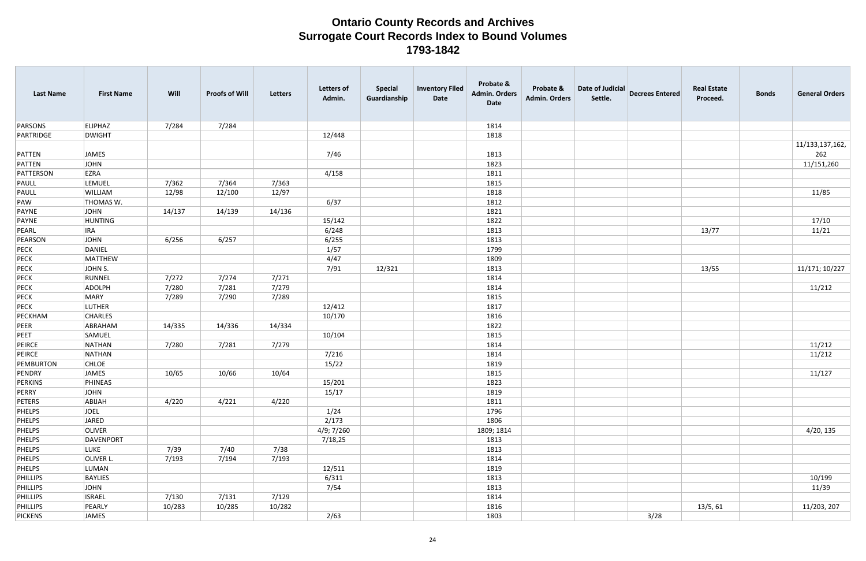| <b>Last Name</b>     | <b>First Name</b>       | Will   | <b>Proofs of Will</b> | Letters | <b>Letters of</b><br>Admin. | <b>Special</b><br>Guardianship | <b>Inventory Filed</b><br>Date | Probate &<br>Admin. Orders<br><b>Date</b> | Probate &<br><b>Admin. Orders</b> | Date of Judicial<br>Settle. | <b>Decrees Entered</b> | <b>Real Estate</b><br>Proceed. | <b>Bonds</b> | <b>General Orders</b>  |
|----------------------|-------------------------|--------|-----------------------|---------|-----------------------------|--------------------------------|--------------------------------|-------------------------------------------|-----------------------------------|-----------------------------|------------------------|--------------------------------|--------------|------------------------|
| PARSONS              | <b>ELIPHAZ</b>          | 7/284  | 7/284                 |         |                             |                                |                                | 1814                                      |                                   |                             |                        |                                |              |                        |
| PARTRIDGE            | <b>DWIGHT</b>           |        |                       |         | 12/448                      |                                |                                | 1818                                      |                                   |                             |                        |                                |              |                        |
| PATTEN               | JAMES                   |        |                       |         | 7/46                        |                                |                                | 1813                                      |                                   |                             |                        |                                |              | 11/133,137,162,<br>262 |
| PATTEN               | JOHN                    |        |                       |         |                             |                                |                                | 1823                                      |                                   |                             |                        |                                |              | 11/151,260             |
| PATTERSON            | EZRA                    |        |                       |         | 4/158                       |                                |                                | 1811                                      |                                   |                             |                        |                                |              |                        |
| PAULL                | LEMUEL                  | 7/362  | 7/364                 | 7/363   |                             |                                |                                | 1815                                      |                                   |                             |                        |                                |              |                        |
| PAULL                | WILLIAM                 | 12/98  | 12/100                | 12/97   |                             |                                |                                | 1818                                      |                                   |                             |                        |                                |              | 11/85                  |
| PAW                  | THOMAS W.               |        |                       |         | 6/37                        |                                |                                | 1812                                      |                                   |                             |                        |                                |              |                        |
| PAYNE                | <b>JOHN</b>             | 14/137 | 14/139                | 14/136  |                             |                                |                                | 1821                                      |                                   |                             |                        |                                |              |                        |
| PAYNE                | <b>HUNTING</b>          |        |                       |         | 15/142                      |                                |                                | 1822                                      |                                   |                             |                        |                                |              | 17/10                  |
| PEARL                | <b>IRA</b>              |        |                       |         | 6/248                       |                                |                                | 1813                                      |                                   |                             |                        | 13/77                          |              | 11/21                  |
| PEARSON              | <b>JOHN</b>             | 6/256  | 6/257                 |         | 6/255                       |                                |                                | 1813                                      |                                   |                             |                        |                                |              |                        |
| PECK                 | DANIEL                  |        |                       |         | 1/57                        |                                |                                | 1799                                      |                                   |                             |                        |                                |              |                        |
| PECK                 | MATTHEW                 |        |                       |         | 4/47                        |                                |                                | 1809                                      |                                   |                             |                        |                                |              |                        |
| PECK                 | JOHN S.                 |        |                       |         | 7/91                        | 12/321                         |                                | 1813                                      |                                   |                             |                        | 13/55                          |              | 11/171; 10/227         |
| PECK                 | RUNNEL                  | 7/272  | 7/274                 | 7/271   |                             |                                |                                | 1814                                      |                                   |                             |                        |                                |              |                        |
| PECK                 | ADOLPH                  | 7/280  | 7/281                 | 7/279   |                             |                                |                                | 1814                                      |                                   |                             |                        |                                |              | 11/212                 |
| PECK                 | <b>MARY</b>             | 7/289  | 7/290                 | 7/289   |                             |                                |                                | 1815                                      |                                   |                             |                        |                                |              |                        |
| PECK                 | <b>LUTHER</b>           |        |                       |         | 12/412                      |                                |                                | 1817                                      |                                   |                             |                        |                                |              |                        |
| PECKHAM              | <b>CHARLES</b>          |        |                       |         | 10/170                      |                                |                                | 1816                                      |                                   |                             |                        |                                |              |                        |
| PEER                 | ABRAHAM                 | 14/335 | 14/336                | 14/334  |                             |                                |                                | 1822                                      |                                   |                             |                        |                                |              |                        |
| PEET                 | SAMUEL                  |        |                       |         | 10/104                      |                                |                                | 1815                                      |                                   |                             |                        |                                |              |                        |
| PEIRCE               | <b>NATHAN</b>           | 7/280  | 7/281                 | 7/279   |                             |                                |                                | 1814                                      |                                   |                             |                        |                                |              | 11/212                 |
| PEIRCE               | NATHAN                  |        |                       |         | 7/216                       |                                |                                | 1814                                      |                                   |                             |                        |                                |              | 11/212                 |
| PEMBURTON            | <b>CHLOE</b>            |        |                       |         | 15/22                       |                                |                                | 1819                                      |                                   |                             |                        |                                |              |                        |
| PENDRY               | <b>JAMES</b>            | 10/65  | 10/66                 | 10/64   |                             |                                |                                | 1815                                      |                                   |                             |                        |                                |              | 11/127                 |
| PERKINS              | PHINEAS                 |        |                       |         | 15/201                      |                                |                                | 1823                                      |                                   |                             |                        |                                |              |                        |
| PERRY                | <b>JOHN</b>             |        |                       |         | 15/17                       |                                |                                | 1819                                      |                                   |                             |                        |                                |              |                        |
| PETERS               | ABIJAH                  | 4/220  | 4/221                 | 4/220   |                             |                                |                                | 1811                                      |                                   |                             |                        |                                |              |                        |
| PHELPS               | <b>JOEL</b>             |        |                       |         | 1/24                        |                                |                                | 1796                                      |                                   |                             |                        |                                |              |                        |
| PHELPS               | JARED                   |        |                       |         | 2/173                       |                                |                                | 1806                                      |                                   |                             |                        |                                |              |                        |
| PHELPS               | OLIVER                  |        |                       |         | 4/9; 7/260                  |                                |                                | 1809; 1814                                |                                   |                             |                        |                                |              | 4/20, 135              |
| PHELPS               | DAVENPORT               |        |                       |         | 7/18,25                     |                                |                                | 1813                                      |                                   |                             |                        |                                |              |                        |
| PHELPS               | LUKE                    | 7/39   | 7/40                  | 7/38    |                             |                                |                                | 1813                                      |                                   |                             |                        |                                |              |                        |
| PHELPS               | OLIVER L.               | 7/193  | 7/194                 | 7/193   |                             |                                |                                | 1814                                      |                                   |                             |                        |                                |              |                        |
| PHELPS<br>PHILLIPS   | LUMAN<br><b>BAYLIES</b> |        |                       |         | 12/511                      |                                |                                | 1819                                      |                                   |                             |                        |                                |              | 10/199                 |
|                      | <b>JOHN</b>             |        |                       |         | 6/311<br>7/54               |                                |                                | 1813                                      |                                   |                             |                        |                                |              | 11/39                  |
| PHILLIPS             | <b>ISRAEL</b>           | 7/130  | 7/131                 | 7/129   |                             |                                |                                | 1813                                      |                                   |                             |                        |                                |              |                        |
| PHILLIPS<br>PHILLIPS | PEARLY                  | 10/283 | 10/285                | 10/282  |                             |                                |                                | 1814<br>1816                              |                                   |                             |                        | 13/5, 61                       |              | 11/203, 207            |
| PICKENS              | <b>JAMES</b>            |        |                       |         | 2/63                        |                                |                                | 1803                                      |                                   |                             | 3/28                   |                                |              |                        |
|                      |                         |        |                       |         |                             |                                |                                |                                           |                                   |                             |                        |                                |              |                        |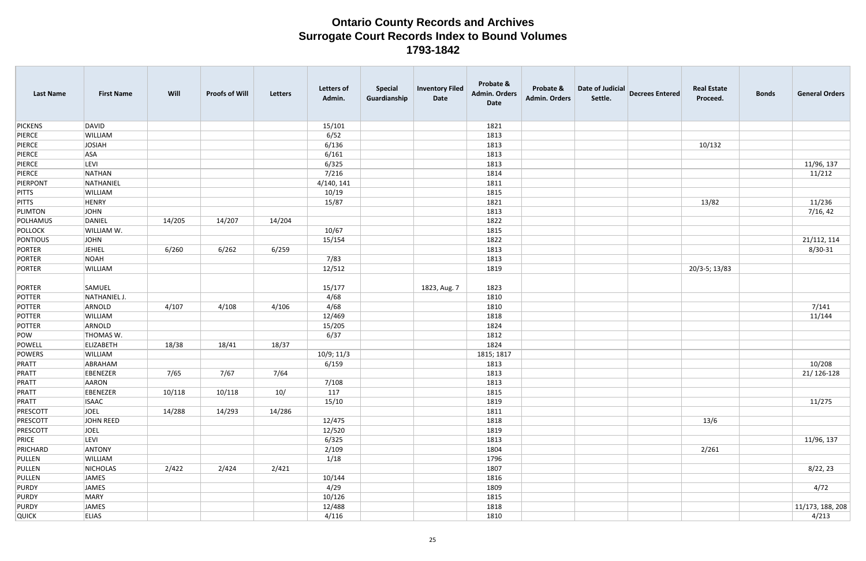| <b>Last Name</b> | <b>First Name</b> | Will   | <b>Proofs of Will</b> | Letters | <b>Letters of</b><br>Admin. | <b>Special</b><br>Guardianship | <b>Inventory Filed</b><br>Date | Probate &<br><b>Admin. Orders</b><br>Date | Probate &<br><b>Admin. Orders</b> | <b>Date of Judicial</b><br>Settle. | <b>Decrees Entered</b> | <b>Real Estate</b><br>Proceed. | <b>Bonds</b> | <b>General Orders</b> |
|------------------|-------------------|--------|-----------------------|---------|-----------------------------|--------------------------------|--------------------------------|-------------------------------------------|-----------------------------------|------------------------------------|------------------------|--------------------------------|--------------|-----------------------|
| <b>PICKENS</b>   | DAVID             |        |                       |         | 15/101                      |                                |                                | 1821                                      |                                   |                                    |                        |                                |              |                       |
| PIERCE           | WILLIAM           |        |                       |         | 6/52                        |                                |                                | 1813                                      |                                   |                                    |                        |                                |              |                       |
| PIERCE           | JOSIAH            |        |                       |         | 6/136                       |                                |                                | 1813                                      |                                   |                                    |                        | 10/132                         |              |                       |
| PIERCE           | ASA               |        |                       |         | 6/161                       |                                |                                | 1813                                      |                                   |                                    |                        |                                |              |                       |
| PIERCE           | <b>LEVI</b>       |        |                       |         | 6/325                       |                                |                                | 1813                                      |                                   |                                    |                        |                                |              | 11/96, 137            |
| PIERCE           | NATHAN            |        |                       |         | 7/216                       |                                |                                | 1814                                      |                                   |                                    |                        |                                |              | 11/212                |
| PIERPONT         | NATHANIEL         |        |                       |         | 4/140, 141                  |                                |                                | 1811                                      |                                   |                                    |                        |                                |              |                       |
| <b>PITTS</b>     | WILLIAM           |        |                       |         | 10/19                       |                                |                                | 1815                                      |                                   |                                    |                        |                                |              |                       |
| <b>PITTS</b>     | <b>HENRY</b>      |        |                       |         | 15/87                       |                                |                                | 1821                                      |                                   |                                    |                        | 13/82                          |              | 11/236                |
| PLIMTON          | JOHN              |        |                       |         |                             |                                |                                | 1813                                      |                                   |                                    |                        |                                |              | 7/16, 42              |
| POLHAMUS         | DANIEL            | 14/205 | 14/207                | 14/204  |                             |                                |                                | 1822                                      |                                   |                                    |                        |                                |              |                       |
| <b>POLLOCK</b>   | WILLIAM W.        |        |                       |         | 10/67                       |                                |                                | 1815                                      |                                   |                                    |                        |                                |              |                       |
| PONTIOUS         | JOHN              |        |                       |         | 15/154                      |                                |                                | 1822                                      |                                   |                                    |                        |                                |              | 21/112, 114           |
| PORTER           | <b>JEHIEL</b>     | 6/260  | 6/262                 | 6/259   |                             |                                |                                | 1813                                      |                                   |                                    |                        |                                |              | $8/30 - 31$           |
| PORTER           | <b>NOAH</b>       |        |                       |         | 7/83                        |                                |                                | 1813                                      |                                   |                                    |                        |                                |              |                       |
| PORTER           | WILLIAM           |        |                       |         | 12/512                      |                                |                                | 1819                                      |                                   |                                    |                        | 20/3-5; 13/83                  |              |                       |
| PORTER           | SAMUEL            |        |                       |         | 15/177                      |                                | 1823, Aug. 7                   | 1823                                      |                                   |                                    |                        |                                |              |                       |
| POTTER           | NATHANIEL J.      |        |                       |         | 4/68                        |                                |                                | 1810                                      |                                   |                                    |                        |                                |              |                       |
| POTTER           | ARNOLD            | 4/107  | 4/108                 | 4/106   | 4/68                        |                                |                                | 1810                                      |                                   |                                    |                        |                                |              | 7/141                 |
| POTTER           | WILLIAM           |        |                       |         | 12/469                      |                                |                                | 1818                                      |                                   |                                    |                        |                                |              | 11/144                |
| POTTER           | ARNOLD            |        |                       |         | 15/205                      |                                |                                | 1824                                      |                                   |                                    |                        |                                |              |                       |
| POW              | THOMAS W.         |        |                       |         | 6/37                        |                                |                                | 1812                                      |                                   |                                    |                        |                                |              |                       |
| POWELL           | <b>ELIZABETH</b>  | 18/38  | 18/41                 | 18/37   |                             |                                |                                | 1824                                      |                                   |                                    |                        |                                |              |                       |
| POWERS           | WILLIAM           |        |                       |         | 10/9; 11/3                  |                                |                                | 1815; 1817                                |                                   |                                    |                        |                                |              |                       |
| PRATT            | ABRAHAM           |        |                       |         | 6/159                       |                                |                                | 1813                                      |                                   |                                    |                        |                                |              | 10/208                |
| PRATT            | <b>EBENEZER</b>   | 7/65   | 7/67                  | 7/64    |                             |                                |                                | 1813                                      |                                   |                                    |                        |                                |              | 21/126-128            |
| PRATT            | AARON             |        |                       |         | 7/108                       |                                |                                | 1813                                      |                                   |                                    |                        |                                |              |                       |
| PRATT            | EBENEZER          | 10/118 | 10/118                | 10/     | 117                         |                                |                                | 1815                                      |                                   |                                    |                        |                                |              |                       |
| PRATT            | <b>ISAAC</b>      |        |                       |         | 15/10                       |                                |                                | 1819                                      |                                   |                                    |                        |                                |              | 11/275                |
| PRESCOTT         | JOEL              | 14/288 | 14/293                | 14/286  |                             |                                |                                | 1811                                      |                                   |                                    |                        |                                |              |                       |
| PRESCOTT         | JOHN REED         |        |                       |         | 12/475                      |                                |                                | 1818                                      |                                   |                                    |                        | 13/6                           |              |                       |
| PRESCOTT         | JOEL              |        |                       |         | 12/520                      |                                |                                | 1819                                      |                                   |                                    |                        |                                |              |                       |
| PRICE            | LEVI              |        |                       |         | 6/325                       |                                |                                | 1813                                      |                                   |                                    |                        |                                |              | 11/96, 137            |
| PRICHARD         | ANTONY            |        |                       |         | 2/109                       |                                |                                | 1804                                      |                                   |                                    |                        | 2/261                          |              |                       |
| PULLEN           | WILLIAM           |        |                       |         | 1/18                        |                                |                                | 1796                                      |                                   |                                    |                        |                                |              |                       |
| PULLEN           | NICHOLAS          | 2/422  | 2/424                 | 2/421   |                             |                                |                                | 1807                                      |                                   |                                    |                        |                                |              | 8/22, 23              |
| PULLEN           | JAMES             |        |                       |         | 10/144                      |                                |                                | 1816                                      |                                   |                                    |                        |                                |              |                       |
| PURDY            | JAMES             |        |                       |         | 4/29                        |                                |                                | 1809                                      |                                   |                                    |                        |                                |              | 4/72                  |
| PURDY            | MARY              |        |                       |         | 10/126                      |                                |                                | 1815                                      |                                   |                                    |                        |                                |              |                       |
| PURDY            | JAMES             |        |                       |         | 12/488                      |                                |                                | 1818                                      |                                   |                                    |                        |                                |              | 11/173, 188, 208      |
| <b>QUICK</b>     | <b>ELIAS</b>      |        |                       |         | 4/116                       |                                |                                | 1810                                      |                                   |                                    |                        |                                |              | 4/213                 |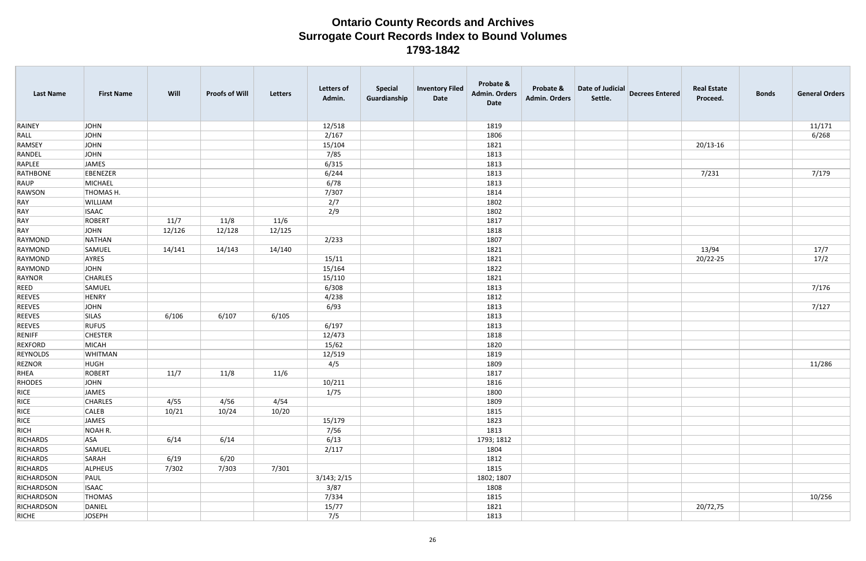| <b>Last Name</b> | <b>First Name</b> | Will   | <b>Proofs of Will</b> | <b>Letters</b> | <b>Letters of</b><br>Admin. | <b>Special</b><br>Guardianship | <b>Inventory Filed</b><br>Date | Probate &<br><b>Admin. Orders</b><br><b>Date</b> | Probate &<br><b>Admin. Orders</b> | Date of Judicial<br>Settle. | <b>Decrees Entered</b> | <b>Real Estate</b><br>Proceed. | <b>Bonds</b> | <b>General Orders</b> |
|------------------|-------------------|--------|-----------------------|----------------|-----------------------------|--------------------------------|--------------------------------|--------------------------------------------------|-----------------------------------|-----------------------------|------------------------|--------------------------------|--------------|-----------------------|
| RAINEY           | <b>JOHN</b>       |        |                       |                | 12/518                      |                                |                                | 1819                                             |                                   |                             |                        |                                |              | 11/171                |
| RALL             | JOHN              |        |                       |                | 2/167                       |                                |                                | 1806                                             |                                   |                             |                        |                                |              | 6/268                 |
| <b>RAMSEY</b>    | JOHN              |        |                       |                | 15/104                      |                                |                                | 1821                                             |                                   |                             |                        | $20/13 - 16$                   |              |                       |
| RANDEL           | JOHN              |        |                       |                | 7/85                        |                                |                                | 1813                                             |                                   |                             |                        |                                |              |                       |
| RAPLEE           | JAMES             |        |                       |                | 6/315                       |                                |                                | 1813                                             |                                   |                             |                        |                                |              |                       |
| <b>RATHBONE</b>  | EBENEZER          |        |                       |                | 6/244                       |                                |                                | 1813                                             |                                   |                             |                        | 7/231                          |              | 7/179                 |
| RAUP             | MICHAEL           |        |                       |                | 6/78                        |                                |                                | 1813                                             |                                   |                             |                        |                                |              |                       |
| RAWSON           | THOMAS H.         |        |                       |                | 7/307                       |                                |                                | 1814                                             |                                   |                             |                        |                                |              |                       |
| RAY              | WILLIAM           |        |                       |                | 2/7                         |                                |                                | 1802                                             |                                   |                             |                        |                                |              |                       |
| RAY              | <b>ISAAC</b>      |        |                       |                | 2/9                         |                                |                                | 1802                                             |                                   |                             |                        |                                |              |                       |
| RAY              | ROBERT            | 11/7   | 11/8                  | 11/6           |                             |                                |                                | 1817                                             |                                   |                             |                        |                                |              |                       |
| RAY              | JOHN              | 12/126 | 12/128                | 12/125         |                             |                                |                                | 1818                                             |                                   |                             |                        |                                |              |                       |
| RAYMOND          | NATHAN            |        |                       |                | 2/233                       |                                |                                | 1807                                             |                                   |                             |                        |                                |              |                       |
| RAYMOND          | SAMUEL            | 14/141 | 14/143                | 14/140         |                             |                                |                                | 1821                                             |                                   |                             |                        | 13/94                          |              | 17/7                  |
| RAYMOND          | AYRES             |        |                       |                | 15/11                       |                                |                                | 1821                                             |                                   |                             |                        | 20/22-25                       |              | 17/2                  |
| RAYMOND          | JOHN              |        |                       |                | 15/164                      |                                |                                | 1822                                             |                                   |                             |                        |                                |              |                       |
| RAYNOR           | <b>CHARLES</b>    |        |                       |                | 15/110                      |                                |                                | 1821                                             |                                   |                             |                        |                                |              |                       |
| REED             | SAMUEL            |        |                       |                | 6/308                       |                                |                                | 1813                                             |                                   |                             |                        |                                |              | 7/176                 |
| <b>REEVES</b>    | HENRY             |        |                       |                | 4/238                       |                                |                                | 1812                                             |                                   |                             |                        |                                |              |                       |
| <b>REEVES</b>    | JOHN              |        |                       |                | 6/93                        |                                |                                | 1813                                             |                                   |                             |                        |                                |              | 7/127                 |
| <b>REEVES</b>    | <b>SILAS</b>      | 6/106  | 6/107                 | 6/105          |                             |                                |                                | 1813                                             |                                   |                             |                        |                                |              |                       |
| <b>REEVES</b>    | <b>RUFUS</b>      |        |                       |                | 6/197                       |                                |                                | 1813                                             |                                   |                             |                        |                                |              |                       |
| RENIFF           | <b>CHESTER</b>    |        |                       |                | 12/473                      |                                |                                | 1818                                             |                                   |                             |                        |                                |              |                       |
| <b>REXFORD</b>   | MICAH             |        |                       |                | 15/62                       |                                |                                | 1820                                             |                                   |                             |                        |                                |              |                       |
| <b>REYNOLDS</b>  | WHITMAN           |        |                       |                | 12/519                      |                                |                                | 1819                                             |                                   |                             |                        |                                |              |                       |
| REZNOR           | <b>HUGH</b>       |        |                       |                | 4/5                         |                                |                                | 1809                                             |                                   |                             |                        |                                |              | 11/286                |
| RHEA             | ROBERT            | 11/7   | 11/8                  | 11/6           |                             |                                |                                | 1817                                             |                                   |                             |                        |                                |              |                       |
| RHODES           | JOHN              |        |                       |                | 10/211                      |                                |                                | 1816                                             |                                   |                             |                        |                                |              |                       |
| RICE             | JAMES             |        |                       |                | 1/75                        |                                |                                | 1800                                             |                                   |                             |                        |                                |              |                       |
| RICE             | <b>CHARLES</b>    | 4/55   | 4/56                  | 4/54           |                             |                                |                                | 1809                                             |                                   |                             |                        |                                |              |                       |
| RICE             | <b>CALEB</b>      | 10/21  | 10/24                 | 10/20          |                             |                                |                                | 1815                                             |                                   |                             |                        |                                |              |                       |
| RICE             | JAMES             |        |                       |                | 15/179                      |                                |                                | 1823                                             |                                   |                             |                        |                                |              |                       |
| RICH             | NOAH R.           |        |                       |                | 7/56                        |                                |                                | 1813                                             |                                   |                             |                        |                                |              |                       |
| RICHARDS         | <b>ASA</b>        | 6/14   | 6/14                  |                | 6/13                        |                                |                                | 1793; 1812                                       |                                   |                             |                        |                                |              |                       |
| RICHARDS         | SAMUEL            |        |                       |                | 2/117                       |                                |                                | 1804                                             |                                   |                             |                        |                                |              |                       |
| <b>RICHARDS</b>  | SARAH             | 6/19   | 6/20                  |                |                             |                                |                                | 1812                                             |                                   |                             |                        |                                |              |                       |
| RICHARDS         | <b>ALPHEUS</b>    | 7/302  | 7/303                 | 7/301          |                             |                                |                                | 1815                                             |                                   |                             |                        |                                |              |                       |
| RICHARDSON       | PAUL              |        |                       |                | 3/143; 2/15                 |                                |                                | 1802; 1807                                       |                                   |                             |                        |                                |              |                       |
| RICHARDSON       | <b>ISAAC</b>      |        |                       |                | 3/87                        |                                |                                | 1808                                             |                                   |                             |                        |                                |              |                       |
| RICHARDSON       | THOMAS            |        |                       |                | 7/334                       |                                |                                | 1815                                             |                                   |                             |                        |                                |              | 10/256                |
| RICHARDSON       | DANIEL            |        |                       |                | 15/77                       |                                |                                | 1821                                             |                                   |                             |                        | 20/72,75                       |              |                       |
| RICHE            | JOSEPH            |        |                       |                | 7/5                         |                                |                                | 1813                                             |                                   |                             |                        |                                |              |                       |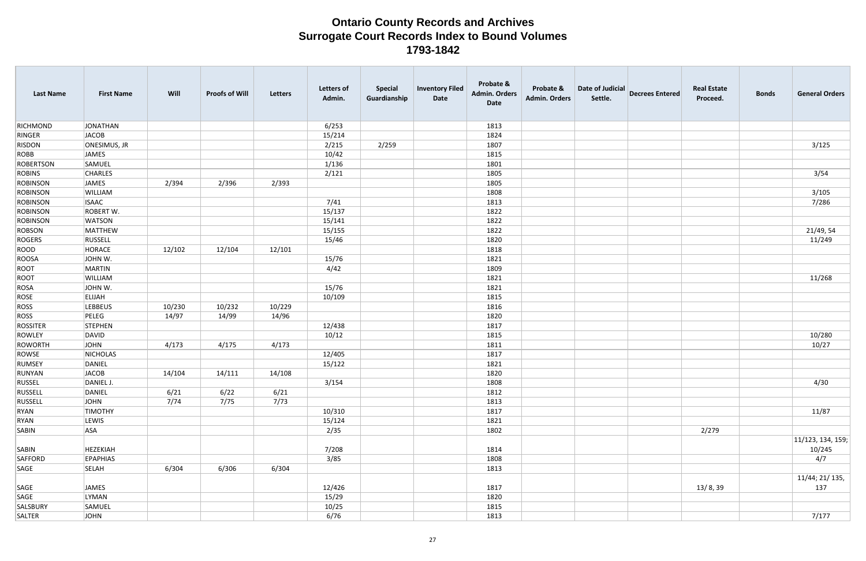| <b>Last Name</b> | <b>First Name</b> | Will   | <b>Proofs of Will</b> | Letters | Letters of<br>Admin. | <b>Special</b><br>Guardianship | <b>Inventory Filed</b><br>Date | Probate &<br><b>Admin. Orders</b><br>Date | Probate &<br><b>Admin. Orders</b> | Date of Judicial<br>Settle. | <b>Decrees Entered</b> | <b>Real Estate</b><br>Proceed. | <b>Bonds</b> | <b>General Orders</b>       |
|------------------|-------------------|--------|-----------------------|---------|----------------------|--------------------------------|--------------------------------|-------------------------------------------|-----------------------------------|-----------------------------|------------------------|--------------------------------|--------------|-----------------------------|
| RICHMOND         | JONATHAN          |        |                       |         | 6/253                |                                |                                | 1813                                      |                                   |                             |                        |                                |              |                             |
| RINGER           | JACOB             |        |                       |         | 15/214               |                                |                                | 1824                                      |                                   |                             |                        |                                |              |                             |
| <b>RISDON</b>    | ONESIMUS, JR      |        |                       |         | 2/215                | 2/259                          |                                | 1807                                      |                                   |                             |                        |                                |              | 3/125                       |
| ROBB             | JAMES             |        |                       |         | 10/42                |                                |                                | 1815                                      |                                   |                             |                        |                                |              |                             |
| <b>ROBERTSON</b> | SAMUEL            |        |                       |         | 1/136                |                                |                                | 1801                                      |                                   |                             |                        |                                |              |                             |
| <b>ROBINS</b>    | <b>CHARLES</b>    |        |                       |         | 2/121                |                                |                                | 1805                                      |                                   |                             |                        |                                |              | 3/54                        |
| <b>ROBINSON</b>  | JAMES             | 2/394  | 2/396                 | 2/393   |                      |                                |                                | 1805                                      |                                   |                             |                        |                                |              |                             |
| ROBINSON         | WILLIAM           |        |                       |         |                      |                                |                                | 1808                                      |                                   |                             |                        |                                |              | 3/105                       |
| <b>ROBINSON</b>  | <b>ISAAC</b>      |        |                       |         | 7/41                 |                                |                                | 1813                                      |                                   |                             |                        |                                |              | 7/286                       |
| ROBINSON         | ROBERT W.         |        |                       |         | 15/137               |                                |                                | 1822                                      |                                   |                             |                        |                                |              |                             |
| ROBINSON         | <b>WATSON</b>     |        |                       |         | 15/141               |                                |                                | 1822                                      |                                   |                             |                        |                                |              |                             |
| ROBSON           | MATTHEW           |        |                       |         | 15/155               |                                |                                | 1822                                      |                                   |                             |                        |                                |              | 21/49, 54                   |
| ROGERS           | RUSSELL           |        |                       |         | 15/46                |                                |                                | 1820                                      |                                   |                             |                        |                                |              | 11/249                      |
| ROOD             | HORACE            | 12/102 | 12/104                | 12/101  |                      |                                |                                | 1818                                      |                                   |                             |                        |                                |              |                             |
| ROOSA            | JOHN W.           |        |                       |         | 15/76                |                                |                                | 1821                                      |                                   |                             |                        |                                |              |                             |
| ROOT             | MARTIN            |        |                       |         | 4/42                 |                                |                                | 1809                                      |                                   |                             |                        |                                |              |                             |
| ROOT             | WILLIAM           |        |                       |         |                      |                                |                                | 1821                                      |                                   |                             |                        |                                |              | 11/268                      |
| ROSA             | JOHN W.           |        |                       |         | 15/76                |                                |                                | 1821                                      |                                   |                             |                        |                                |              |                             |
| ROSE             | <b>ELIJAH</b>     |        |                       |         | 10/109               |                                |                                | 1815                                      |                                   |                             |                        |                                |              |                             |
| ROSS             | <b>LEBBEUS</b>    | 10/230 | 10/232                | 10/229  |                      |                                |                                | 1816                                      |                                   |                             |                        |                                |              |                             |
| ROSS             | PELEG             | 14/97  | 14/99                 | 14/96   |                      |                                |                                | 1820                                      |                                   |                             |                        |                                |              |                             |
| <b>ROSSITER</b>  | STEPHEN           |        |                       |         | 12/438               |                                |                                | 1817                                      |                                   |                             |                        |                                |              |                             |
| ROWLEY           | DAVID             |        |                       |         | 10/12                |                                |                                | 1815                                      |                                   |                             |                        |                                |              | 10/280                      |
| ROWORTH          | JOHN              | 4/173  | 4/175                 | 4/173   |                      |                                |                                | 1811                                      |                                   |                             |                        |                                |              | 10/27                       |
| ROWSE            | NICHOLAS          |        |                       |         | 12/405               |                                |                                | 1817                                      |                                   |                             |                        |                                |              |                             |
| RUMSEY           | DANIEL            |        |                       |         | 15/122               |                                |                                | 1821                                      |                                   |                             |                        |                                |              |                             |
| RUNYAN           | JACOB             | 14/104 | 14/111                | 14/108  |                      |                                |                                | 1820                                      |                                   |                             |                        |                                |              |                             |
| RUSSEL           | DANIEL J.         |        |                       |         | 3/154                |                                |                                | 1808                                      |                                   |                             |                        |                                |              | 4/30                        |
| RUSSELL          | DANIEL            | 6/21   | 6/22                  | 6/21    |                      |                                |                                | 1812                                      |                                   |                             |                        |                                |              |                             |
| RUSSELL          | JOHN              | 7/74   | 7/75                  | 7/73    |                      |                                |                                | 1813                                      |                                   |                             |                        |                                |              |                             |
| RYAN             | <b>TIMOTHY</b>    |        |                       |         | 10/310               |                                |                                | 1817                                      |                                   |                             |                        |                                |              | 11/87                       |
| RYAN             | LEWIS             |        |                       |         | 15/124               |                                |                                | 1821                                      |                                   |                             |                        |                                |              |                             |
| SABIN            | <b>ASA</b>        |        |                       |         | 2/35                 |                                |                                | 1802                                      |                                   |                             |                        | 2/279                          |              |                             |
| SABIN            | HEZEKIAH          |        |                       |         | 7/208                |                                |                                | 1814                                      |                                   |                             |                        |                                |              | 11/123, 134, 159;<br>10/245 |
| SAFFORD          | <b>EPAPHIAS</b>   |        |                       |         | 3/85                 |                                |                                | 1808                                      |                                   |                             |                        |                                |              | 4/7                         |
| SAGE             | <b>SELAH</b>      | 6/304  | 6/306                 | 6/304   |                      |                                |                                | 1813                                      |                                   |                             |                        |                                |              |                             |
|                  |                   |        |                       |         |                      |                                |                                |                                           |                                   |                             |                        |                                |              | 11/44; 21/ 135,             |
| SAGE             | JAMES             |        |                       |         | 12/426               |                                |                                | 1817                                      |                                   |                             |                        | 13/8,39                        |              | 137                         |
| SAGE             | LYMAN             |        |                       |         | 15/29                |                                |                                | 1820                                      |                                   |                             |                        |                                |              |                             |
| SALSBURY         | SAMUEL            |        |                       |         | 10/25                |                                |                                | 1815                                      |                                   |                             |                        |                                |              |                             |
| SALTER           | JOHN              |        |                       |         | 6/76                 |                                |                                | 1813                                      |                                   |                             |                        |                                |              | 7/177                       |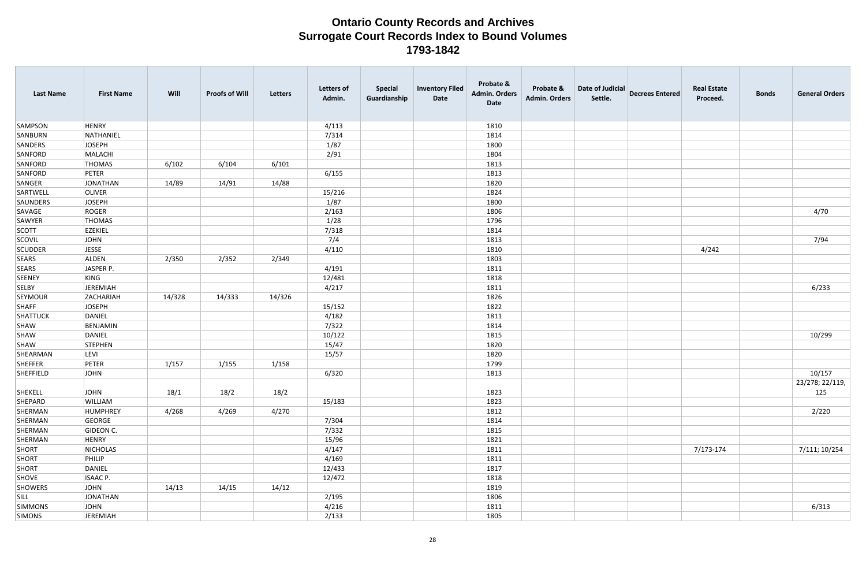| <b>Last Name</b> | <b>First Name</b> | Will   | <b>Proofs of Will</b> | <b>Letters</b> | <b>Letters of</b><br>Admin. | <b>Special</b><br>Guardianship | <b>Inventory Filed</b><br>Date | Probate &<br><b>Admin. Orders</b><br><b>Date</b> | Probate &<br><b>Admin. Orders</b> | Date of Judicial<br>Settle. | <b>Decrees Entered</b> | <b>Real Estate</b><br>Proceed. | <b>Bonds</b> | <b>General Orders</b> |
|------------------|-------------------|--------|-----------------------|----------------|-----------------------------|--------------------------------|--------------------------------|--------------------------------------------------|-----------------------------------|-----------------------------|------------------------|--------------------------------|--------------|-----------------------|
| <b>SAMPSON</b>   | <b>HENRY</b>      |        |                       |                | 4/113                       |                                |                                | 1810                                             |                                   |                             |                        |                                |              |                       |
| SANBURN          | NATHANIEL         |        |                       |                | 7/314                       |                                |                                | 1814                                             |                                   |                             |                        |                                |              |                       |
| <b>SANDERS</b>   | JOSEPH            |        |                       |                | 1/87                        |                                |                                | 1800                                             |                                   |                             |                        |                                |              |                       |
| SANFORD          | MALACHI           |        |                       |                | 2/91                        |                                |                                | 1804                                             |                                   |                             |                        |                                |              |                       |
| SANFORD          | <b>THOMAS</b>     | 6/102  | 6/104                 | 6/101          |                             |                                |                                | 1813                                             |                                   |                             |                        |                                |              |                       |
| SANFORD          | PETER             |        |                       |                | 6/155                       |                                |                                | 1813                                             |                                   |                             |                        |                                |              |                       |
| SANGER           | JONATHAN          | 14/89  | 14/91                 | 14/88          |                             |                                |                                | 1820                                             |                                   |                             |                        |                                |              |                       |
| SARTWELL         | <b>OLIVER</b>     |        |                       |                | 15/216                      |                                |                                | 1824                                             |                                   |                             |                        |                                |              |                       |
| SAUNDERS         | <b>JOSEPH</b>     |        |                       |                | 1/87                        |                                |                                | 1800                                             |                                   |                             |                        |                                |              |                       |
| SAVAGE           | ROGER             |        |                       |                | 2/163                       |                                |                                | 1806                                             |                                   |                             |                        |                                |              | 4/70                  |
| SAWYER           | <b>THOMAS</b>     |        |                       |                | 1/28                        |                                |                                | 1796                                             |                                   |                             |                        |                                |              |                       |
| <b>SCOTT</b>     | <b>EZEKIEL</b>    |        |                       |                | 7/318                       |                                |                                | 1814                                             |                                   |                             |                        |                                |              |                       |
| <b>SCOVIL</b>    | JOHN              |        |                       |                | 7/4                         |                                |                                | 1813                                             |                                   |                             |                        |                                |              | 7/94                  |
| <b>SCUDDER</b>   | <b>JESSE</b>      |        |                       |                | 4/110                       |                                |                                | 1810                                             |                                   |                             |                        | 4/242                          |              |                       |
| <b>SEARS</b>     | ALDEN             | 2/350  | 2/352                 | 2/349          |                             |                                |                                | 1803                                             |                                   |                             |                        |                                |              |                       |
| <b>SEARS</b>     | JASPER P.         |        |                       |                | 4/191                       |                                |                                | 1811                                             |                                   |                             |                        |                                |              |                       |
| <b>SEENEY</b>    | KING              |        |                       |                | 12/481                      |                                |                                | 1818                                             |                                   |                             |                        |                                |              |                       |
| <b>SELBY</b>     | JEREMIAH          |        |                       |                | 4/217                       |                                |                                | 1811                                             |                                   |                             |                        |                                |              | 6/233                 |
| <b>SEYMOUR</b>   | ZACHARIAH         | 14/328 | 14/333                | 14/326         |                             |                                |                                | 1826                                             |                                   |                             |                        |                                |              |                       |
| <b>SHAFF</b>     | JOSEPH            |        |                       |                | 15/152                      |                                |                                | 1822                                             |                                   |                             |                        |                                |              |                       |
| SHATTUCK         | DANIEL            |        |                       |                | 4/182                       |                                |                                | 1811                                             |                                   |                             |                        |                                |              |                       |
| SHAW             | BENJAMIN          |        |                       |                | 7/322                       |                                |                                | 1814                                             |                                   |                             |                        |                                |              |                       |
| SHAW             | DANIEL            |        |                       |                | 10/122                      |                                |                                | 1815                                             |                                   |                             |                        |                                |              | 10/299                |
| SHAW             | STEPHEN           |        |                       |                | 15/47                       |                                |                                | 1820                                             |                                   |                             |                        |                                |              |                       |
| SHEARMAN         | <b>LEVI</b>       |        |                       |                | 15/57                       |                                |                                | 1820                                             |                                   |                             |                        |                                |              |                       |
| SHEFFER          | PETER             | 1/157  | 1/155                 | 1/158          |                             |                                |                                | 1799                                             |                                   |                             |                        |                                |              |                       |
| SHEFFIELD        | JOHN              |        |                       |                | 6/320                       |                                |                                | 1813                                             |                                   |                             |                        |                                |              | 10/157                |
|                  |                   |        |                       |                |                             |                                |                                |                                                  |                                   |                             |                        |                                |              | 23/278; 22/119,       |
| SHEKELL          | <b>JOHN</b>       | 18/1   | 18/2                  | 18/2           |                             |                                |                                | 1823                                             |                                   |                             |                        |                                |              | 125                   |
| SHEPARD          | WILLIAM           |        |                       |                | 15/183                      |                                |                                | 1823                                             |                                   |                             |                        |                                |              |                       |
| SHERMAN          | HUMPHREY          | 4/268  | 4/269                 | 4/270          |                             |                                |                                | 1812                                             |                                   |                             |                        |                                |              | 2/220                 |
| SHERMAN          | GEORGE            |        |                       |                | 7/304                       |                                |                                | 1814                                             |                                   |                             |                        |                                |              |                       |
| SHERMAN          | GIDEON C.         |        |                       |                | 7/332                       |                                |                                | 1815                                             |                                   |                             |                        |                                |              |                       |
| SHERMAN          | HENRY             |        |                       |                | 15/96                       |                                |                                | 1821                                             |                                   |                             |                        |                                |              |                       |
| <b>SHORT</b>     | NICHOLAS          |        |                       |                | 4/147                       |                                |                                | 1811                                             |                                   |                             |                        | 7/173-174                      |              | 7/111; 10/254         |
| SHORT            | PHILIP            |        |                       |                | 4/169                       |                                |                                | 1811                                             |                                   |                             |                        |                                |              |                       |
| <b>SHORT</b>     | DANIEL            |        |                       |                | 12/433                      |                                |                                | 1817                                             |                                   |                             |                        |                                |              |                       |
| SHOVE            | ISAAC P.          |        |                       |                | 12/472                      |                                |                                | 1818                                             |                                   |                             |                        |                                |              |                       |
| <b>SHOWERS</b>   | <b>JOHN</b>       | 14/13  | 14/15                 | 14/12          |                             |                                |                                | 1819                                             |                                   |                             |                        |                                |              |                       |
| SILL             | JONATHAN          |        |                       |                | 2/195                       |                                |                                | 1806                                             |                                   |                             |                        |                                |              |                       |
| <b>SIMMONS</b>   | JOHN              |        |                       |                | 4/216                       |                                |                                | 1811                                             |                                   |                             |                        |                                |              | 6/313                 |
| <b>SIMONS</b>    | JEREMIAH          |        |                       |                | 2/133                       |                                |                                | 1805                                             |                                   |                             |                        |                                |              |                       |
|                  |                   |        |                       |                |                             |                                |                                |                                                  |                                   |                             |                        |                                |              |                       |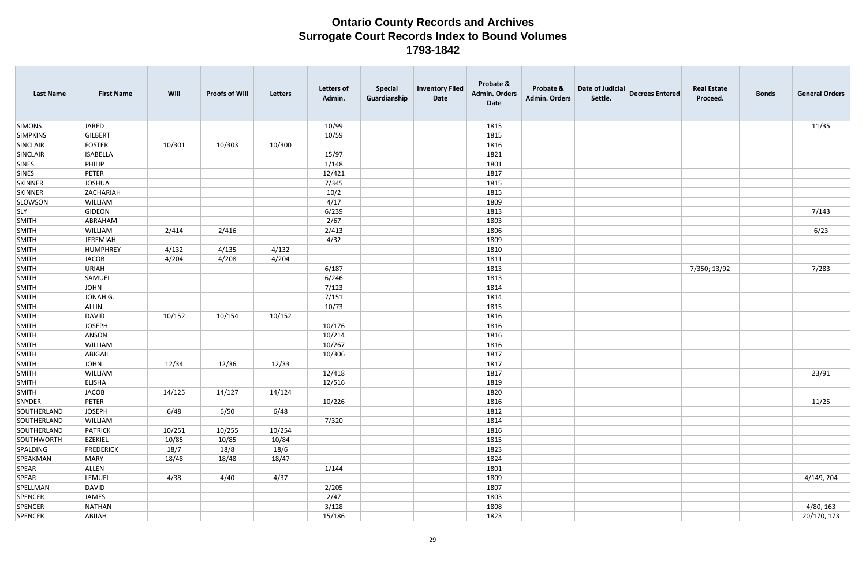| <b>Last Name</b> | <b>First Name</b> | Will   | <b>Proofs of Will</b> | Letters | <b>Letters of</b><br>Admin. | <b>Special</b><br>Guardianship | <b>Inventory Filed</b><br>Date | Probate &<br><b>Admin. Orders</b><br>Date | Probate &<br><b>Admin. Orders</b> | Date of Judicial<br>Settle. | <b>Decrees Entered</b> | <b>Real Estate</b><br>Proceed. | <b>Bonds</b> | <b>General Orders</b> |
|------------------|-------------------|--------|-----------------------|---------|-----------------------------|--------------------------------|--------------------------------|-------------------------------------------|-----------------------------------|-----------------------------|------------------------|--------------------------------|--------------|-----------------------|
| <b>SIMONS</b>    | JARED             |        |                       |         | 10/99                       |                                |                                | 1815                                      |                                   |                             |                        |                                |              | 11/35                 |
| <b>SIMPKINS</b>  | GILBERT           |        |                       |         | 10/59                       |                                |                                | 1815                                      |                                   |                             |                        |                                |              |                       |
| SINCLAIR         | FOSTER            | 10/301 | 10/303                | 10/300  |                             |                                |                                | 1816                                      |                                   |                             |                        |                                |              |                       |
| SINCLAIR         | <b>ISABELLA</b>   |        |                       |         | 15/97                       |                                |                                | 1821                                      |                                   |                             |                        |                                |              |                       |
| SINES            | PHILIP            |        |                       |         | 1/148                       |                                |                                | 1801                                      |                                   |                             |                        |                                |              |                       |
| <b>SINES</b>     | PETER             |        |                       |         | 12/421                      |                                |                                | 1817                                      |                                   |                             |                        |                                |              |                       |
| <b>SKINNER</b>   | <b>JOSHUA</b>     |        |                       |         | 7/345                       |                                |                                | 1815                                      |                                   |                             |                        |                                |              |                       |
| <b>SKINNER</b>   | ZACHARIAH         |        |                       |         | 10/2                        |                                |                                | 1815                                      |                                   |                             |                        |                                |              |                       |
| <b>SLOWSON</b>   | WILLIAM           |        |                       |         | 4/17                        |                                |                                | 1809                                      |                                   |                             |                        |                                |              |                       |
| <b>SLY</b>       | GIDEON            |        |                       |         | 6/239                       |                                |                                | 1813                                      |                                   |                             |                        |                                |              | 7/143                 |
| <b>SMITH</b>     | ABRAHAM           |        |                       |         | 2/67                        |                                |                                | 1803                                      |                                   |                             |                        |                                |              |                       |
| <b>SMITH</b>     | WILLIAM           | 2/414  | 2/416                 |         | 2/413                       |                                |                                | 1806                                      |                                   |                             |                        |                                |              | 6/23                  |
| SMITH            | JEREMIAH          |        |                       |         | 4/32                        |                                |                                | 1809                                      |                                   |                             |                        |                                |              |                       |
| <b>SMITH</b>     | HUMPHREY          | 4/132  | 4/135                 | 4/132   |                             |                                |                                | 1810                                      |                                   |                             |                        |                                |              |                       |
| <b>SMITH</b>     | JACOB             | 4/204  | 4/208                 | 4/204   |                             |                                |                                | 1811                                      |                                   |                             |                        |                                |              |                       |
| SMITH            | URIAH             |        |                       |         | 6/187                       |                                |                                | 1813                                      |                                   |                             |                        | 7/350; 13/92                   |              | 7/283                 |
| <b>SMITH</b>     | SAMUEL            |        |                       |         | 6/246                       |                                |                                | 1813                                      |                                   |                             |                        |                                |              |                       |
| SMITH            | JOHN              |        |                       |         | 7/123                       |                                |                                | 1814                                      |                                   |                             |                        |                                |              |                       |
| <b>SMITH</b>     | JONAH G.          |        |                       |         | 7/151                       |                                |                                | 1814                                      |                                   |                             |                        |                                |              |                       |
| SMITH            | ALLIN             |        |                       |         | 10/73                       |                                |                                | 1815                                      |                                   |                             |                        |                                |              |                       |
| <b>SMITH</b>     | <b>DAVID</b>      | 10/152 | 10/154                | 10/152  |                             |                                |                                | 1816                                      |                                   |                             |                        |                                |              |                       |
| SMITH            | <b>JOSEPH</b>     |        |                       |         | 10/176                      |                                |                                | 1816                                      |                                   |                             |                        |                                |              |                       |
| <b>SMITH</b>     | ANSON             |        |                       |         | 10/214                      |                                |                                | 1816                                      |                                   |                             |                        |                                |              |                       |
| SMITH            | WILLIAM           |        |                       |         | 10/267                      |                                |                                | 1816                                      |                                   |                             |                        |                                |              |                       |
| SMITH            | ABIGAIL           |        |                       |         | 10/306                      |                                |                                | 1817                                      |                                   |                             |                        |                                |              |                       |
| SMITH            | JOHN              | 12/34  | 12/36                 | 12/33   |                             |                                |                                | 1817                                      |                                   |                             |                        |                                |              |                       |
| SMITH            | <b>WILLIAM</b>    |        |                       |         | 12/418                      |                                |                                | 1817                                      |                                   |                             |                        |                                |              | 23/91                 |
| <b>SMITH</b>     | <b>ELISHA</b>     |        |                       |         | 12/516                      |                                |                                | 1819                                      |                                   |                             |                        |                                |              |                       |
| <b>SMITH</b>     | <b>JACOB</b>      | 14/125 | 14/127                | 14/124  |                             |                                |                                | 1820                                      |                                   |                             |                        |                                |              |                       |
| SNYDER           | PETER             |        |                       |         | 10/226                      |                                |                                | 1816                                      |                                   |                             |                        |                                |              | 11/25                 |
| SOUTHERLAND      | <b>JOSEPH</b>     | 6/48   | 6/50                  | 6/48    |                             |                                |                                | 1812                                      |                                   |                             |                        |                                |              |                       |
| SOUTHERLAND      | WILLIAM           |        |                       |         | 7/320                       |                                |                                | 1814                                      |                                   |                             |                        |                                |              |                       |
| SOUTHERLAND      | PATRICK           | 10/251 | 10/255                | 10/254  |                             |                                |                                | 1816                                      |                                   |                             |                        |                                |              |                       |
| SOUTHWORTH       | <b>EZEKIEL</b>    | 10/85  | 10/85                 | 10/84   |                             |                                |                                | 1815                                      |                                   |                             |                        |                                |              |                       |
| SPALDING         | <b>FREDERICK</b>  | 18/7   | 18/8                  | 18/6    |                             |                                |                                | 1823                                      |                                   |                             |                        |                                |              |                       |
| SPEAKMAN         | MARY              | 18/48  | 18/48                 | 18/47   |                             |                                |                                | 1824                                      |                                   |                             |                        |                                |              |                       |
| SPEAR            | ALLEN             |        |                       |         | 1/144                       |                                |                                | 1801                                      |                                   |                             |                        |                                |              |                       |
| SPEAR            | <b>LEMUEL</b>     | 4/38   | 4/40                  | 4/37    |                             |                                |                                | 1809                                      |                                   |                             |                        |                                |              | 4/149, 204            |
| SPELLMAN         | DAVID             |        |                       |         | 2/205                       |                                |                                | 1807                                      |                                   |                             |                        |                                |              |                       |
| SPENCER          | JAMES             |        |                       |         | 2/47                        |                                |                                | 1803                                      |                                   |                             |                        |                                |              |                       |
| SPENCER          | NATHAN            |        |                       |         | 3/128                       |                                |                                | 1808                                      |                                   |                             |                        |                                |              | 4/80, 163             |
| SPENCER          | ABIJAH            |        |                       |         | 15/186                      |                                |                                | 1823                                      |                                   |                             |                        |                                |              | 20/170, 173           |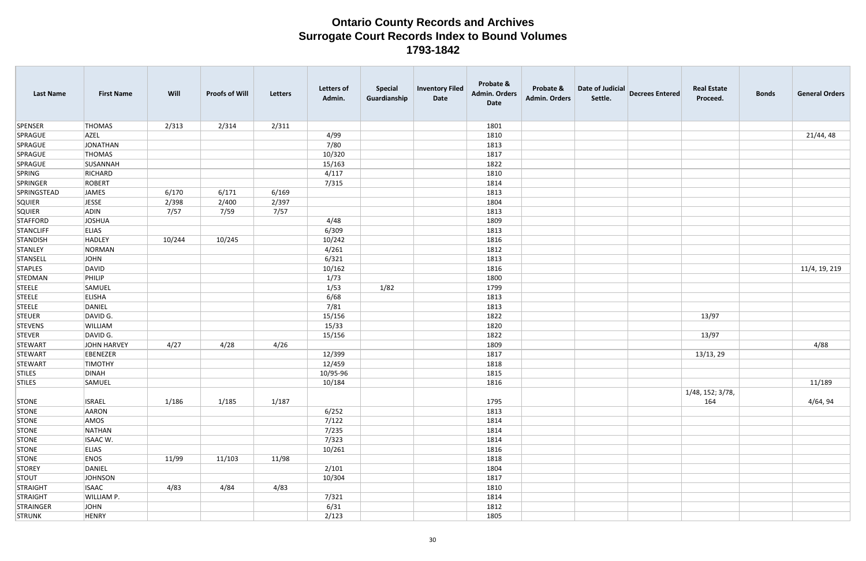| <b>Last Name</b> | <b>First Name</b> | Will   | <b>Proofs of Will</b> | Letters | <b>Letters of</b><br>Admin. | <b>Special</b><br>Guardianship | <b>Inventory Filed</b><br>Date | Probate &<br><b>Admin. Orders</b><br>Date | Probate &<br>Admin. Orders | Date of Judicial<br>Settle. | <b>Decrees Entered</b> | <b>Real Estate</b><br>Proceed. | <b>Bonds</b> | <b>General Orders</b> |
|------------------|-------------------|--------|-----------------------|---------|-----------------------------|--------------------------------|--------------------------------|-------------------------------------------|----------------------------|-----------------------------|------------------------|--------------------------------|--------------|-----------------------|
| SPENSER          | <b>THOMAS</b>     | 2/313  | 2/314                 | 2/311   |                             |                                |                                | 1801                                      |                            |                             |                        |                                |              |                       |
| SPRAGUE          | <b>AZEL</b>       |        |                       |         | 4/99                        |                                |                                | 1810                                      |                            |                             |                        |                                |              | 21/44, 48             |
| SPRAGUE          | JONATHAN          |        |                       |         | 7/80                        |                                |                                | 1813                                      |                            |                             |                        |                                |              |                       |
| SPRAGUE          | THOMAS            |        |                       |         | 10/320                      |                                |                                | 1817                                      |                            |                             |                        |                                |              |                       |
| SPRAGUE          | SUSANNAH          |        |                       |         | 15/163                      |                                |                                | 1822                                      |                            |                             |                        |                                |              |                       |
| SPRING           | RICHARD           |        |                       |         | 4/117                       |                                |                                | 1810                                      |                            |                             |                        |                                |              |                       |
| SPRINGER         | ROBERT            |        |                       |         | 7/315                       |                                |                                | 1814                                      |                            |                             |                        |                                |              |                       |
| SPRINGSTEAD      | JAMES             | 6/170  | 6/171                 | 6/169   |                             |                                |                                | 1813                                      |                            |                             |                        |                                |              |                       |
| SQUIER           | <b>JESSE</b>      | 2/398  | 2/400                 | 2/397   |                             |                                |                                | 1804                                      |                            |                             |                        |                                |              |                       |
| SQUIER           | ADIN              | 7/57   | 7/59                  | 7/57    |                             |                                |                                | 1813                                      |                            |                             |                        |                                |              |                       |
| <b>STAFFORD</b>  | JOSHUA            |        |                       |         | 4/48                        |                                |                                | 1809                                      |                            |                             |                        |                                |              |                       |
| STANCLIFF        | <b>ELIAS</b>      |        |                       |         | 6/309                       |                                |                                | 1813                                      |                            |                             |                        |                                |              |                       |
| STANDISH         | HADLEY            | 10/244 | 10/245                |         | 10/242                      |                                |                                | 1816                                      |                            |                             |                        |                                |              |                       |
| STANLEY          | NORMAN            |        |                       |         | 4/261                       |                                |                                | 1812                                      |                            |                             |                        |                                |              |                       |
| STANSELL         | JOHN              |        |                       |         | 6/321                       |                                |                                | 1813                                      |                            |                             |                        |                                |              |                       |
| <b>STAPLES</b>   | DAVID             |        |                       |         | 10/162                      |                                |                                | 1816                                      |                            |                             |                        |                                |              | 11/4, 19, 219         |
| STEDMAN          | PHILIP            |        |                       |         | 1/73                        |                                |                                | 1800                                      |                            |                             |                        |                                |              |                       |
| <b>STEELE</b>    | SAMUEL            |        |                       |         | 1/53                        | 1/82                           |                                | 1799                                      |                            |                             |                        |                                |              |                       |
| <b>STEELE</b>    | <b>ELISHA</b>     |        |                       |         | 6/68                        |                                |                                | 1813                                      |                            |                             |                        |                                |              |                       |
| <b>STEELE</b>    | DANIEL            |        |                       |         | 7/81                        |                                |                                | 1813                                      |                            |                             |                        |                                |              |                       |
| <b>STEUER</b>    | DAVID G.          |        |                       |         | 15/156                      |                                |                                | 1822                                      |                            |                             |                        | 13/97                          |              |                       |
| <b>STEVENS</b>   | <b>WILLIAM</b>    |        |                       |         | 15/33                       |                                |                                | 1820                                      |                            |                             |                        |                                |              |                       |
| <b>STEVER</b>    | DAVID G.          |        |                       |         | 15/156                      |                                |                                | 1822                                      |                            |                             |                        | 13/97                          |              |                       |
| STEWART          | JOHN HARVEY       | 4/27   | 4/28                  | 4/26    |                             |                                |                                | 1809                                      |                            |                             |                        |                                |              | 4/88                  |
| STEWART          | EBENEZER          |        |                       |         | 12/399                      |                                |                                | 1817                                      |                            |                             |                        | 13/13, 29                      |              |                       |
| STEWART          | <b>TIMOTHY</b>    |        |                       |         | 12/459                      |                                |                                | 1818                                      |                            |                             |                        |                                |              |                       |
| <b>STILES</b>    | <b>DINAH</b>      |        |                       |         | 10/95-96                    |                                |                                | 1815                                      |                            |                             |                        |                                |              |                       |
| <b>STILES</b>    | SAMUEL            |        |                       |         | 10/184                      |                                |                                | 1816                                      |                            |                             |                        |                                |              | 11/189                |
| STONE            | <b>ISRAEL</b>     | 1/186  | 1/185                 | 1/187   |                             |                                |                                | 1795                                      |                            |                             |                        | 1/48, 152; 3/78,<br>164        |              | 4/64, 94              |
| STONE            | AARON             |        |                       |         | 6/252                       |                                |                                | 1813                                      |                            |                             |                        |                                |              |                       |
| STONE            | AMOS              |        |                       |         | 7/122                       |                                |                                | 1814                                      |                            |                             |                        |                                |              |                       |
| STONE            | NATHAN            |        |                       |         | 7/235                       |                                |                                | 1814                                      |                            |                             |                        |                                |              |                       |
| <b>STONE</b>     | ISAAC W.          |        |                       |         | 7/323                       |                                |                                | 1814                                      |                            |                             |                        |                                |              |                       |
| STONE            | <b>ELIAS</b>      |        |                       |         | 10/261                      |                                |                                | 1816                                      |                            |                             |                        |                                |              |                       |
| STONE            | <b>ENOS</b>       | 11/99  | 11/103                | 11/98   |                             |                                |                                | 1818                                      |                            |                             |                        |                                |              |                       |
| STOREY           | DANIEL            |        |                       |         | 2/101                       |                                |                                | 1804                                      |                            |                             |                        |                                |              |                       |
| <b>STOUT</b>     | <b>JOHNSON</b>    |        |                       |         | 10/304                      |                                |                                | 1817                                      |                            |                             |                        |                                |              |                       |
| STRAIGHT         | <b>ISAAC</b>      | 4/83   | 4/84                  | 4/83    |                             |                                |                                | 1810                                      |                            |                             |                        |                                |              |                       |
| STRAIGHT         | <b>WILLIAM P.</b> |        |                       |         | 7/321                       |                                |                                | 1814                                      |                            |                             |                        |                                |              |                       |
| STRAINGER        | JOHN              |        |                       |         | 6/31                        |                                |                                | 1812                                      |                            |                             |                        |                                |              |                       |
| STRUNK           | HENRY             |        |                       |         | 2/123                       |                                |                                | 1805                                      |                            |                             |                        |                                |              |                       |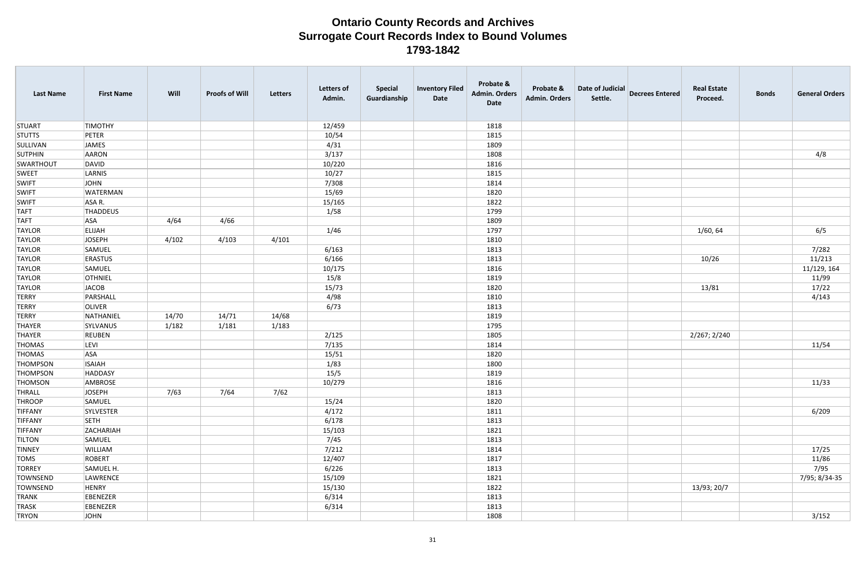| <b>STUART</b><br><b>TIMOTHY</b><br>12/459<br>1818<br><b>STUTTS</b><br>PETER<br>10/54<br>1815<br>SULLIVAN<br><b>JAMES</b><br>4/31<br>1809<br>3/137<br><b>SUTPHIN</b><br>AARON<br>1808<br>10/220<br>SWARTHOUT<br>DAVID<br>1816<br><b>SWEET</b><br>10/27<br>LARNIS<br>1815<br>7/308<br><b>SWIFT</b><br>JOHN<br>1814<br><b>SWIFT</b><br>WATERMAN<br>15/69<br>1820<br>ASA R.<br>15/165<br>1822<br><b>SWIFT</b><br><b>TAFT</b><br>1/58<br>THADDEUS<br>1799<br><b>TAFT</b><br>4/66<br>1809<br><b>ASA</b><br>4/64 | <b>General Orders</b> |
|-----------------------------------------------------------------------------------------------------------------------------------------------------------------------------------------------------------------------------------------------------------------------------------------------------------------------------------------------------------------------------------------------------------------------------------------------------------------------------------------------------------|-----------------------|
|                                                                                                                                                                                                                                                                                                                                                                                                                                                                                                           |                       |
|                                                                                                                                                                                                                                                                                                                                                                                                                                                                                                           |                       |
|                                                                                                                                                                                                                                                                                                                                                                                                                                                                                                           |                       |
|                                                                                                                                                                                                                                                                                                                                                                                                                                                                                                           | 4/8                   |
|                                                                                                                                                                                                                                                                                                                                                                                                                                                                                                           |                       |
|                                                                                                                                                                                                                                                                                                                                                                                                                                                                                                           |                       |
|                                                                                                                                                                                                                                                                                                                                                                                                                                                                                                           |                       |
|                                                                                                                                                                                                                                                                                                                                                                                                                                                                                                           |                       |
|                                                                                                                                                                                                                                                                                                                                                                                                                                                                                                           |                       |
|                                                                                                                                                                                                                                                                                                                                                                                                                                                                                                           |                       |
|                                                                                                                                                                                                                                                                                                                                                                                                                                                                                                           |                       |
| 1/46<br>1/60, 64<br><b>TAYLOR</b><br>1797<br><b>ELIJAH</b>                                                                                                                                                                                                                                                                                                                                                                                                                                                | 6/5                   |
| 4/101<br>4/103<br>JOSEPH<br>4/102<br>1810<br><b>TAYLOR</b>                                                                                                                                                                                                                                                                                                                                                                                                                                                |                       |
| 6/163<br><b>TAYLOR</b><br>SAMUEL<br>1813                                                                                                                                                                                                                                                                                                                                                                                                                                                                  | 7/282                 |
| <b>TAYLOR</b><br><b>ERASTUS</b><br>6/166<br>1813<br>10/26                                                                                                                                                                                                                                                                                                                                                                                                                                                 | 11/213                |
| SAMUEL<br>10/175<br><b>TAYLOR</b><br>1816                                                                                                                                                                                                                                                                                                                                                                                                                                                                 | 11/129, 164           |
| 15/8<br><b>TAYLOR</b><br><b>OTHNIEL</b><br>1819                                                                                                                                                                                                                                                                                                                                                                                                                                                           | 11/99                 |
| JACOB<br>15/73<br>1820<br>13/81<br><b>TAYLOR</b>                                                                                                                                                                                                                                                                                                                                                                                                                                                          | 17/22                 |
| 4/98<br><b>TERRY</b><br>PARSHALL<br>1810                                                                                                                                                                                                                                                                                                                                                                                                                                                                  | 4/143                 |
| <b>TERRY</b><br><b>OLIVER</b><br>6/73<br>1813                                                                                                                                                                                                                                                                                                                                                                                                                                                             |                       |
| 14/68<br><b>TERRY</b><br>NATHANIEL<br>14/70<br>14/71<br>1819                                                                                                                                                                                                                                                                                                                                                                                                                                              |                       |
| 1/183<br>1/182<br>1/181<br>THAYER<br>SYLVANUS<br>1795                                                                                                                                                                                                                                                                                                                                                                                                                                                     |                       |
| 1805<br>2/267; 2/240<br>THAYER<br><b>REUBEN</b><br>2/125                                                                                                                                                                                                                                                                                                                                                                                                                                                  |                       |
| LEVI<br>7/135<br>11/54<br><b>THOMAS</b><br>1814                                                                                                                                                                                                                                                                                                                                                                                                                                                           |                       |
| <b>THOMAS</b><br><b>ASA</b><br>15/51<br>1820                                                                                                                                                                                                                                                                                                                                                                                                                                                              |                       |
| <b>ISAIAH</b><br>1/83<br>THOMPSON<br>1800                                                                                                                                                                                                                                                                                                                                                                                                                                                                 |                       |
| 15/5<br>HADDASY<br>1819<br>THOMPSON                                                                                                                                                                                                                                                                                                                                                                                                                                                                       |                       |
| 10/279<br>THOMSON<br>AMBROSE<br>1816                                                                                                                                                                                                                                                                                                                                                                                                                                                                      | 11/33                 |
| 7/63<br><b>JOSEPH</b><br>7/64<br>7/62<br>THRALL<br>1813                                                                                                                                                                                                                                                                                                                                                                                                                                                   |                       |
| <b>THROOP</b><br>15/24<br>1820<br>SAMUEL                                                                                                                                                                                                                                                                                                                                                                                                                                                                  |                       |
| 4/172<br><b>TIFFANY</b><br>SYLVESTER<br>1811                                                                                                                                                                                                                                                                                                                                                                                                                                                              | 6/209                 |
| 6/178<br><b>TIFFANY</b><br><b>SETH</b><br>1813                                                                                                                                                                                                                                                                                                                                                                                                                                                            |                       |
| <b>TIFFANY</b><br>ZACHARIAH<br>15/103<br>1821                                                                                                                                                                                                                                                                                                                                                                                                                                                             |                       |
| 7/45<br><b>TILTON</b><br>SAMUEL<br>1813                                                                                                                                                                                                                                                                                                                                                                                                                                                                   |                       |
| <b>TINNEY</b><br>WILLIAM<br>7/212<br>1814                                                                                                                                                                                                                                                                                                                                                                                                                                                                 | 17/25                 |
| <b>TOMS</b><br>ROBERT<br>12/407<br>1817                                                                                                                                                                                                                                                                                                                                                                                                                                                                   | 11/86                 |
| <b>TORREY</b><br>6/226<br>1813<br>SAMUEL H.                                                                                                                                                                                                                                                                                                                                                                                                                                                               | 7/95                  |
| 7/95; 8/34-35<br>LAWRENCE<br>15/109<br>1821<br>TOWNSEND                                                                                                                                                                                                                                                                                                                                                                                                                                                   |                       |
| 15/130<br>13/93; 20/7<br>TOWNSEND<br><b>HENRY</b><br>1822                                                                                                                                                                                                                                                                                                                                                                                                                                                 |                       |
| 6/314<br><b>TRANK</b><br>EBENEZER<br>1813                                                                                                                                                                                                                                                                                                                                                                                                                                                                 |                       |
| EBENEZER<br>6/314<br>1813<br>TRASK                                                                                                                                                                                                                                                                                                                                                                                                                                                                        |                       |
| <b>TRYON</b><br>JOHN<br>1808                                                                                                                                                                                                                                                                                                                                                                                                                                                                              | 3/152                 |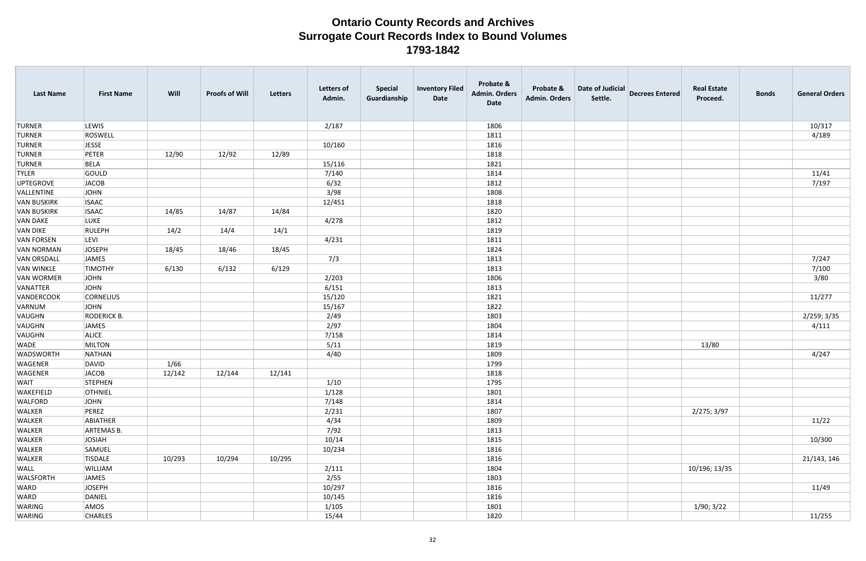| <b>Last Name</b>   | <b>First Name</b>  | Will   | <b>Proofs of Will</b> | Letters | <b>Letters of</b><br>Admin. | <b>Special</b><br>Guardianship | <b>Inventory Filed</b><br>Date | Probate &<br><b>Admin. Orders</b><br>Date | Probate &<br><b>Admin. Orders</b> | Date of Judicial<br>Settle. | <b>Decrees Entered</b> | <b>Real Estate</b><br>Proceed. | <b>Bonds</b> | <b>General Orders</b> |
|--------------------|--------------------|--------|-----------------------|---------|-----------------------------|--------------------------------|--------------------------------|-------------------------------------------|-----------------------------------|-----------------------------|------------------------|--------------------------------|--------------|-----------------------|
| <b>TURNER</b>      | LEWIS              |        |                       |         | 2/187                       |                                |                                | 1806                                      |                                   |                             |                        |                                |              | 10/317                |
| <b>TURNER</b>      | ROSWELL            |        |                       |         |                             |                                |                                | 1811                                      |                                   |                             |                        |                                |              | 4/189                 |
| <b>TURNER</b>      | JESSE              |        |                       |         | 10/160                      |                                |                                | 1816                                      |                                   |                             |                        |                                |              |                       |
| <b>TURNER</b>      | PETER              | 12/90  | 12/92                 | 12/89   |                             |                                |                                | 1818                                      |                                   |                             |                        |                                |              |                       |
| <b>TURNER</b>      | BELA               |        |                       |         | 15/116                      |                                |                                | 1821                                      |                                   |                             |                        |                                |              |                       |
| <b>TYLER</b>       | GOULD              |        |                       |         | 7/140                       |                                |                                | 1814                                      |                                   |                             |                        |                                |              | 11/41                 |
| UPTEGROVE          | JACOB              |        |                       |         | 6/32                        |                                |                                | 1812                                      |                                   |                             |                        |                                |              | 7/197                 |
| VALLENTINE         | JOHN               |        |                       |         | 3/98                        |                                |                                | 1808                                      |                                   |                             |                        |                                |              |                       |
| <b>VAN BUSKIRK</b> | <b>ISAAC</b>       |        |                       |         | 12/451                      |                                |                                | 1818                                      |                                   |                             |                        |                                |              |                       |
| <b>VAN BUSKIRK</b> | <b>ISAAC</b>       | 14/85  | 14/87                 | 14/84   |                             |                                |                                | 1820                                      |                                   |                             |                        |                                |              |                       |
| <b>VAN DAKE</b>    | <b>LUKE</b>        |        |                       |         | 4/278                       |                                |                                | 1812                                      |                                   |                             |                        |                                |              |                       |
| VAN DIKE           | RULEPH             | 14/2   | 14/4                  | 14/1    |                             |                                |                                | 1819                                      |                                   |                             |                        |                                |              |                       |
| <b>VAN FORSEN</b>  | <b>LEVI</b>        |        |                       |         | 4/231                       |                                |                                | 1811                                      |                                   |                             |                        |                                |              |                       |
| <b>VAN NORMAN</b>  | JOSEPH             | 18/45  | 18/46                 | 18/45   |                             |                                |                                | 1824                                      |                                   |                             |                        |                                |              |                       |
| <b>VAN ORSDALL</b> | JAMES              |        |                       |         | 7/3                         |                                |                                | 1813                                      |                                   |                             |                        |                                |              | 7/247                 |
| <b>VAN WINKLE</b>  | <b>TIMOTHY</b>     | 6/130  | 6/132                 | 6/129   |                             |                                |                                | 1813                                      |                                   |                             |                        |                                |              | 7/100                 |
| <b>VAN WORMER</b>  | JOHN               |        |                       |         | 2/203                       |                                |                                | 1806                                      |                                   |                             |                        |                                |              | 3/80                  |
| VANATTER           | JOHN               |        |                       |         | 6/151                       |                                |                                | 1813                                      |                                   |                             |                        |                                |              |                       |
| VANDERCOOK         | <b>CORNELIUS</b>   |        |                       |         | 15/120                      |                                |                                | 1821                                      |                                   |                             |                        |                                |              | 11/277                |
| VARNUM             | JOHN               |        |                       |         | 15/167                      |                                |                                | 1822                                      |                                   |                             |                        |                                |              |                       |
| VAUGHN             | <b>RODERICK B.</b> |        |                       |         | 2/49                        |                                |                                | 1803                                      |                                   |                             |                        |                                |              | 2/259; 3/35           |
| VAUGHN             | JAMES              |        |                       |         | 2/97                        |                                |                                | 1804                                      |                                   |                             |                        |                                |              | 4/111                 |
| VAUGHN             | <b>ALICE</b>       |        |                       |         | 7/158                       |                                |                                | 1814                                      |                                   |                             |                        |                                |              |                       |
| WADE               | MILTON             |        |                       |         | 5/11                        |                                |                                | 1819                                      |                                   |                             |                        | 13/80                          |              |                       |
| WADSWORTH          | NATHAN             |        |                       |         | 4/40                        |                                |                                | 1809                                      |                                   |                             |                        |                                |              | 4/247                 |
| WAGENER            | DAVID              | 1/66   |                       |         |                             |                                |                                | 1799                                      |                                   |                             |                        |                                |              |                       |
| WAGENER            | <b>JACOB</b>       | 12/142 | 12/144                | 12/141  |                             |                                |                                | 1818                                      |                                   |                             |                        |                                |              |                       |
| <b>WAIT</b>        | STEPHEN            |        |                       |         | 1/10                        |                                |                                | 1795                                      |                                   |                             |                        |                                |              |                       |
| <b>WAKEFIELD</b>   | <b>OTHNIEL</b>     |        |                       |         | 1/128                       |                                |                                | 1801                                      |                                   |                             |                        |                                |              |                       |
| <b>WALFORD</b>     | JOHN               |        |                       |         | 7/148                       |                                |                                | 1814                                      |                                   |                             |                        |                                |              |                       |
| WALKER             | PEREZ              |        |                       |         | 2/231                       |                                |                                | 1807                                      |                                   |                             |                        | 2/275; 3/97                    |              |                       |
| WALKER             | ABIATHER           |        |                       |         | 4/34                        |                                |                                | 1809                                      |                                   |                             |                        |                                |              | 11/22                 |
| <b>WALKER</b>      | ARTEMAS B.         |        |                       |         | 7/92                        |                                |                                | 1813                                      |                                   |                             |                        |                                |              |                       |
| WALKER             | JOSIAH             |        |                       |         | 10/14                       |                                |                                | 1815                                      |                                   |                             |                        |                                |              | 10/300                |
| <b>WALKER</b>      | SAMUEL             |        |                       |         | 10/234                      |                                |                                | 1816                                      |                                   |                             |                        |                                |              |                       |
| WALKER             | TISDALE            | 10/293 | 10/294                | 10/295  |                             |                                |                                | 1816                                      |                                   |                             |                        |                                |              | 21/143, 146           |
| <b>WALL</b>        | WILLIAM            |        |                       |         | 2/111                       |                                |                                | 1804                                      |                                   |                             |                        | 10/196; 13/35                  |              |                       |
| <b>WALSFORTH</b>   | JAMES              |        |                       |         | 2/55                        |                                |                                | 1803                                      |                                   |                             |                        |                                |              |                       |
| <b>WARD</b>        | JOSEPH             |        |                       |         | 10/297                      |                                |                                | 1816                                      |                                   |                             |                        |                                |              | 11/49                 |
| WARD               | DANIEL             |        |                       |         | 10/145                      |                                |                                | 1816                                      |                                   |                             |                        |                                |              |                       |
| WARING             | AMOS               |        |                       |         | 1/105                       |                                |                                | 1801                                      |                                   |                             |                        | 1/90; 3/22                     |              |                       |
| WARING             | <b>CHARLES</b>     |        |                       |         | 15/44                       |                                |                                | 1820                                      |                                   |                             |                        |                                |              | 11/255                |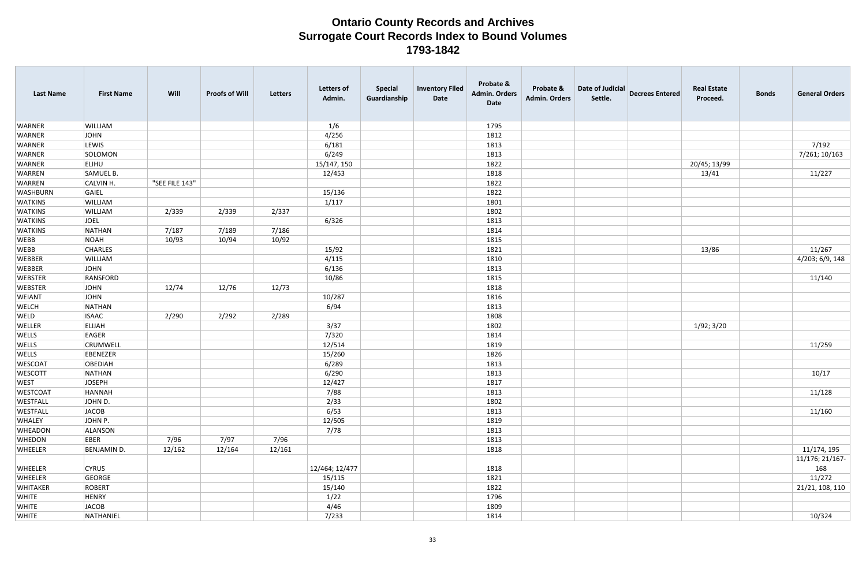| <b>Last Name</b> | <b>First Name</b> | Will           | <b>Proofs of Will</b> | <b>Letters</b> | <b>Letters of</b><br>Admin. | <b>Special</b><br>Guardianship | <b>Inventory Filed</b><br>Date | Probate &<br><b>Admin. Orders</b><br><b>Date</b> | Probate &<br><b>Admin. Orders</b> | Date of Judicial<br>Settle. | <b>Decrees Entered</b> | <b>Real Estate</b><br>Proceed. | <b>Bonds</b> | <b>General Orders</b>  |
|------------------|-------------------|----------------|-----------------------|----------------|-----------------------------|--------------------------------|--------------------------------|--------------------------------------------------|-----------------------------------|-----------------------------|------------------------|--------------------------------|--------------|------------------------|
| <b>WARNER</b>    | <b>WILLIAM</b>    |                |                       |                | 1/6                         |                                |                                | 1795                                             |                                   |                             |                        |                                |              |                        |
| <b>WARNER</b>    | JOHN              |                |                       |                | 4/256                       |                                |                                | 1812                                             |                                   |                             |                        |                                |              |                        |
| <b>WARNER</b>    | LEWIS             |                |                       |                | 6/181                       |                                |                                | 1813                                             |                                   |                             |                        |                                |              | 7/192                  |
| <b>WARNER</b>    | SOLOMON           |                |                       |                | 6/249                       |                                |                                | 1813                                             |                                   |                             |                        |                                |              | 7/261; 10/163          |
| <b>WARNER</b>    | <b>ELIHU</b>      |                |                       |                | 15/147, 150                 |                                |                                | 1822                                             |                                   |                             |                        | 20/45; 13/99                   |              |                        |
| <b>WARREN</b>    | SAMUEL B.         |                |                       |                | 12/453                      |                                |                                | 1818                                             |                                   |                             |                        | 13/41                          |              | 11/227                 |
| <b>WARREN</b>    | CALVIN H.         | "SEE FILE 143" |                       |                |                             |                                |                                | 1822                                             |                                   |                             |                        |                                |              |                        |
| <b>WASHBURN</b>  | GAIEL             |                |                       |                | 15/136                      |                                |                                | 1822                                             |                                   |                             |                        |                                |              |                        |
| <b>WATKINS</b>   | WILLIAM           |                |                       |                | 1/117                       |                                |                                | 1801                                             |                                   |                             |                        |                                |              |                        |
| <b>WATKINS</b>   | WILLIAM           | 2/339          | 2/339                 | 2/337          |                             |                                |                                | 1802                                             |                                   |                             |                        |                                |              |                        |
| <b>WATKINS</b>   | JOEL              |                |                       |                | 6/326                       |                                |                                | 1813                                             |                                   |                             |                        |                                |              |                        |
| <b>WATKINS</b>   | NATHAN            | 7/187          | 7/189                 | 7/186          |                             |                                |                                | 1814                                             |                                   |                             |                        |                                |              |                        |
| <b>WEBB</b>      | NOAH              | 10/93          | 10/94                 | 10/92          |                             |                                |                                | 1815                                             |                                   |                             |                        |                                |              |                        |
| <b>WEBB</b>      | <b>CHARLES</b>    |                |                       |                | 15/92                       |                                |                                | 1821                                             |                                   |                             |                        | 13/86                          |              | 11/267                 |
| <b>WEBBER</b>    | WILLIAM           |                |                       |                | 4/115                       |                                |                                | 1810                                             |                                   |                             |                        |                                |              | 4/203; 6/9, 148        |
| <b>WEBBER</b>    | JOHN              |                |                       |                | 6/136                       |                                |                                | 1813                                             |                                   |                             |                        |                                |              |                        |
| <b>WEBSTER</b>   | RANSFORD          |                |                       |                | 10/86                       |                                |                                | 1815                                             |                                   |                             |                        |                                |              | 11/140                 |
| <b>WEBSTER</b>   | JOHN              | 12/74          | 12/76                 | 12/73          |                             |                                |                                | 1818                                             |                                   |                             |                        |                                |              |                        |
| <b>WEIANT</b>    | JOHN              |                |                       |                | 10/287                      |                                |                                | 1816                                             |                                   |                             |                        |                                |              |                        |
| <b>WELCH</b>     | NATHAN            |                |                       |                | 6/94                        |                                |                                | 1813                                             |                                   |                             |                        |                                |              |                        |
| WELD             | <b>ISAAC</b>      | 2/290          | 2/292                 | 2/289          |                             |                                |                                | 1808                                             |                                   |                             |                        |                                |              |                        |
| WELLER           | <b>ELIJAH</b>     |                |                       |                | 3/37                        |                                |                                | 1802                                             |                                   |                             |                        | 1/92; 3/20                     |              |                        |
| <b>WELLS</b>     | EAGER             |                |                       |                | 7/320                       |                                |                                | 1814                                             |                                   |                             |                        |                                |              |                        |
| <b>WELLS</b>     | <b>CRUMWELL</b>   |                |                       |                | 12/514                      |                                |                                | 1819                                             |                                   |                             |                        |                                |              | 11/259                 |
| <b>WELLS</b>     | EBENEZER          |                |                       |                | 15/260                      |                                |                                | 1826                                             |                                   |                             |                        |                                |              |                        |
| <b>WESCOAT</b>   | <b>OBEDIAH</b>    |                |                       |                | 6/289                       |                                |                                | 1813                                             |                                   |                             |                        |                                |              |                        |
| <b>WESCOTT</b>   | NATHAN            |                |                       |                | 6/290                       |                                |                                | 1813                                             |                                   |                             |                        |                                |              | 10/17                  |
| WEST             | <b>JOSEPH</b>     |                |                       |                | 12/427                      |                                |                                | 1817                                             |                                   |                             |                        |                                |              |                        |
| <b>WESTCOAT</b>  | HANNAH            |                |                       |                | 7/88                        |                                |                                | 1813                                             |                                   |                             |                        |                                |              | 11/128                 |
| <b>WESTFALL</b>  | JOHN D.           |                |                       |                | 2/33                        |                                |                                | 1802                                             |                                   |                             |                        |                                |              |                        |
| WESTFALL         | JACOB             |                |                       |                | 6/53                        |                                |                                | 1813                                             |                                   |                             |                        |                                |              | 11/160                 |
| WHALEY           | JOHN P.           |                |                       |                | 12/505                      |                                |                                | 1819                                             |                                   |                             |                        |                                |              |                        |
| <b>WHEADON</b>   | ALANSON           |                |                       |                | 7/78                        |                                |                                | 1813                                             |                                   |                             |                        |                                |              |                        |
| <b>WHEDON</b>    | EBER              | 7/96           | 7/97                  | 7/96           |                             |                                |                                | 1813                                             |                                   |                             |                        |                                |              |                        |
| <b>WHEELER</b>   | BENJAMIN D.       | 12/162         | 12/164                | 12/161         |                             |                                |                                | 1818                                             |                                   |                             |                        |                                |              | 11/174, 195            |
| <b>WHEELER</b>   | <b>CYRUS</b>      |                |                       |                | 12/464; 12/477              |                                |                                | 1818                                             |                                   |                             |                        |                                |              | 11/176; 21/167-<br>168 |
| <b>WHEELER</b>   | GEORGE            |                |                       |                | 15/115                      |                                |                                | 1821                                             |                                   |                             |                        |                                |              | 11/272                 |
| <b>WHITAKER</b>  | ROBERT            |                |                       |                | 15/140                      |                                |                                | 1822                                             |                                   |                             |                        |                                |              | 21/21, 108, 110        |
| <b>WHITE</b>     | HENRY             |                |                       |                | 1/22                        |                                |                                | 1796                                             |                                   |                             |                        |                                |              |                        |
| <b>WHITE</b>     | JACOB             |                |                       |                | 4/46                        |                                |                                | 1809                                             |                                   |                             |                        |                                |              |                        |
| <b>WHITE</b>     | NATHANIEL         |                |                       |                | 7/233                       |                                |                                | 1814                                             |                                   |                             |                        |                                |              | 10/324                 |
|                  |                   |                |                       |                |                             |                                |                                |                                                  |                                   |                             |                        |                                |              |                        |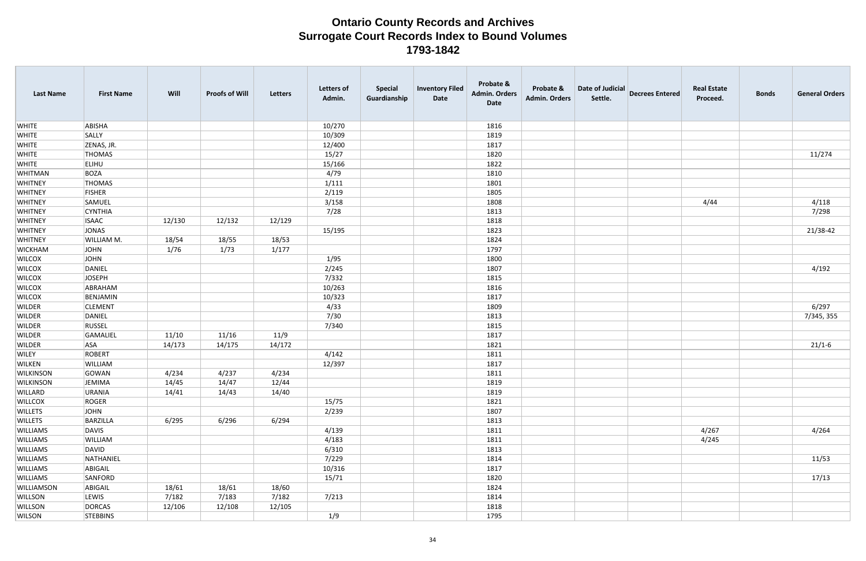| <b>Last Name</b> | <b>First Name</b> | Will   | <b>Proofs of Will</b> | Letters | <b>Letters of</b><br>Admin. | <b>Special</b><br>Guardianship | <b>Inventory Filed</b><br>Date | Probate &<br><b>Admin. Orders</b><br><b>Date</b> | Probate &<br>Admin. Orders | Date of Judicial<br>Settle. | <b>Decrees Entered</b> | <b>Real Estate</b><br>Proceed. | <b>Bonds</b> | <b>General Orders</b> |
|------------------|-------------------|--------|-----------------------|---------|-----------------------------|--------------------------------|--------------------------------|--------------------------------------------------|----------------------------|-----------------------------|------------------------|--------------------------------|--------------|-----------------------|
| <b>WHITE</b>     | ABISHA            |        |                       |         | 10/270                      |                                |                                | 1816                                             |                            |                             |                        |                                |              |                       |
| <b>WHITE</b>     | SALLY             |        |                       |         | 10/309                      |                                |                                | 1819                                             |                            |                             |                        |                                |              |                       |
| <b>WHITE</b>     | ZENAS, JR.        |        |                       |         | 12/400                      |                                |                                | 1817                                             |                            |                             |                        |                                |              |                       |
| <b>WHITE</b>     | <b>THOMAS</b>     |        |                       |         | 15/27                       |                                |                                | 1820                                             |                            |                             |                        |                                |              | 11/274                |
| <b>WHITE</b>     | <b>ELIHU</b>      |        |                       |         | 15/166                      |                                |                                | 1822                                             |                            |                             |                        |                                |              |                       |
| WHITMAN          | BOZA              |        |                       |         | 4/79                        |                                |                                | 1810                                             |                            |                             |                        |                                |              |                       |
| <b>WHITNEY</b>   | <b>THOMAS</b>     |        |                       |         | 1/111                       |                                |                                | 1801                                             |                            |                             |                        |                                |              |                       |
| <b>WHITNEY</b>   | <b>FISHER</b>     |        |                       |         | 2/119                       |                                |                                | 1805                                             |                            |                             |                        |                                |              |                       |
| <b>WHITNEY</b>   | SAMUEL            |        |                       |         | 3/158                       |                                |                                | 1808                                             |                            |                             |                        | 4/44                           |              | 4/118                 |
| WHITNEY          | <b>CYNTHIA</b>    |        |                       |         | 7/28                        |                                |                                | 1813                                             |                            |                             |                        |                                |              | 7/298                 |
| <b>WHITNEY</b>   | <b>ISAAC</b>      | 12/130 | 12/132                | 12/129  |                             |                                |                                | 1818                                             |                            |                             |                        |                                |              |                       |
| <b>WHITNEY</b>   | JONAS             |        |                       |         | 15/195                      |                                |                                | 1823                                             |                            |                             |                        |                                |              | 21/38-42              |
| <b>WHITNEY</b>   | WILLIAM M.        | 18/54  | 18/55                 | 18/53   |                             |                                |                                | 1824                                             |                            |                             |                        |                                |              |                       |
| <b>WICKHAM</b>   | JOHN              | 1/76   | 1/73                  | 1/177   |                             |                                |                                | 1797                                             |                            |                             |                        |                                |              |                       |
| <b>WILCOX</b>    | <b>JOHN</b>       |        |                       |         | 1/95                        |                                |                                | 1800                                             |                            |                             |                        |                                |              |                       |
| <b>WILCOX</b>    | DANIEL            |        |                       |         | 2/245                       |                                |                                | 1807                                             |                            |                             |                        |                                |              | 4/192                 |
| <b>WILCOX</b>    | <b>JOSEPH</b>     |        |                       |         | 7/332                       |                                |                                | 1815                                             |                            |                             |                        |                                |              |                       |
| <b>WILCOX</b>    | ABRAHAM           |        |                       |         | 10/263                      |                                |                                | 1816                                             |                            |                             |                        |                                |              |                       |
| <b>WILCOX</b>    | BENJAMIN          |        |                       |         | 10/323                      |                                |                                | 1817                                             |                            |                             |                        |                                |              |                       |
| <b>WILDER</b>    | <b>CLEMENT</b>    |        |                       |         | 4/33                        |                                |                                | 1809                                             |                            |                             |                        |                                |              | 6/297                 |
| WILDER           | DANIEL            |        |                       |         | 7/30                        |                                |                                | 1813                                             |                            |                             |                        |                                |              | 7/345, 355            |
| <b>WILDER</b>    | RUSSEL            |        |                       |         | 7/340                       |                                |                                | 1815                                             |                            |                             |                        |                                |              |                       |
| WILDER           | GAMALIEL          | 11/10  | 11/16                 | 11/9    |                             |                                |                                | 1817                                             |                            |                             |                        |                                |              |                       |
| <b>WILDER</b>    | <b>ASA</b>        | 14/173 | 14/175                | 14/172  |                             |                                |                                | 1821                                             |                            |                             |                        |                                |              | $21/1-6$              |
| <b>WILEY</b>     | ROBERT            |        |                       |         | 4/142                       |                                |                                | 1811                                             |                            |                             |                        |                                |              |                       |
| WILKEN           | WILLIAM           |        |                       |         | 12/397                      |                                |                                | 1817                                             |                            |                             |                        |                                |              |                       |
| <b>WILKINSON</b> | GOWAN             | 4/234  | 4/237                 | 4/234   |                             |                                |                                | 1811                                             |                            |                             |                        |                                |              |                       |
| WILKINSON        | JEMIMA            | 14/45  | 14/47                 | 12/44   |                             |                                |                                | 1819                                             |                            |                             |                        |                                |              |                       |
| WILLARD          | URANIA            | 14/41  | 14/43                 | 14/40   |                             |                                |                                | 1819                                             |                            |                             |                        |                                |              |                       |
| <b>WILLCOX</b>   | ROGER             |        |                       |         | 15/75                       |                                |                                | 1821                                             |                            |                             |                        |                                |              |                       |
| <b>WILLETS</b>   | <b>JOHN</b>       |        |                       |         | 2/239                       |                                |                                | 1807                                             |                            |                             |                        |                                |              |                       |
| <b>WILLETS</b>   | BARZILLA          | 6/295  | 6/296                 | 6/294   |                             |                                |                                | 1813                                             |                            |                             |                        |                                |              |                       |
| <b>WILLIAMS</b>  | DAVIS             |        |                       |         | 4/139                       |                                |                                | 1811                                             |                            |                             |                        | 4/267                          |              | 4/264                 |
| WILLIAMS         | WILLIAM           |        |                       |         | 4/183                       |                                |                                | 1811                                             |                            |                             |                        | 4/245                          |              |                       |
| <b>WILLIAMS</b>  | DAVID             |        |                       |         | 6/310                       |                                |                                | 1813                                             |                            |                             |                        |                                |              |                       |
| <b>WILLIAMS</b>  | NATHANIEL         |        |                       |         | 7/229                       |                                |                                | 1814                                             |                            |                             |                        |                                |              | 11/53                 |
| <b>WILLIAMS</b>  | ABIGAIL           |        |                       |         | 10/316                      |                                |                                | 1817                                             |                            |                             |                        |                                |              |                       |
| WILLIAMS         | SANFORD           |        |                       |         | 15/71                       |                                |                                | 1820                                             |                            |                             |                        |                                |              | 17/13                 |
| WILLIAMSON       | ABIGAIL           | 18/61  | 18/61                 | 18/60   |                             |                                |                                | 1824                                             |                            |                             |                        |                                |              |                       |
| <b>WILLSON</b>   | LEWIS             | 7/182  | 7/183                 | 7/182   | 7/213                       |                                |                                | 1814                                             |                            |                             |                        |                                |              |                       |
| <b>WILLSON</b>   | DORCAS            | 12/106 | 12/108                | 12/105  |                             |                                |                                | 1818                                             |                            |                             |                        |                                |              |                       |
| <b>WILSON</b>    | <b>STEBBINS</b>   |        |                       |         | 1/9                         |                                |                                | 1795                                             |                            |                             |                        |                                |              |                       |
|                  |                   |        |                       |         |                             |                                |                                |                                                  |                            |                             |                        |                                |              |                       |